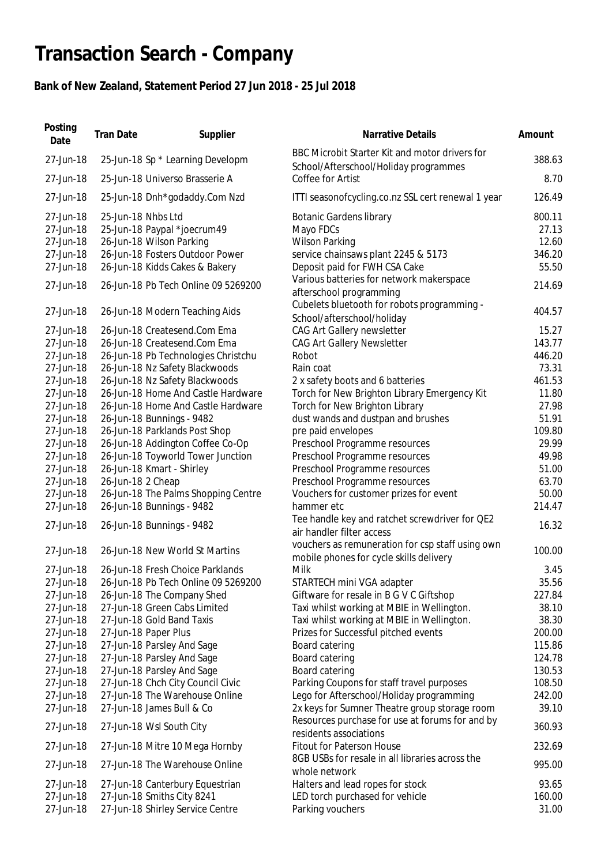## **Transaction Search - Company**

## **Bank of New Zealand, Statement Period 27 Jun 2018 - 25 Jul 2018**

| Posting<br>Date | <b>Tran Date</b>   | Supplier                            | Narrative Details                                                                           | Amount |
|-----------------|--------------------|-------------------------------------|---------------------------------------------------------------------------------------------|--------|
| 27-Jun-18       |                    | 25-Jun-18 Sp * Learning Developm    | BBC Microbit Starter Kit and motor drivers for<br>School/Afterschool/Holiday programmes     | 388.63 |
| 27-Jun-18       |                    | 25-Jun-18 Universo Brasserie A      | Coffee for Artist                                                                           | 8.70   |
| 27-Jun-18       |                    | 25-Jun-18 Dnh*godaddy.Com Nzd       | ITTI seasonofcycling.co.nz SSL cert renewal 1 year                                          | 126.49 |
| 27-Jun-18       | 25-Jun-18 Nhbs Ltd |                                     | <b>Botanic Gardens library</b>                                                              | 800.11 |
| 27-Jun-18       |                    | 25-Jun-18 Paypal *joecrum49         | Mayo FDCs                                                                                   | 27.13  |
| 27-Jun-18       |                    | 26-Jun-18 Wilson Parking            | <b>Wilson Parking</b>                                                                       | 12.60  |
| 27-Jun-18       |                    | 26-Jun-18 Fosters Outdoor Power     | service chainsaws plant 2245 & 5173                                                         | 346.20 |
| 27-Jun-18       |                    | 26-Jun-18 Kidds Cakes & Bakery      | Deposit paid for FWH CSA Cake                                                               | 55.50  |
| 27-Jun-18       |                    | 26-Jun-18 Pb Tech Online 09 5269200 | Various batteries for network makerspace<br>afterschool programming                         | 214.69 |
| 27-Jun-18       |                    | 26-Jun-18 Modern Teaching Aids      | Cubelets bluetooth for robots programming -<br>School/afterschool/holiday                   | 404.57 |
| 27-Jun-18       |                    | 26-Jun-18 Createsend.Com Ema        | <b>CAG Art Gallery newsletter</b>                                                           | 15.27  |
| 27-Jun-18       |                    | 26-Jun-18 Createsend.Com Ema        | <b>CAG Art Gallery Newsletter</b>                                                           | 143.77 |
| 27-Jun-18       |                    | 26-Jun-18 Pb Technologies Christchu | Robot                                                                                       | 446.20 |
| 27-Jun-18       |                    | 26-Jun-18 Nz Safety Blackwoods      | Rain coat                                                                                   | 73.31  |
| 27-Jun-18       |                    | 26-Jun-18 Nz Safety Blackwoods      | 2 x safety boots and 6 batteries                                                            | 461.53 |
| 27-Jun-18       |                    | 26-Jun-18 Home And Castle Hardware  | Torch for New Brighton Library Emergency Kit                                                | 11.80  |
| 27-Jun-18       |                    | 26-Jun-18 Home And Castle Hardware  | Torch for New Brighton Library                                                              | 27.98  |
| 27-Jun-18       |                    | 26-Jun-18 Bunnings - 9482           | dust wands and dustpan and brushes                                                          | 51.91  |
| 27-Jun-18       |                    | 26-Jun-18 Parklands Post Shop       | pre paid envelopes                                                                          | 109.80 |
| 27-Jun-18       |                    | 26-Jun-18 Addington Coffee Co-Op    | Preschool Programme resources                                                               | 29.99  |
| 27-Jun-18       |                    | 26-Jun-18 Toyworld Tower Junction   | Preschool Programme resources                                                               | 49.98  |
| 27-Jun-18       |                    | 26-Jun-18 Kmart - Shirley           | Preschool Programme resources                                                               | 51.00  |
| 27-Jun-18       | 26-Jun-18 2 Cheap  |                                     | Preschool Programme resources                                                               | 63.70  |
| 27-Jun-18       |                    | 26-Jun-18 The Palms Shopping Centre | Vouchers for customer prizes for event                                                      | 50.00  |
| 27-Jun-18       |                    | 26-Jun-18 Bunnings - 9482           | hammer etc                                                                                  | 214.47 |
| 27-Jun-18       |                    | 26-Jun-18 Bunnings - 9482           | Tee handle key and ratchet screwdriver for QE2<br>air handler filter access                 | 16.32  |
| 27-Jun-18       |                    | 26-Jun-18 New World St Martins      | vouchers as remuneration for csp staff using own<br>mobile phones for cycle skills delivery | 100.00 |
| 27-Jun-18       |                    | 26-Jun-18 Fresh Choice Parklands    | Milk                                                                                        | 3.45   |
| 27-Jun-18       |                    | 26-Jun-18 Pb Tech Online 09 5269200 | STARTECH mini VGA adapter                                                                   | 35.56  |
| 27-Jun-18       |                    | 26-Jun-18 The Company Shed          | Giftware for resale in B G V C Giftshop                                                     | 227.84 |
| 27-Jun-18       |                    | 27-Jun-18 Green Cabs Limited        | Taxi whilst working at MBIE in Wellington.                                                  | 38.10  |
| 27-Jun-18       |                    | 27-Jun-18 Gold Band Taxis           | Taxi whilst working at MBIE in Wellington.                                                  | 38.30  |
| 27-Jun-18       |                    | 27-Jun-18 Paper Plus                | Prizes for Successful pitched events                                                        | 200.00 |
| 27-Jun-18       |                    | 27-Jun-18 Parsley And Sage          | Board catering                                                                              | 115.86 |
| 27-Jun-18       |                    | 27-Jun-18 Parsley And Sage          | Board catering                                                                              | 124.78 |
| 27-Jun-18       |                    | 27-Jun-18 Parsley And Sage          | Board catering                                                                              | 130.53 |
| 27-Jun-18       |                    | 27-Jun-18 Chch City Council Civic   | Parking Coupons for staff travel purposes                                                   | 108.50 |
| 27-Jun-18       |                    | 27-Jun-18 The Warehouse Online      | Lego for Afterschool/Holiday programming                                                    | 242.00 |
| 27-Jun-18       |                    | 27-Jun-18 James Bull & Co           | 2x keys for Sumner Theatre group storage room                                               | 39.10  |
| 27-Jun-18       |                    | 27-Jun-18 Wsl South City            | Resources purchase for use at forums for and by<br>residents associations                   | 360.93 |
| 27-Jun-18       |                    | 27-Jun-18 Mitre 10 Mega Hornby      | <b>Fitout for Paterson House</b>                                                            | 232.69 |
| 27-Jun-18       |                    | 27-Jun-18 The Warehouse Online      | 8GB USBs for resale in all libraries across the<br>whole network                            | 995.00 |
| 27-Jun-18       |                    | 27-Jun-18 Canterbury Equestrian     | Halters and lead ropes for stock                                                            | 93.65  |
| 27-Jun-18       |                    | 27-Jun-18 Smiths City 8241          | LED torch purchased for vehicle                                                             | 160.00 |
| 27-Jun-18       |                    | 27-Jun-18 Shirley Service Centre    | Parking vouchers                                                                            | 31.00  |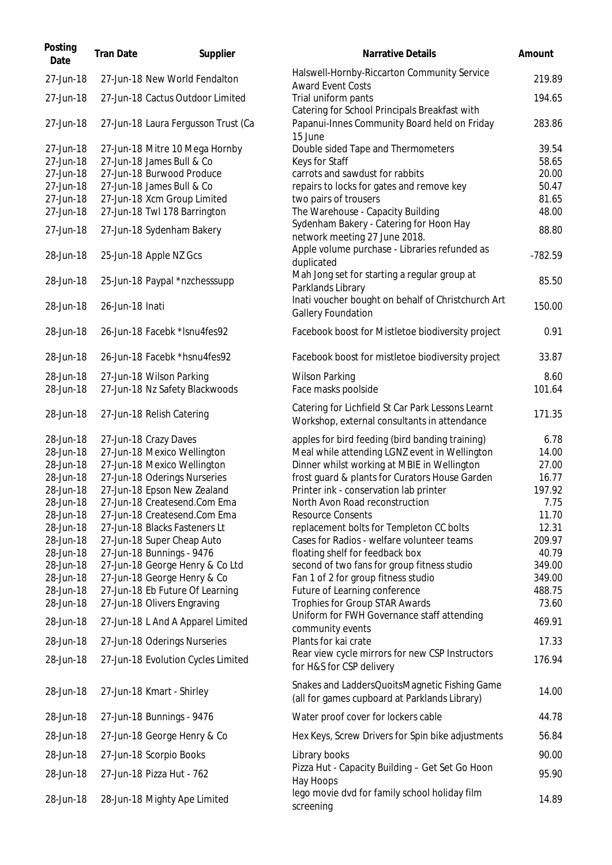| Posting<br>Date                                                                                                                                                                                                           | <b>Tran Date</b> | Supplier                                                                                                                                                                                                                                                                                                                                                                                                                                                                                                                                                      | Narrative Details                                                                                                                                                                                                                                                                                                                                                                                                                                                                                                                                                                                                                                                                                                                                                        | Amount                                                                                                                                                     |
|---------------------------------------------------------------------------------------------------------------------------------------------------------------------------------------------------------------------------|------------------|---------------------------------------------------------------------------------------------------------------------------------------------------------------------------------------------------------------------------------------------------------------------------------------------------------------------------------------------------------------------------------------------------------------------------------------------------------------------------------------------------------------------------------------------------------------|--------------------------------------------------------------------------------------------------------------------------------------------------------------------------------------------------------------------------------------------------------------------------------------------------------------------------------------------------------------------------------------------------------------------------------------------------------------------------------------------------------------------------------------------------------------------------------------------------------------------------------------------------------------------------------------------------------------------------------------------------------------------------|------------------------------------------------------------------------------------------------------------------------------------------------------------|
| 27-Jun-18                                                                                                                                                                                                                 |                  | 27-Jun-18 New World Fendalton                                                                                                                                                                                                                                                                                                                                                                                                                                                                                                                                 | Halswell-Hornby-Riccarton Community Service<br><b>Award Event Costs</b>                                                                                                                                                                                                                                                                                                                                                                                                                                                                                                                                                                                                                                                                                                  | 219.89                                                                                                                                                     |
| 27-Jun-18                                                                                                                                                                                                                 |                  | 27-Jun-18 Cactus Outdoor Limited                                                                                                                                                                                                                                                                                                                                                                                                                                                                                                                              | Trial uniform pants<br>Catering for School Principals Breakfast with                                                                                                                                                                                                                                                                                                                                                                                                                                                                                                                                                                                                                                                                                                     | 194.65                                                                                                                                                     |
| 27-Jun-18                                                                                                                                                                                                                 |                  | 27-Jun-18 Laura Fergusson Trust (Ca                                                                                                                                                                                                                                                                                                                                                                                                                                                                                                                           | Papanui-Innes Community Board held on Friday<br>15 June                                                                                                                                                                                                                                                                                                                                                                                                                                                                                                                                                                                                                                                                                                                  | 283.86                                                                                                                                                     |
| 27-Jun-18<br>27-Jun-18                                                                                                                                                                                                    |                  | 27-Jun-18 Mitre 10 Mega Hornby<br>27-Jun-18 James Bull & Co                                                                                                                                                                                                                                                                                                                                                                                                                                                                                                   | Double sided Tape and Thermometers<br>Keys for Staff                                                                                                                                                                                                                                                                                                                                                                                                                                                                                                                                                                                                                                                                                                                     | 39.54<br>58.65                                                                                                                                             |
| 27-Jun-18                                                                                                                                                                                                                 |                  | 27-Jun-18 Burwood Produce                                                                                                                                                                                                                                                                                                                                                                                                                                                                                                                                     | carrots and sawdust for rabbits                                                                                                                                                                                                                                                                                                                                                                                                                                                                                                                                                                                                                                                                                                                                          | 20.00                                                                                                                                                      |
| 27-Jun-18                                                                                                                                                                                                                 |                  | 27-Jun-18 James Bull & Co                                                                                                                                                                                                                                                                                                                                                                                                                                                                                                                                     | repairs to locks for gates and remove key                                                                                                                                                                                                                                                                                                                                                                                                                                                                                                                                                                                                                                                                                                                                | 50.47                                                                                                                                                      |
| 27-Jun-18                                                                                                                                                                                                                 |                  | 27-Jun-18 Xcm Group Limited                                                                                                                                                                                                                                                                                                                                                                                                                                                                                                                                   | two pairs of trousers                                                                                                                                                                                                                                                                                                                                                                                                                                                                                                                                                                                                                                                                                                                                                    | 81.65                                                                                                                                                      |
| 27-Jun-18                                                                                                                                                                                                                 |                  | 27-Jun-18 Twl 178 Barrington                                                                                                                                                                                                                                                                                                                                                                                                                                                                                                                                  | The Warehouse - Capacity Building<br>Sydenham Bakery - Catering for Hoon Hay                                                                                                                                                                                                                                                                                                                                                                                                                                                                                                                                                                                                                                                                                             | 48.00                                                                                                                                                      |
| 27-Jun-18                                                                                                                                                                                                                 |                  | 27-Jun-18 Sydenham Bakery                                                                                                                                                                                                                                                                                                                                                                                                                                                                                                                                     | network meeting 27 June 2018.<br>Apple volume purchase - Libraries refunded as                                                                                                                                                                                                                                                                                                                                                                                                                                                                                                                                                                                                                                                                                           | 88.80                                                                                                                                                      |
| 28-Jun-18                                                                                                                                                                                                                 |                  | 25-Jun-18 Apple NZ Gcs                                                                                                                                                                                                                                                                                                                                                                                                                                                                                                                                        | duplicated                                                                                                                                                                                                                                                                                                                                                                                                                                                                                                                                                                                                                                                                                                                                                               | $-782.59$                                                                                                                                                  |
| 28-Jun-18                                                                                                                                                                                                                 |                  | 25-Jun-18 Paypal *nzchesssupp                                                                                                                                                                                                                                                                                                                                                                                                                                                                                                                                 | Mah Jong set for starting a regular group at<br>Parklands Library                                                                                                                                                                                                                                                                                                                                                                                                                                                                                                                                                                                                                                                                                                        | 85.50                                                                                                                                                      |
| 28-Jun-18                                                                                                                                                                                                                 | 26-Jun-18 Inati  |                                                                                                                                                                                                                                                                                                                                                                                                                                                                                                                                                               | Inati voucher bought on behalf of Christchurch Art<br><b>Gallery Foundation</b>                                                                                                                                                                                                                                                                                                                                                                                                                                                                                                                                                                                                                                                                                          | 150.00                                                                                                                                                     |
| 28-Jun-18                                                                                                                                                                                                                 |                  | 26-Jun-18 Facebk *Isnu4fes92                                                                                                                                                                                                                                                                                                                                                                                                                                                                                                                                  | Facebook boost for Mistletoe biodiversity project                                                                                                                                                                                                                                                                                                                                                                                                                                                                                                                                                                                                                                                                                                                        | 0.91                                                                                                                                                       |
| 28-Jun-18                                                                                                                                                                                                                 |                  | 26-Jun-18 Facebk *hsnu4fes92                                                                                                                                                                                                                                                                                                                                                                                                                                                                                                                                  | Facebook boost for mistletoe biodiversity project                                                                                                                                                                                                                                                                                                                                                                                                                                                                                                                                                                                                                                                                                                                        | 33.87                                                                                                                                                      |
| 28-Jun-18<br>28-Jun-18                                                                                                                                                                                                    |                  | 27-Jun-18 Wilson Parking<br>27-Jun-18 Nz Safety Blackwoods                                                                                                                                                                                                                                                                                                                                                                                                                                                                                                    | <b>Wilson Parking</b><br>Face masks poolside                                                                                                                                                                                                                                                                                                                                                                                                                                                                                                                                                                                                                                                                                                                             | 8.60<br>101.64                                                                                                                                             |
| 28-Jun-18                                                                                                                                                                                                                 |                  | 27-Jun-18 Relish Catering                                                                                                                                                                                                                                                                                                                                                                                                                                                                                                                                     | Catering for Lichfield St Car Park Lessons Learnt<br>Workshop, external consultants in attendance                                                                                                                                                                                                                                                                                                                                                                                                                                                                                                                                                                                                                                                                        | 171.35                                                                                                                                                     |
| 28-Jun-18<br>28-Jun-18<br>28-Jun-18<br>28-Jun-18<br>28-Jun-18<br>28-Jun-18<br>28-Jun-18<br>28-Jun-18<br>28-Jun-18<br>28-Jun-18<br>28-Jun-18<br>28-Jun-18<br>28-Jun-18<br>28-Jun-18<br>28-Jun-18<br>28-Jun-18<br>28-Jun-18 |                  | 27-Jun-18 Crazy Daves<br>27-Jun-18 Mexico Wellington<br>27-Jun-18 Mexico Wellington<br>27-Jun-18 Oderings Nurseries<br>27-Jun-18 Epson New Zealand<br>27-Jun-18 Createsend.Com Ema<br>27-Jun-18 Createsend.Com Ema<br>27-Jun-18 Blacks Fasteners Lt<br>27-Jun-18 Super Cheap Auto<br>27-Jun-18 Bunnings - 9476<br>27-Jun-18 George Henry & Co Ltd<br>27-Jun-18 George Henry & Co<br>27-Jun-18 Eb Future Of Learning<br>27-Jun-18 Olivers Engraving<br>27-Jun-18 L And A Apparel Limited<br>27-Jun-18 Oderings Nurseries<br>27-Jun-18 Evolution Cycles Limited | apples for bird feeding (bird banding training)<br>Meal while attending LGNZ event in Wellington<br>Dinner whilst working at MBIE in Wellington<br>frost guard & plants for Curators House Garden<br>Printer ink - conservation lab printer<br>North Avon Road reconstruction<br><b>Resource Consents</b><br>replacement bolts for Templeton CC bolts<br>Cases for Radios - welfare volunteer teams<br>floating shelf for feedback box<br>second of two fans for group fitness studio<br>Fan 1 of 2 for group fitness studio<br>Future of Learning conference<br>Trophies for Group STAR Awards<br>Uniform for FWH Governance staff attending<br>community events<br>Plants for kai crate<br>Rear view cycle mirrors for new CSP Instructors<br>for H&S for CSP delivery | 6.78<br>14.00<br>27.00<br>16.77<br>197.92<br>7.75<br>11.70<br>12.31<br>209.97<br>40.79<br>349.00<br>349.00<br>488.75<br>73.60<br>469.91<br>17.33<br>176.94 |
| 28-Jun-18                                                                                                                                                                                                                 |                  | 27-Jun-18 Kmart - Shirley                                                                                                                                                                                                                                                                                                                                                                                                                                                                                                                                     | Snakes and LaddersQuoitsMagnetic Fishing Game<br>(all for games cupboard at Parklands Library)                                                                                                                                                                                                                                                                                                                                                                                                                                                                                                                                                                                                                                                                           | 14.00                                                                                                                                                      |
| 28-Jun-18                                                                                                                                                                                                                 |                  | 27-Jun-18 Bunnings - 9476                                                                                                                                                                                                                                                                                                                                                                                                                                                                                                                                     | Water proof cover for lockers cable                                                                                                                                                                                                                                                                                                                                                                                                                                                                                                                                                                                                                                                                                                                                      | 44.78                                                                                                                                                      |
| 28-Jun-18                                                                                                                                                                                                                 |                  | 27-Jun-18 George Henry & Co                                                                                                                                                                                                                                                                                                                                                                                                                                                                                                                                   | Hex Keys, Screw Drivers for Spin bike adjustments                                                                                                                                                                                                                                                                                                                                                                                                                                                                                                                                                                                                                                                                                                                        | 56.84                                                                                                                                                      |
| 28-Jun-18                                                                                                                                                                                                                 |                  | 27-Jun-18 Scorpio Books                                                                                                                                                                                                                                                                                                                                                                                                                                                                                                                                       | Library books                                                                                                                                                                                                                                                                                                                                                                                                                                                                                                                                                                                                                                                                                                                                                            | 90.00                                                                                                                                                      |
| 28-Jun-18                                                                                                                                                                                                                 |                  | 27-Jun-18 Pizza Hut - 762                                                                                                                                                                                                                                                                                                                                                                                                                                                                                                                                     | Pizza Hut - Capacity Building - Get Set Go Hoon<br>Hay Hoops                                                                                                                                                                                                                                                                                                                                                                                                                                                                                                                                                                                                                                                                                                             | 95.90                                                                                                                                                      |
| 28-Jun-18                                                                                                                                                                                                                 |                  | 28-Jun-18 Mighty Ape Limited                                                                                                                                                                                                                                                                                                                                                                                                                                                                                                                                  | lego movie dvd for family school holiday film<br>screening                                                                                                                                                                                                                                                                                                                                                                                                                                                                                                                                                                                                                                                                                                               | 14.89                                                                                                                                                      |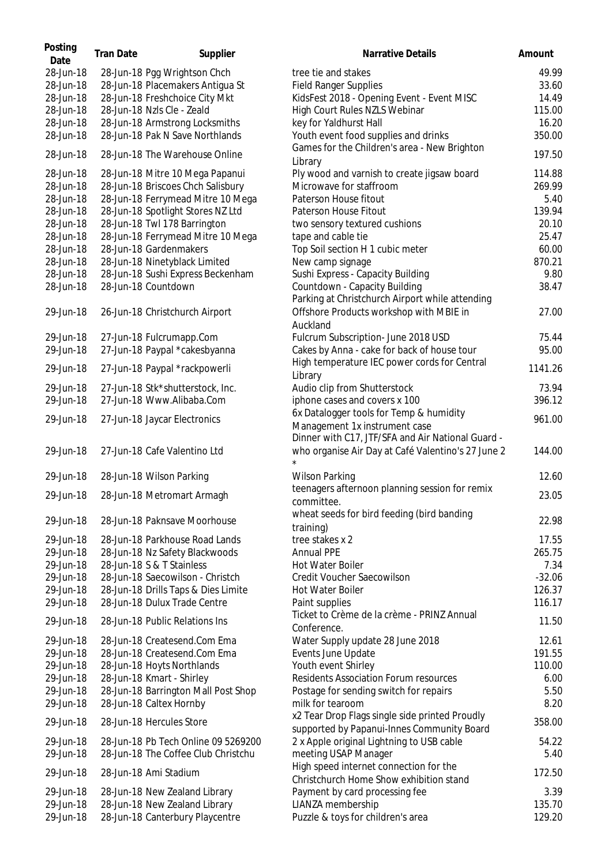| Posting<br>Date | <b>Tran Date</b> | Supplier                            | <b>Narrative Details</b>                                                                     | Amount   |
|-----------------|------------------|-------------------------------------|----------------------------------------------------------------------------------------------|----------|
| 28-Jun-18       |                  | 28-Jun-18 Pgg Wrightson Chch        | tree tie and stakes                                                                          | 49.99    |
| 28-Jun-18       |                  | 28-Jun-18 Placemakers Antigua St    | <b>Field Ranger Supplies</b>                                                                 | 33.60    |
| 28-Jun-18       |                  | 28-Jun-18 Freshchoice City Mkt      | KidsFest 2018 - Opening Event - Event MISC                                                   | 14.49    |
| 28-Jun-18       |                  | 28-Jun-18 Nzls Cle - Zeald          | High Court Rules NZLS Webinar                                                                | 115.00   |
| 28-Jun-18       |                  | 28-Jun-18 Armstrong Locksmiths      | key for Yaldhurst Hall                                                                       | 16.20    |
| 28-Jun-18       |                  | 28-Jun-18 Pak N Save Northlands     | Youth event food supplies and drinks                                                         | 350.00   |
| 28-Jun-18       |                  | 28-Jun-18 The Warehouse Online      | Games for the Children's area - New Brighton<br>Library                                      | 197.50   |
| 28-Jun-18       |                  | 28-Jun-18 Mitre 10 Mega Papanui     | Ply wood and varnish to create jigsaw board                                                  | 114.88   |
| 28-Jun-18       |                  | 28-Jun-18 Briscoes Chch Salisbury   | Microwave for staffroom                                                                      | 269.99   |
| 28-Jun-18       |                  | 28-Jun-18 Ferrymead Mitre 10 Mega   | Paterson House fitout                                                                        | 5.40     |
| 28-Jun-18       |                  | 28-Jun-18 Spotlight Stores NZ Ltd   | Paterson House Fitout                                                                        | 139.94   |
| 28-Jun-18       |                  | 28-Jun-18 Twl 178 Barrington        | two sensory textured cushions                                                                | 20.10    |
| 28-Jun-18       |                  | 28-Jun-18 Ferrymead Mitre 10 Mega   | tape and cable tie                                                                           | 25.47    |
| 28-Jun-18       |                  | 28-Jun-18 Gardenmakers              | Top Soil section H 1 cubic meter                                                             | 60.00    |
| 28-Jun-18       |                  | 28-Jun-18 Ninetyblack Limited       | New camp signage                                                                             | 870.21   |
| 28-Jun-18       |                  | 28-Jun-18 Sushi Express Beckenham   | Sushi Express - Capacity Building                                                            | 9.80     |
| 28-Jun-18       |                  | 28-Jun-18 Countdown                 | Countdown - Capacity Building                                                                | 38.47    |
| 29-Jun-18       |                  | 26-Jun-18 Christchurch Airport      | Parking at Christchurch Airport while attending<br>Offshore Products workshop with MBIE in   | 27.00    |
|                 |                  |                                     | Auckland                                                                                     |          |
| 29-Jun-18       |                  | 27-Jun-18 Fulcrumapp.Com            | Fulcrum Subscription- June 2018 USD                                                          | 75.44    |
| 29-Jun-18       |                  | 27-Jun-18 Paypal *cakesbyanna       | Cakes by Anna - cake for back of house tour                                                  | 95.00    |
| 29-Jun-18       |                  | 27-Jun-18 Paypal *rackpowerli       | High temperature IEC power cords for Central<br>Library                                      | 1141.26  |
| 29-Jun-18       |                  | 27-Jun-18 Stk*shutterstock, Inc.    | Audio clip from Shutterstock                                                                 | 73.94    |
| 29-Jun-18       |                  | 27-Jun-18 Www.Alibaba.Com           | iphone cases and covers x 100                                                                | 396.12   |
|                 |                  |                                     | 6x Datalogger tools for Temp & humidity                                                      |          |
| 29-Jun-18       |                  | 27-Jun-18 Jaycar Electronics        | Management 1x instrument case                                                                | 961.00   |
|                 |                  |                                     | Dinner with C17, JTF/SFA and Air National Guard -                                            |          |
| 29-Jun-18       |                  | 27-Jun-18 Cafe Valentino Ltd        | who organise Air Day at Café Valentino's 27 June 2                                           | 144.00   |
| 29-Jun-18       |                  | 28-Jun-18 Wilson Parking            | <b>Wilson Parking</b>                                                                        | 12.60    |
| 29-Jun-18       |                  | 28-Jun-18 Metromart Armagh          | teenagers afternoon planning session for remix<br>committee.                                 | 23.05    |
| 29-Jun-18       |                  | 28-Jun-18 Paknsave Moorhouse        | wheat seeds for bird feeding (bird banding                                                   | 22.98    |
| 29-Jun-18       |                  | 28-Jun-18 Parkhouse Road Lands      | training)<br>tree stakes x 2                                                                 | 17.55    |
| 29-Jun-18       |                  | 28-Jun-18 Nz Safety Blackwoods      | <b>Annual PPE</b>                                                                            | 265.75   |
| 29-Jun-18       |                  | 28-Jun-18 S & T Stainless           | Hot Water Boiler                                                                             | 7.34     |
| 29-Jun-18       |                  | 28-Jun-18 Saecowilson - Christch    | Credit Voucher Saecowilson                                                                   | $-32.06$ |
| 29-Jun-18       |                  | 28-Jun-18 Drills Taps & Dies Limite | <b>Hot Water Boiler</b>                                                                      | 126.37   |
| 29-Jun-18       |                  | 28-Jun-18 Dulux Trade Centre        | Paint supplies                                                                               | 116.17   |
|                 |                  |                                     | Ticket to Crème de la crème - PRINZ Annual                                                   |          |
| 29-Jun-18       |                  | 28-Jun-18 Public Relations Ins      | Conference.                                                                                  | 11.50    |
| 29-Jun-18       |                  | 28-Jun-18 Createsend.Com Ema        | Water Supply update 28 June 2018                                                             | 12.61    |
| 29-Jun-18       |                  | 28-Jun-18 Createsend.Com Ema        | Events June Update                                                                           | 191.55   |
| 29-Jun-18       |                  | 28-Jun-18 Hoyts Northlands          | Youth event Shirley                                                                          | 110.00   |
| 29-Jun-18       |                  | 28-Jun-18 Kmart - Shirley           | <b>Residents Association Forum resources</b>                                                 | 6.00     |
| 29-Jun-18       |                  | 28-Jun-18 Barrington Mall Post Shop | Postage for sending switch for repairs                                                       | 5.50     |
| 29-Jun-18       |                  | 28-Jun-18 Caltex Hornby             | milk for tearoom                                                                             | 8.20     |
| 29-Jun-18       |                  | 28-Jun-18 Hercules Store            | x2 Tear Drop Flags single side printed Proudly<br>supported by Papanui-Innes Community Board | 358.00   |
| 29-Jun-18       |                  | 28-Jun-18 Pb Tech Online 09 5269200 | 2 x Apple original Lightning to USB cable                                                    | 54.22    |
| 29-Jun-18       |                  | 28-Jun-18 The Coffee Club Christchu | meeting USAP Manager                                                                         | 5.40     |
| 29-Jun-18       |                  | 28-Jun-18 Ami Stadium               | High speed internet connection for the<br>Christchurch Home Show exhibition stand            | 172.50   |
| 29-Jun-18       |                  | 28-Jun-18 New Zealand Library       | Payment by card processing fee                                                               | 3.39     |
| 29-Jun-18       |                  | 28-Jun-18 New Zealand Library       | LIANZA membership                                                                            | 135.70   |
| 29-Jun-18       |                  | 28-Jun-18 Canterbury Playcentre     | Puzzle & toys for children's area                                                            | 129.20   |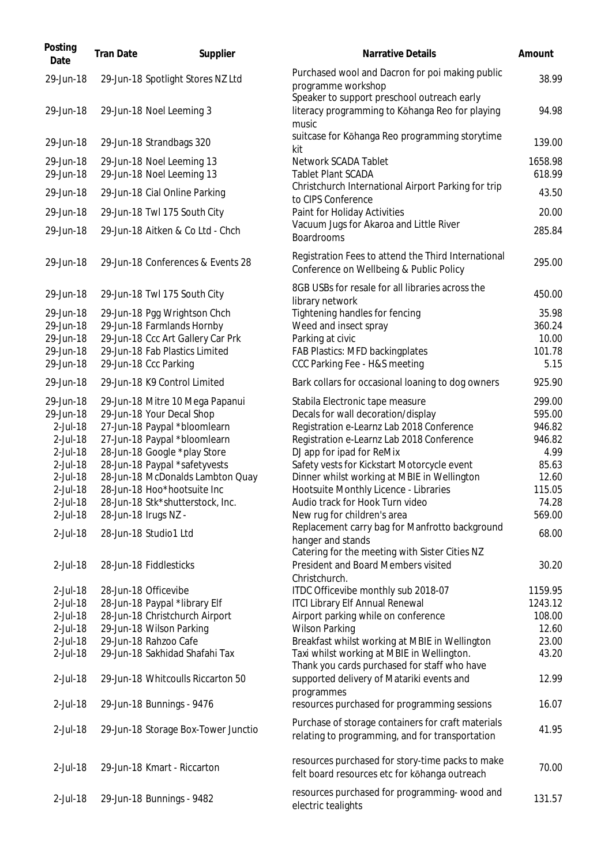| Posting<br>Date        | <b>Tran Date</b> | Supplier                                                  | <b>Narrative Details</b>                                                                                             | Amount           |
|------------------------|------------------|-----------------------------------------------------------|----------------------------------------------------------------------------------------------------------------------|------------------|
| 29-Jun-18              |                  | 29-Jun-18 Spotlight Stores NZ Ltd                         | Purchased wool and Dacron for poi making public<br>programme workshop<br>Speaker to support preschool outreach early | 38.99            |
| 29-Jun-18              |                  | 29-Jun-18 Noel Leeming 3                                  | literacy programming to Kōhanga Reo for playing<br>music                                                             | 94.98            |
| 29-Jun-18              |                  | 29-Jun-18 Strandbags 320                                  | suitcase for Kōhanga Reo programming storytime<br>kit                                                                | 139.00           |
| 29-Jun-18              |                  | 29-Jun-18 Noel Leeming 13                                 | Network SCADA Tablet                                                                                                 | 1658.98          |
| 29-Jun-18              |                  | 29-Jun-18 Noel Leeming 13                                 | <b>Tablet Plant SCADA</b>                                                                                            | 618.99           |
| 29-Jun-18              |                  | 29-Jun-18 Cial Online Parking                             | Christchurch International Airport Parking for trip<br>to CIPS Conference                                            | 43.50            |
| 29-Jun-18              |                  | 29-Jun-18 Twl 175 South City                              | Paint for Holiday Activities                                                                                         | 20.00            |
| 29-Jun-18              |                  | 29-Jun-18 Aitken & Co Ltd - Chch                          | Vacuum Jugs for Akaroa and Little River<br><b>Boardrooms</b>                                                         | 285.84           |
| 29-Jun-18              |                  | 29-Jun-18 Conferences & Events 28                         | Registration Fees to attend the Third International<br>Conference on Wellbeing & Public Policy                       | 295.00           |
| 29-Jun-18              |                  | 29-Jun-18 Twl 175 South City                              | 8GB USBs for resale for all libraries across the<br>library network                                                  | 450.00           |
| 29-Jun-18              |                  | 29-Jun-18 Pgg Wrightson Chch                              | Tightening handles for fencing                                                                                       | 35.98            |
| 29-Jun-18              |                  | 29-Jun-18 Farmlands Hornby                                | Weed and insect spray                                                                                                | 360.24           |
| 29-Jun-18              |                  | 29-Jun-18 Ccc Art Gallery Car Prk                         | Parking at civic                                                                                                     | 10.00            |
| 29-Jun-18              |                  | 29-Jun-18 Fab Plastics Limited                            | FAB Plastics: MFD backingplates                                                                                      | 101.78           |
| 29-Jun-18              |                  | 29-Jun-18 Ccc Parking                                     | CCC Parking Fee - H&S meeting                                                                                        | 5.15             |
| 29-Jun-18              |                  | 29-Jun-18 K9 Control Limited                              | Bark collars for occasional loaning to dog owners                                                                    | 925.90           |
| 29-Jun-18<br>29-Jun-18 |                  | 29-Jun-18 Mitre 10 Mega Papanui                           | Stabila Electronic tape measure                                                                                      | 299.00<br>595.00 |
| 2-Jul-18               |                  | 29-Jun-18 Your Decal Shop<br>27-Jun-18 Paypal *bloomlearn | Decals for wall decoration/display<br>Registration e-Learnz Lab 2018 Conference                                      | 946.82           |
| 2-Jul-18               |                  | 27-Jun-18 Paypal *bloomlearn                              | Registration e-Learnz Lab 2018 Conference                                                                            | 946.82           |
| 2-Jul-18               |                  | 28-Jun-18 Google *play Store                              | DJ app for ipad for ReMix                                                                                            | 4.99             |
| 2-Jul-18               |                  | 28-Jun-18 Paypal *safetyvests                             | Safety vests for Kickstart Motorcycle event                                                                          | 85.63            |
| 2-Jul-18               |                  | 28-Jun-18 McDonalds Lambton Quay                          | Dinner whilst working at MBIE in Wellington                                                                          | 12.60            |
| 2-Jul-18               |                  | 28-Jun-18 Hoo*hootsuite Inc                               | Hootsuite Monthly Licence - Libraries                                                                                | 115.05           |
| 2-Jul-18               |                  | 28-Jun-18 Stk*shutterstock, Inc.                          | Audio track for Hook Turn video                                                                                      | 74.28            |
| 2-Jul-18               |                  | 28-Jun-18 Irugs NZ -                                      | New rug for children's area                                                                                          | 569.00           |
| 2-Jul-18               |                  | 28-Jun-18 Studio1 Ltd                                     | Replacement carry bag for Manfrotto background<br>hanger and stands                                                  | 68.00            |
|                        |                  |                                                           | Catering for the meeting with Sister Cities NZ                                                                       |                  |
| 2-Jul-18               |                  | 28-Jun-18 Fiddlesticks                                    | President and Board Members visited<br>Christchurch.                                                                 | 30.20            |
| 2-Jul-18               |                  | 28-Jun-18 Officevibe                                      | ITDC Officevibe monthly sub 2018-07                                                                                  | 1159.95          |
| 2-Jul-18               |                  | 28-Jun-18 Paypal *library Elf                             | <b>ITCI Library Elf Annual Renewal</b>                                                                               | 1243.12          |
| 2-Jul-18               |                  | 28-Jun-18 Christchurch Airport                            | Airport parking while on conference                                                                                  | 108.00           |
| 2-Jul-18               |                  | 29-Jun-18 Wilson Parking                                  | <b>Wilson Parking</b>                                                                                                | 12.60            |
| 2-Jul-18               |                  | 29-Jun-18 Rahzoo Cafe                                     | Breakfast whilst working at MBIE in Wellington                                                                       | 23.00            |
| 2-Jul-18               |                  | 29-Jun-18 Sakhidad Shafahi Tax                            | Taxi whilst working at MBIE in Wellington.<br>Thank you cards purchased for staff who have                           | 43.20            |
| 2-Jul-18               |                  | 29-Jun-18 Whitcoulls Riccarton 50                         | supported delivery of Matariki events and<br>programmes                                                              | 12.99            |
| 2-Jul-18               |                  | 29-Jun-18 Bunnings - 9476                                 | resources purchased for programming sessions                                                                         | 16.07            |
| 2-Jul-18               |                  | 29-Jun-18 Storage Box-Tower Junctio                       | Purchase of storage containers for craft materials<br>relating to programming, and for transportation                | 41.95            |
| 2-Jul-18               |                  | 29-Jun-18 Kmart - Riccarton                               | resources purchased for story-time packs to make<br>felt board resources etc for kōhanga outreach                    | 70.00            |
| 2-Jul-18               |                  | 29-Jun-18 Bunnings - 9482                                 | resources purchased for programming- wood and<br>electric tealights                                                  | 131.57           |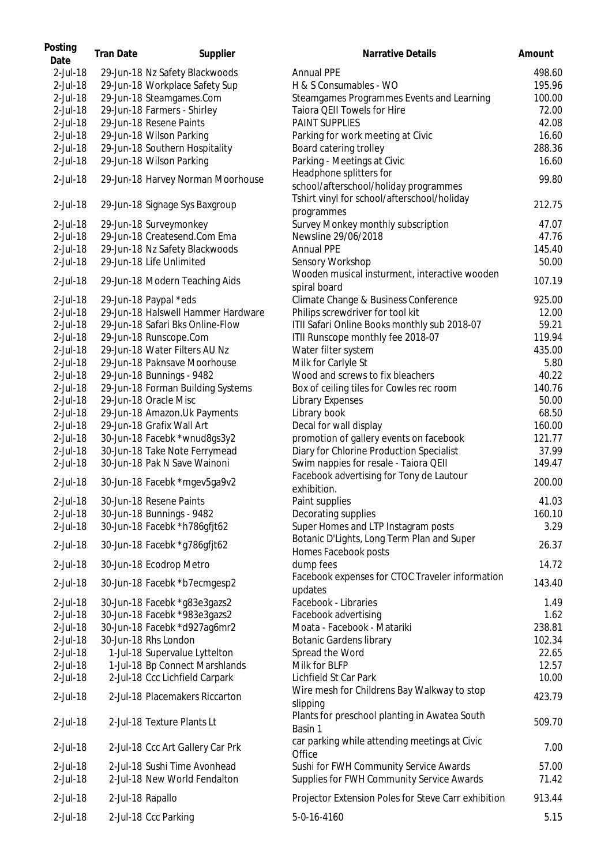| Posting<br>Date      | <b>Tran Date</b> | Supplier                                                     | Narrative Details                                                                   | Amount         |
|----------------------|------------------|--------------------------------------------------------------|-------------------------------------------------------------------------------------|----------------|
| $2$ -Jul-18          |                  | 29-Jun-18 Nz Safety Blackwoods                               | <b>Annual PPE</b>                                                                   | 498.60         |
| 2-Jul-18             |                  | 29-Jun-18 Workplace Safety Sup                               | H & S Consumables - WO                                                              | 195.96         |
| 2-Jul-18             |                  | 29-Jun-18 Steamgames.Com                                     | Steamgames Programmes Events and Learning                                           | 100.00         |
| 2-Jul-18             |                  | 29-Jun-18 Farmers - Shirley                                  | Taiora QEII Towels for Hire                                                         | 72.00          |
| 2-Jul-18             |                  | 29-Jun-18 Resene Paints                                      | PAINT SUPPLIES                                                                      | 42.08          |
| 2-Jul-18             |                  | 29-Jun-18 Wilson Parking                                     |                                                                                     | 16.60          |
|                      |                  |                                                              | Parking for work meeting at Civic                                                   |                |
| 2-Jul-18             |                  | 29-Jun-18 Southern Hospitality                               | Board catering trolley                                                              | 288.36         |
| 2-Jul-18             |                  | 29-Jun-18 Wilson Parking                                     | Parking - Meetings at Civic                                                         | 16.60          |
| 2-Jul-18             |                  | 29-Jun-18 Harvey Norman Moorhouse                            | Headphone splitters for<br>school/afterschool/holiday programmes                    | 99.80          |
| 2-Jul-18             |                  | 29-Jun-18 Signage Sys Baxgroup                               | Tshirt vinyl for school/afterschool/holiday<br>programmes                           | 212.75         |
| 2-Jul-18             |                  | 29-Jun-18 Surveymonkey                                       | Survey Monkey monthly subscription                                                  | 47.07          |
| 2-Jul-18             |                  | 29-Jun-18 Createsend.Com Ema                                 | Newsline 29/06/2018                                                                 | 47.76          |
| 2-Jul-18             |                  | 29-Jun-18 Nz Safety Blackwoods                               | <b>Annual PPE</b>                                                                   | 145.40         |
| 2-Jul-18             |                  | 29-Jun-18 Life Unlimited                                     | Sensory Workshop                                                                    | 50.00          |
| 2-Jul-18             |                  | 29-Jun-18 Modern Teaching Aids                               | Wooden musical insturment, interactive wooden<br>spiral board                       | 107.19         |
| 2-Jul-18             |                  | 29-Jun-18 Paypal *eds                                        | Climate Change & Business Conference                                                | 925.00         |
| 2-Jul-18             |                  | 29-Jun-18 Halswell Hammer Hardware                           | Philips screwdriver for tool kit                                                    | 12.00          |
|                      |                  | 29-Jun-18 Safari Bks Online-Flow                             |                                                                                     | 59.21          |
| 2-Jul-18             |                  |                                                              | ITII Safari Online Books monthly sub 2018-07                                        |                |
| 2-Jul-18             |                  | 29-Jun-18 Runscope.Com                                       | ITII Runscope monthly fee 2018-07                                                   | 119.94         |
| 2-Jul-18             |                  | 29-Jun-18 Water Filters AU Nz                                | Water filter system                                                                 | 435.00         |
| 2-Jul-18             |                  | 29-Jun-18 Paknsave Moorhouse                                 | Milk for Carlyle St                                                                 | 5.80           |
| 2-Jul-18             |                  | 29-Jun-18 Bunnings - 9482                                    | Wood and screws to fix bleachers                                                    | 40.22          |
| 2-Jul-18             |                  | 29-Jun-18 Forman Building Systems                            | Box of ceiling tiles for Cowles rec room                                            | 140.76         |
| 2-Jul-18             |                  | 29-Jun-18 Oracle Misc                                        | Library Expenses                                                                    | 50.00          |
| 2-Jul-18             |                  | 29-Jun-18 Amazon. Uk Payments                                | Library book                                                                        | 68.50          |
| 2-Jul-18             |                  | 29-Jun-18 Grafix Wall Art                                    | Decal for wall display                                                              | 160.00         |
| 2-Jul-18             |                  | 30-Jun-18 Facebk *wnud8gs3y2                                 | promotion of gallery events on facebook                                             | 121.77         |
| 2-Jul-18             |                  | 30-Jun-18 Take Note Ferrymead                                | Diary for Chlorine Production Specialist                                            | 37.99          |
| 2-Jul-18             |                  | 30-Jun-18 Pak N Save Wainoni                                 | Swim nappies for resale - Taiora QEII                                               | 149.47         |
| 2-Jul-18             |                  | 30-Jun-18 Facebk *mgev5ga9v2                                 | Facebook advertising for Tony de Lautour<br>exhibition.                             | 200.00         |
| 2-Jul-18             |                  | 30-Jun-18 Resene Paints                                      | Paint supplies                                                                      | 41.03          |
| 2-Jul-18             |                  | 30-Jun-18 Bunnings - 9482                                    | Decorating supplies                                                                 | 160.10         |
| 2-Jul-18             |                  | 30-Jun-18 Facebk *h786gfjt62                                 | Super Homes and LTP Instagram posts                                                 | 3.29           |
| 2-Jul-18             |                  | 30-Jun-18 Facebk *g786gfjt62                                 | Botanic D'Lights, Long Term Plan and Super<br>Homes Facebook posts                  | 26.37          |
| 2-Jul-18             |                  | 30-Jun-18 Ecodrop Metro                                      | dump fees                                                                           | 14.72          |
| 2-Jul-18             |                  | 30-Jun-18 Facebk *b7ecmgesp2                                 | Facebook expenses for CTOC Traveler information<br>updates                          | 143.40         |
| 2-Jul-18             |                  | 30-Jun-18 Facebk *g83e3gazs2                                 | Facebook - Libraries                                                                | 1.49           |
| 2-Jul-18             |                  | 30-Jun-18 Facebk *983e3gazs2                                 | Facebook advertising                                                                | 1.62           |
| 2-Jul-18             |                  | 30-Jun-18 Facebk *d927ag6mr2                                 | Moata - Facebook - Matariki                                                         | 238.81         |
| 2-Jul-18             |                  | 30-Jun-18 Rhs London                                         | <b>Botanic Gardens library</b>                                                      | 102.34         |
| 2-Jul-18             |                  | 1-Jul-18 Supervalue Lyttelton                                | Spread the Word                                                                     | 22.65          |
| 2-Jul-18             |                  | 1-Jul-18 Bp Connect Marshlands                               | Milk for BLFP                                                                       | 12.57          |
|                      |                  | 2-Jul-18 Ccc Lichfield Carpark                               | Lichfield St Car Park                                                               | 10.00          |
| 2-Jul-18             |                  |                                                              |                                                                                     |                |
| 2-Jul-18             |                  | 2-Jul-18 Placemakers Riccarton                               | Wire mesh for Childrens Bay Walkway to stop<br>slipping                             | 423.79         |
| 2-Jul-18             |                  | 2-Jul-18 Texture Plants Lt                                   | Plants for preschool planting in Awatea South<br>Basin 1                            | 509.70         |
| 2-Jul-18             |                  | 2-Jul-18 Ccc Art Gallery Car Prk                             | car parking while attending meetings at Civic<br>Office                             | 7.00           |
| 2-Jul-18<br>2-Jul-18 |                  | 2-Jul-18 Sushi Time Avonhead<br>2-Jul-18 New World Fendalton | Sushi for FWH Community Service Awards<br>Supplies for FWH Community Service Awards | 57.00<br>71.42 |
| 2-Jul-18             | 2-Jul-18 Rapallo |                                                              | Projector Extension Poles for Steve Carr exhibition                                 | 913.44         |
| 2-Jul-18             |                  | 2-Jul-18 Ccc Parking                                         | 5-0-16-4160                                                                         | 5.15           |
|                      |                  |                                                              |                                                                                     |                |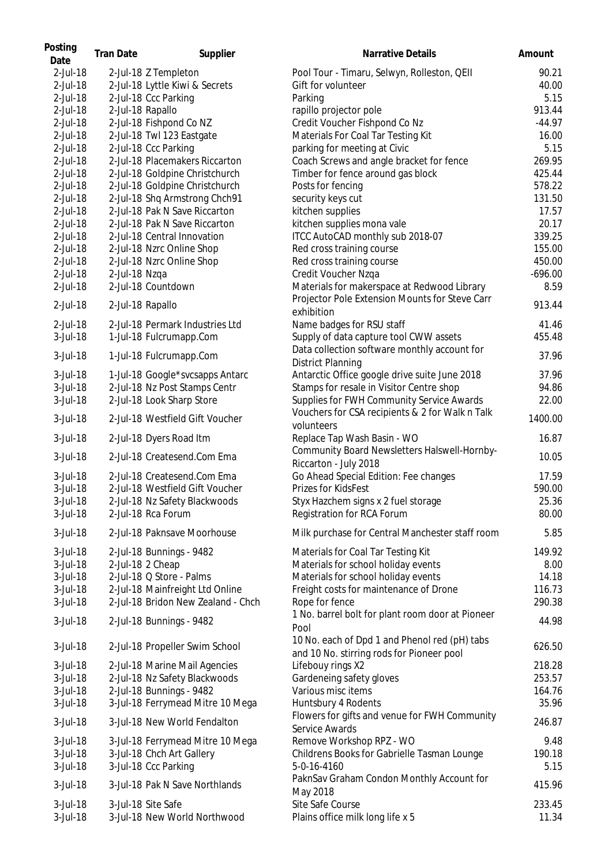| Posting<br>Date | <b>Tran Date</b> | Supplier                           | <b>Narrative Details</b>                                        | Amount    |
|-----------------|------------------|------------------------------------|-----------------------------------------------------------------|-----------|
| 2-Jul-18        |                  | 2-Jul-18 Z Templeton               | Pool Tour - Timaru, Selwyn, Rolleston, QEII                     | 90.21     |
| 2-Jul-18        |                  | 2-Jul-18 Lyttle Kiwi & Secrets     | Gift for volunteer                                              | 40.00     |
| 2-Jul-18        |                  | 2-Jul-18 Ccc Parking               | Parking                                                         | 5.15      |
| 2-Jul-18        |                  | 2-Jul-18 Rapallo                   | rapillo projector pole                                          | 913.44    |
| 2-Jul-18        |                  | 2-Jul-18 Fishpond Co NZ            | Credit Voucher Fishpond Co Nz                                   | $-44.97$  |
| 2-Jul-18        |                  | 2-Jul-18 Twl 123 Eastgate          | Materials For Coal Tar Testing Kit                              | 16.00     |
| 2-Jul-18        |                  | 2-Jul-18 Ccc Parking               | parking for meeting at Civic                                    | 5.15      |
| 2-Jul-18        |                  | 2-Jul-18 Placemakers Riccarton     | Coach Screws and angle bracket for fence                        | 269.95    |
| 2-Jul-18        |                  | 2-Jul-18 Goldpine Christchurch     | Timber for fence around gas block                               | 425.44    |
| 2-Jul-18        |                  | 2-Jul-18 Goldpine Christchurch     | Posts for fencing                                               | 578.22    |
| 2-Jul-18        |                  | 2-Jul-18 Shq Armstrong Chch91      | security keys cut                                               | 131.50    |
| 2-Jul-18        |                  | 2-Jul-18 Pak N Save Riccarton      | kitchen supplies                                                | 17.57     |
| 2-Jul-18        |                  | 2-Jul-18 Pak N Save Riccarton      | kitchen supplies mona vale                                      | 20.17     |
| 2-Jul-18        |                  | 2-Jul-18 Central Innovation        | ITCC AutoCAD monthly sub 2018-07                                | 339.25    |
|                 |                  |                                    | Red cross training course                                       |           |
| 2-Jul-18        |                  | 2-Jul-18 Nzrc Online Shop          |                                                                 | 155.00    |
| 2-Jul-18        |                  | 2-Jul-18 Nzrc Online Shop          | Red cross training course                                       | 450.00    |
| 2-Jul-18        | 2-Jul-18 Nzqa    |                                    | Credit Voucher Nzqa                                             | $-696.00$ |
| 2-Jul-18        |                  | 2-Jul-18 Countdown                 | Materials for makerspace at Redwood Library                     | 8.59      |
| 2-Jul-18        |                  | 2-Jul-18 Rapallo                   | Projector Pole Extension Mounts for Steve Carr                  | 913.44    |
|                 |                  |                                    | exhibition                                                      |           |
| 2-Jul-18        |                  | 2-Jul-18 Permark Industries Ltd    | Name badges for RSU staff                                       | 41.46     |
| 3-Jul-18        |                  | 1-Jul-18 Fulcrumapp.Com            | Supply of data capture tool CWW assets                          | 455.48    |
| 3-Jul-18        |                  | 1-Jul-18 Fulcrumapp.Com            | Data collection software monthly account for                    | 37.96     |
|                 |                  |                                    | <b>District Planning</b>                                        |           |
| 3-Jul-18        |                  | 1-Jul-18 Google*svcsapps Antarc    | Antarctic Office google drive suite June 2018                   | 37.96     |
| 3-Jul-18        |                  | 2-Jul-18 Nz Post Stamps Centr      | Stamps for resale in Visitor Centre shop                        | 94.86     |
| 3-Jul-18        |                  | 2-Jul-18 Look Sharp Store          | Supplies for FWH Community Service Awards                       | 22.00     |
| 3-Jul-18        |                  | 2-Jul-18 Westfield Gift Voucher    | Vouchers for CSA recipients & 2 for Walk n Talk                 | 1400.00   |
|                 |                  |                                    | volunteers                                                      |           |
| 3-Jul-18        |                  | 2-Jul-18 Dyers Road Itm            | Replace Tap Wash Basin - WO                                     | 16.87     |
| 3-Jul-18        |                  | 2-Jul-18 Createsend.Com Ema        | Community Board Newsletters Halswell-Hornby-                    | 10.05     |
|                 |                  |                                    | Riccarton - July 2018                                           |           |
| 3-Jul-18        |                  | 2-Jul-18 Createsend.Com Ema        | Go Ahead Special Edition: Fee changes                           | 17.59     |
| 3-Jul-18        |                  | 2-Jul-18 Westfield Gift Voucher    | Prizes for KidsFest                                             | 590.00    |
| 3-Jul-18        |                  | 2-Jul-18 Nz Safety Blackwoods      | Styx Hazchem signs x 2 fuel storage                             | 25.36     |
| 3-Jul-18        |                  | 2-Jul-18 Rca Forum                 | Registration for RCA Forum                                      | 80.00     |
| 3-Jul-18        |                  | 2-Jul-18 Paknsave Moorhouse        | Milk purchase for Central Manchester staff room                 | 5.85      |
| 3-Jul-18        |                  | 2-Jul-18 Bunnings - 9482           | Materials for Coal Tar Testing Kit                              | 149.92    |
| 3-Jul-18        |                  | 2-Jul-18 2 Cheap                   | Materials for school holiday events                             | 8.00      |
| 3-Jul-18        |                  |                                    |                                                                 |           |
|                 |                  | 2-Jul-18 Q Store - Palms           | Materials for school holiday events                             | 14.18     |
| $3$ -Jul-18     |                  | 2-Jul-18 Mainfreight Ltd Online    | Freight costs for maintenance of Drone                          | 116.73    |
| 3-Jul-18        |                  | 2-Jul-18 Bridon New Zealand - Chch | Rope for fence                                                  | 290.38    |
| 3-Jul-18        |                  | 2-Jul-18 Bunnings - 9482           | 1 No. barrel bolt for plant room door at Pioneer<br>Pool        | 44.98     |
| 3-Jul-18        |                  | 2-Jul-18 Propeller Swim School     | 10 No. each of Dpd 1 and Phenol red (pH) tabs                   | 626.50    |
|                 |                  |                                    | and 10 No. stirring rods for Pioneer pool                       |           |
| 3-Jul-18        |                  | 2-Jul-18 Marine Mail Agencies      | Lifebouy rings X2                                               | 218.28    |
| 3-Jul-18        |                  | 2-Jul-18 Nz Safety Blackwoods      | Gardeneing safety gloves                                        | 253.57    |
| 3-Jul-18        |                  | 2-Jul-18 Bunnings - 9482           | Various misc items                                              | 164.76    |
| 3-Jul-18        |                  | 3-Jul-18 Ferrymead Mitre 10 Mega   | Huntsbury 4 Rodents                                             | 35.96     |
| 3-Jul-18        |                  | 3-Jul-18 New World Fendalton       | Flowers for gifts and venue for FWH Community<br>Service Awards | 246.87    |
| 3-Jul-18        |                  | 3-Jul-18 Ferrymead Mitre 10 Mega   | Remove Workshop RPZ - WO                                        | 9.48      |
| 3-Jul-18        |                  | 3-Jul-18 Chch Art Gallery          | Childrens Books for Gabrielle Tasman Lounge                     | 190.18    |
| 3-Jul-18        |                  | 3-Jul-18 Ccc Parking               | 5-0-16-4160                                                     | 5.15      |
| 3-Jul-18        |                  | 3-Jul-18 Pak N Save Northlands     | PaknSav Graham Condon Monthly Account for                       | 415.96    |
| 3-Jul-18        |                  | 3-Jul-18 Site Safe                 | May 2018<br>Site Safe Course                                    | 233.45    |
| 3-Jul-18        |                  |                                    |                                                                 | 11.34     |
|                 |                  | 3-Jul-18 New World Northwood       | Plains office milk long life x 5                                |           |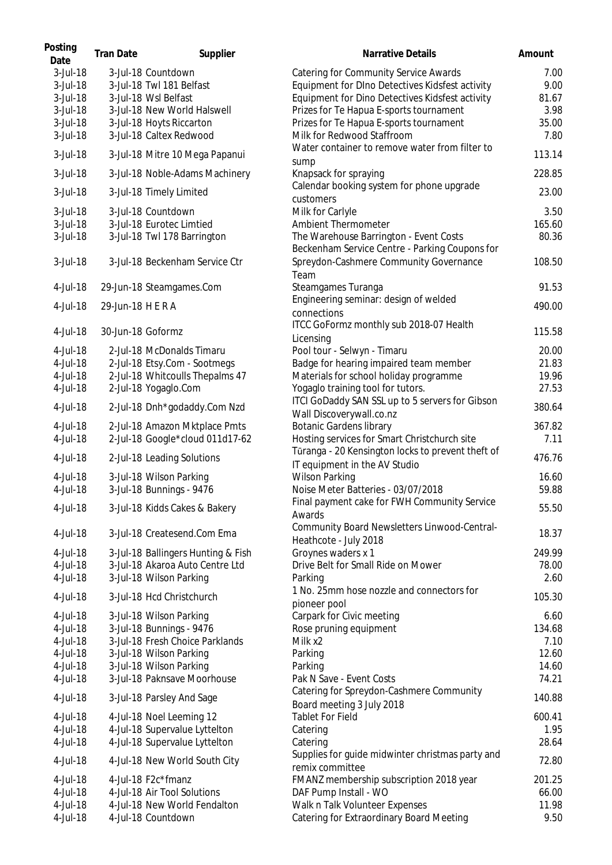| 3-Jul-18<br>3-Jul-18 Countdown<br><b>Catering for Community Service Awards</b><br>3-Jul-18 Twl 181 Belfast<br>Equipment for DIno Detectives Kidsfest activity<br>3-Jul-18<br>3-Jul-18<br>Equipment for Dino Detectives Kidsfest activity<br>3-Jul-18 Wsl Belfast<br>Prizes for Te Hapua E-sports tournament<br>3-Jul-18<br>3-Jul-18 New World Halswell<br>Prizes for Te Hapua E-sports tournament<br>3-Jul-18<br>3-Jul-18 Hoyts Riccarton<br>Milk for Redwood Staffroom<br>3-Jul-18<br>3-Jul-18 Caltex Redwood<br>Water container to remove water from filter to<br>3-Jul-18<br>3-Jul-18 Mitre 10 Mega Papanui<br>sump<br>3-Jul-18<br>3-Jul-18 Noble-Adams Machinery<br>Knapsack for spraying<br>Calendar booking system for phone upgrade<br>3-Jul-18<br>3-Jul-18 Timely Limited<br>customers<br>3-Jul-18 Countdown<br>Milk for Carlyle<br>3-Jul-18<br>3-Jul-18 Eurotec Limtied<br>Ambient Thermometer<br>3-Jul-18<br>3-Jul-18 Twl 178 Barrington<br>The Warehouse Barrington - Event Costs<br>3-Jul-18<br>Beckenham Service Centre - Parking Coupons for<br>3-Jul-18<br>3-Jul-18 Beckenham Service Ctr<br>Spreydon-Cashmere Community Governance<br>Team<br>4-Jul-18<br>29-Jun-18 Steamgames.Com<br>Steamgames Turanga<br>Engineering seminar: design of welded<br>29-Jun-18 H E R A<br>4-Jul-18<br>connections<br>ITCC GoFormz monthly sub 2018-07 Health<br>30-Jun-18 Goformz<br>115.58<br>4-Jul-18<br>Licensing<br>Pool tour - Selwyn - Timaru<br>4-Jul-18<br>2-Jul-18 McDonalds Timaru<br>Badge for hearing impaired team member<br>4-Jul-18<br>2-Jul-18 Etsy.Com - Sootmegs<br>2-Jul-18 Whitcoulls Thepalms 47<br>Materials for school holiday programme<br>4-Jul-18<br>2-Jul-18 Yogaglo.Com<br>Yogaglo training tool for tutors.<br>4-Jul-18<br>ITCI GoDaddy SAN SSL up to 5 servers for Gibson<br>4-Jul-18<br>2-Jul-18 Dnh*godaddy.Com Nzd<br>Wall Discoverywall.co.nz<br><b>Botanic Gardens library</b><br>367.82<br>4-Jul-18<br>2-Jul-18 Amazon Mktplace Pmts<br>2-Jul-18 Google*cloud 011d17-62<br>Hosting services for Smart Christchurch site<br>4-Jul-18<br>Tūranga - 20 Kensington locks to prevent theft of<br>4-Jul-18<br>2-Jul-18 Leading Solutions<br>IT equipment in the AV Studio<br><b>Wilson Parking</b><br>4-Jul-18<br>3-Jul-18 Wilson Parking<br>3-Jul-18 Bunnings - 9476<br>Noise Meter Batteries - 03/07/2018<br>4-Jul-18<br>Final payment cake for FWH Community Service<br>4-Jul-18<br>3-Jul-18 Kidds Cakes & Bakery<br>Awards<br>Community Board Newsletters Linwood-Central-<br>4-Jul-18<br>3-Jul-18 Createsend.Com Ema<br>Heathcote - July 2018<br>Groynes waders x 1<br>4-Jul-18<br>3-Jul-18 Ballingers Hunting & Fish<br>Drive Belt for Small Ride on Mower<br>3-Jul-18 Akaroa Auto Centre Ltd<br>4-Jul-18<br>4-Jul-18<br>3-Jul-18 Wilson Parking<br>Parking<br>1 No. 25mm hose nozzle and connectors for<br>3-Jul-18 Hcd Christchurch<br>4-Jul-18<br>pioneer pool<br>Carpark for Civic meeting<br>4-Jul-18<br>3-Jul-18 Wilson Parking<br>6.60<br>3-Jul-18 Bunnings - 9476<br>Rose pruning equipment<br>4-Jul-18<br>134.68<br>3-Jul-18 Fresh Choice Parklands<br>Milk x2<br>4-Jul-18<br>7.10<br>3-Jul-18 Wilson Parking<br>12.60<br>4-Jul-18<br>Parking<br>3-Jul-18 Wilson Parking<br>4-Jul-18<br>Parking<br>3-Jul-18 Paknsave Moorhouse<br>Pak N Save - Event Costs<br>4-Jul-18<br>Catering for Spreydon-Cashmere Community<br>4-Jul-18<br>3-Jul-18 Parsley And Sage<br>Board meeting 3 July 2018<br><b>Tablet For Field</b><br>4-Jul-18<br>4-Jul-18 Noel Leeming 12<br>4-Jul-18 Supervalue Lyttelton<br>4-Jul-18<br>Catering<br>4-Jul-18 Supervalue Lyttelton<br>4-Jul-18<br>Catering<br>Supplies for guide midwinter christmas party and<br>4-Jul-18<br>4-Jul-18 New World South City<br>remix committee<br>4-Jul-18 F2c*fmanz<br>FMANZ membership subscription 2018 year<br>201.25<br>4-Jul-18<br>4-Jul-18<br>4-Jul-18 Air Tool Solutions<br>DAF Pump Install - WO<br>66.00<br>Walk n Talk Volunteer Expenses<br>4-Jul-18<br>4-Jul-18 New World Fendalton<br>11.98<br>Catering for Extraordinary Board Meeting<br>4-Jul-18<br>4-Jul-18 Countdown | Posting<br>Date | <b>Tran Date</b> | Supplier | <b>Narrative Details</b> | Amount |
|-----------------------------------------------------------------------------------------------------------------------------------------------------------------------------------------------------------------------------------------------------------------------------------------------------------------------------------------------------------------------------------------------------------------------------------------------------------------------------------------------------------------------------------------------------------------------------------------------------------------------------------------------------------------------------------------------------------------------------------------------------------------------------------------------------------------------------------------------------------------------------------------------------------------------------------------------------------------------------------------------------------------------------------------------------------------------------------------------------------------------------------------------------------------------------------------------------------------------------------------------------------------------------------------------------------------------------------------------------------------------------------------------------------------------------------------------------------------------------------------------------------------------------------------------------------------------------------------------------------------------------------------------------------------------------------------------------------------------------------------------------------------------------------------------------------------------------------------------------------------------------------------------------------------------------------------------------------------------------------------------------------------------------------------------------------------------------------------------------------------------------------------------------------------------------------------------------------------------------------------------------------------------------------------------------------------------------------------------------------------------------------------------------------------------------------------------------------------------------------------------------------------------------------------------------------------------------------------------------------------------------------------------------------------------------------------------------------------------------------------------------------------------------------------------------------------------------------------------------------------------------------------------------------------------------------------------------------------------------------------------------------------------------------------------------------------------------------------------------------------------------------------------------------------------------------------------------------------------------------------------------------------------------------------------------------------------------------------------------------------------------------------------------------------------------------------------------------------------------------------------------------------------------------------------------------------------------------------------------------------------------------------------------------------------------------------------------------------------------------------------------------------------------------------------------------------------------------------------------------------------------------------------------------------------------------------------------------------------------------------------------------------------------------------------------------------------------------------|-----------------|------------------|----------|--------------------------|--------|
|                                                                                                                                                                                                                                                                                                                                                                                                                                                                                                                                                                                                                                                                                                                                                                                                                                                                                                                                                                                                                                                                                                                                                                                                                                                                                                                                                                                                                                                                                                                                                                                                                                                                                                                                                                                                                                                                                                                                                                                                                                                                                                                                                                                                                                                                                                                                                                                                                                                                                                                                                                                                                                                                                                                                                                                                                                                                                                                                                                                                                                                                                                                                                                                                                                                                                                                                                                                                                                                                                                                                                                                                                                                                                                                                                                                                                                                                                                                                                                                                                                                                                         |                 |                  |          |                          | 7.00   |
|                                                                                                                                                                                                                                                                                                                                                                                                                                                                                                                                                                                                                                                                                                                                                                                                                                                                                                                                                                                                                                                                                                                                                                                                                                                                                                                                                                                                                                                                                                                                                                                                                                                                                                                                                                                                                                                                                                                                                                                                                                                                                                                                                                                                                                                                                                                                                                                                                                                                                                                                                                                                                                                                                                                                                                                                                                                                                                                                                                                                                                                                                                                                                                                                                                                                                                                                                                                                                                                                                                                                                                                                                                                                                                                                                                                                                                                                                                                                                                                                                                                                                         |                 |                  |          |                          | 9.00   |
|                                                                                                                                                                                                                                                                                                                                                                                                                                                                                                                                                                                                                                                                                                                                                                                                                                                                                                                                                                                                                                                                                                                                                                                                                                                                                                                                                                                                                                                                                                                                                                                                                                                                                                                                                                                                                                                                                                                                                                                                                                                                                                                                                                                                                                                                                                                                                                                                                                                                                                                                                                                                                                                                                                                                                                                                                                                                                                                                                                                                                                                                                                                                                                                                                                                                                                                                                                                                                                                                                                                                                                                                                                                                                                                                                                                                                                                                                                                                                                                                                                                                                         |                 |                  |          |                          | 81.67  |
|                                                                                                                                                                                                                                                                                                                                                                                                                                                                                                                                                                                                                                                                                                                                                                                                                                                                                                                                                                                                                                                                                                                                                                                                                                                                                                                                                                                                                                                                                                                                                                                                                                                                                                                                                                                                                                                                                                                                                                                                                                                                                                                                                                                                                                                                                                                                                                                                                                                                                                                                                                                                                                                                                                                                                                                                                                                                                                                                                                                                                                                                                                                                                                                                                                                                                                                                                                                                                                                                                                                                                                                                                                                                                                                                                                                                                                                                                                                                                                                                                                                                                         |                 |                  |          |                          | 3.98   |
|                                                                                                                                                                                                                                                                                                                                                                                                                                                                                                                                                                                                                                                                                                                                                                                                                                                                                                                                                                                                                                                                                                                                                                                                                                                                                                                                                                                                                                                                                                                                                                                                                                                                                                                                                                                                                                                                                                                                                                                                                                                                                                                                                                                                                                                                                                                                                                                                                                                                                                                                                                                                                                                                                                                                                                                                                                                                                                                                                                                                                                                                                                                                                                                                                                                                                                                                                                                                                                                                                                                                                                                                                                                                                                                                                                                                                                                                                                                                                                                                                                                                                         |                 |                  |          |                          | 35.00  |
|                                                                                                                                                                                                                                                                                                                                                                                                                                                                                                                                                                                                                                                                                                                                                                                                                                                                                                                                                                                                                                                                                                                                                                                                                                                                                                                                                                                                                                                                                                                                                                                                                                                                                                                                                                                                                                                                                                                                                                                                                                                                                                                                                                                                                                                                                                                                                                                                                                                                                                                                                                                                                                                                                                                                                                                                                                                                                                                                                                                                                                                                                                                                                                                                                                                                                                                                                                                                                                                                                                                                                                                                                                                                                                                                                                                                                                                                                                                                                                                                                                                                                         |                 |                  |          |                          | 7.80   |
|                                                                                                                                                                                                                                                                                                                                                                                                                                                                                                                                                                                                                                                                                                                                                                                                                                                                                                                                                                                                                                                                                                                                                                                                                                                                                                                                                                                                                                                                                                                                                                                                                                                                                                                                                                                                                                                                                                                                                                                                                                                                                                                                                                                                                                                                                                                                                                                                                                                                                                                                                                                                                                                                                                                                                                                                                                                                                                                                                                                                                                                                                                                                                                                                                                                                                                                                                                                                                                                                                                                                                                                                                                                                                                                                                                                                                                                                                                                                                                                                                                                                                         |                 |                  |          |                          | 113.14 |
|                                                                                                                                                                                                                                                                                                                                                                                                                                                                                                                                                                                                                                                                                                                                                                                                                                                                                                                                                                                                                                                                                                                                                                                                                                                                                                                                                                                                                                                                                                                                                                                                                                                                                                                                                                                                                                                                                                                                                                                                                                                                                                                                                                                                                                                                                                                                                                                                                                                                                                                                                                                                                                                                                                                                                                                                                                                                                                                                                                                                                                                                                                                                                                                                                                                                                                                                                                                                                                                                                                                                                                                                                                                                                                                                                                                                                                                                                                                                                                                                                                                                                         |                 |                  |          |                          | 228.85 |
|                                                                                                                                                                                                                                                                                                                                                                                                                                                                                                                                                                                                                                                                                                                                                                                                                                                                                                                                                                                                                                                                                                                                                                                                                                                                                                                                                                                                                                                                                                                                                                                                                                                                                                                                                                                                                                                                                                                                                                                                                                                                                                                                                                                                                                                                                                                                                                                                                                                                                                                                                                                                                                                                                                                                                                                                                                                                                                                                                                                                                                                                                                                                                                                                                                                                                                                                                                                                                                                                                                                                                                                                                                                                                                                                                                                                                                                                                                                                                                                                                                                                                         |                 |                  |          |                          | 23.00  |
|                                                                                                                                                                                                                                                                                                                                                                                                                                                                                                                                                                                                                                                                                                                                                                                                                                                                                                                                                                                                                                                                                                                                                                                                                                                                                                                                                                                                                                                                                                                                                                                                                                                                                                                                                                                                                                                                                                                                                                                                                                                                                                                                                                                                                                                                                                                                                                                                                                                                                                                                                                                                                                                                                                                                                                                                                                                                                                                                                                                                                                                                                                                                                                                                                                                                                                                                                                                                                                                                                                                                                                                                                                                                                                                                                                                                                                                                                                                                                                                                                                                                                         |                 |                  |          |                          | 3.50   |
|                                                                                                                                                                                                                                                                                                                                                                                                                                                                                                                                                                                                                                                                                                                                                                                                                                                                                                                                                                                                                                                                                                                                                                                                                                                                                                                                                                                                                                                                                                                                                                                                                                                                                                                                                                                                                                                                                                                                                                                                                                                                                                                                                                                                                                                                                                                                                                                                                                                                                                                                                                                                                                                                                                                                                                                                                                                                                                                                                                                                                                                                                                                                                                                                                                                                                                                                                                                                                                                                                                                                                                                                                                                                                                                                                                                                                                                                                                                                                                                                                                                                                         |                 |                  |          |                          | 165.60 |
|                                                                                                                                                                                                                                                                                                                                                                                                                                                                                                                                                                                                                                                                                                                                                                                                                                                                                                                                                                                                                                                                                                                                                                                                                                                                                                                                                                                                                                                                                                                                                                                                                                                                                                                                                                                                                                                                                                                                                                                                                                                                                                                                                                                                                                                                                                                                                                                                                                                                                                                                                                                                                                                                                                                                                                                                                                                                                                                                                                                                                                                                                                                                                                                                                                                                                                                                                                                                                                                                                                                                                                                                                                                                                                                                                                                                                                                                                                                                                                                                                                                                                         |                 |                  |          |                          | 80.36  |
|                                                                                                                                                                                                                                                                                                                                                                                                                                                                                                                                                                                                                                                                                                                                                                                                                                                                                                                                                                                                                                                                                                                                                                                                                                                                                                                                                                                                                                                                                                                                                                                                                                                                                                                                                                                                                                                                                                                                                                                                                                                                                                                                                                                                                                                                                                                                                                                                                                                                                                                                                                                                                                                                                                                                                                                                                                                                                                                                                                                                                                                                                                                                                                                                                                                                                                                                                                                                                                                                                                                                                                                                                                                                                                                                                                                                                                                                                                                                                                                                                                                                                         |                 |                  |          |                          | 108.50 |
|                                                                                                                                                                                                                                                                                                                                                                                                                                                                                                                                                                                                                                                                                                                                                                                                                                                                                                                                                                                                                                                                                                                                                                                                                                                                                                                                                                                                                                                                                                                                                                                                                                                                                                                                                                                                                                                                                                                                                                                                                                                                                                                                                                                                                                                                                                                                                                                                                                                                                                                                                                                                                                                                                                                                                                                                                                                                                                                                                                                                                                                                                                                                                                                                                                                                                                                                                                                                                                                                                                                                                                                                                                                                                                                                                                                                                                                                                                                                                                                                                                                                                         |                 |                  |          |                          | 91.53  |
|                                                                                                                                                                                                                                                                                                                                                                                                                                                                                                                                                                                                                                                                                                                                                                                                                                                                                                                                                                                                                                                                                                                                                                                                                                                                                                                                                                                                                                                                                                                                                                                                                                                                                                                                                                                                                                                                                                                                                                                                                                                                                                                                                                                                                                                                                                                                                                                                                                                                                                                                                                                                                                                                                                                                                                                                                                                                                                                                                                                                                                                                                                                                                                                                                                                                                                                                                                                                                                                                                                                                                                                                                                                                                                                                                                                                                                                                                                                                                                                                                                                                                         |                 |                  |          |                          | 490.00 |
|                                                                                                                                                                                                                                                                                                                                                                                                                                                                                                                                                                                                                                                                                                                                                                                                                                                                                                                                                                                                                                                                                                                                                                                                                                                                                                                                                                                                                                                                                                                                                                                                                                                                                                                                                                                                                                                                                                                                                                                                                                                                                                                                                                                                                                                                                                                                                                                                                                                                                                                                                                                                                                                                                                                                                                                                                                                                                                                                                                                                                                                                                                                                                                                                                                                                                                                                                                                                                                                                                                                                                                                                                                                                                                                                                                                                                                                                                                                                                                                                                                                                                         |                 |                  |          |                          |        |
|                                                                                                                                                                                                                                                                                                                                                                                                                                                                                                                                                                                                                                                                                                                                                                                                                                                                                                                                                                                                                                                                                                                                                                                                                                                                                                                                                                                                                                                                                                                                                                                                                                                                                                                                                                                                                                                                                                                                                                                                                                                                                                                                                                                                                                                                                                                                                                                                                                                                                                                                                                                                                                                                                                                                                                                                                                                                                                                                                                                                                                                                                                                                                                                                                                                                                                                                                                                                                                                                                                                                                                                                                                                                                                                                                                                                                                                                                                                                                                                                                                                                                         |                 |                  |          |                          |        |
|                                                                                                                                                                                                                                                                                                                                                                                                                                                                                                                                                                                                                                                                                                                                                                                                                                                                                                                                                                                                                                                                                                                                                                                                                                                                                                                                                                                                                                                                                                                                                                                                                                                                                                                                                                                                                                                                                                                                                                                                                                                                                                                                                                                                                                                                                                                                                                                                                                                                                                                                                                                                                                                                                                                                                                                                                                                                                                                                                                                                                                                                                                                                                                                                                                                                                                                                                                                                                                                                                                                                                                                                                                                                                                                                                                                                                                                                                                                                                                                                                                                                                         |                 |                  |          |                          | 20.00  |
|                                                                                                                                                                                                                                                                                                                                                                                                                                                                                                                                                                                                                                                                                                                                                                                                                                                                                                                                                                                                                                                                                                                                                                                                                                                                                                                                                                                                                                                                                                                                                                                                                                                                                                                                                                                                                                                                                                                                                                                                                                                                                                                                                                                                                                                                                                                                                                                                                                                                                                                                                                                                                                                                                                                                                                                                                                                                                                                                                                                                                                                                                                                                                                                                                                                                                                                                                                                                                                                                                                                                                                                                                                                                                                                                                                                                                                                                                                                                                                                                                                                                                         |                 |                  |          |                          | 21.83  |
|                                                                                                                                                                                                                                                                                                                                                                                                                                                                                                                                                                                                                                                                                                                                                                                                                                                                                                                                                                                                                                                                                                                                                                                                                                                                                                                                                                                                                                                                                                                                                                                                                                                                                                                                                                                                                                                                                                                                                                                                                                                                                                                                                                                                                                                                                                                                                                                                                                                                                                                                                                                                                                                                                                                                                                                                                                                                                                                                                                                                                                                                                                                                                                                                                                                                                                                                                                                                                                                                                                                                                                                                                                                                                                                                                                                                                                                                                                                                                                                                                                                                                         |                 |                  |          |                          | 19.96  |
|                                                                                                                                                                                                                                                                                                                                                                                                                                                                                                                                                                                                                                                                                                                                                                                                                                                                                                                                                                                                                                                                                                                                                                                                                                                                                                                                                                                                                                                                                                                                                                                                                                                                                                                                                                                                                                                                                                                                                                                                                                                                                                                                                                                                                                                                                                                                                                                                                                                                                                                                                                                                                                                                                                                                                                                                                                                                                                                                                                                                                                                                                                                                                                                                                                                                                                                                                                                                                                                                                                                                                                                                                                                                                                                                                                                                                                                                                                                                                                                                                                                                                         |                 |                  |          |                          | 27.53  |
|                                                                                                                                                                                                                                                                                                                                                                                                                                                                                                                                                                                                                                                                                                                                                                                                                                                                                                                                                                                                                                                                                                                                                                                                                                                                                                                                                                                                                                                                                                                                                                                                                                                                                                                                                                                                                                                                                                                                                                                                                                                                                                                                                                                                                                                                                                                                                                                                                                                                                                                                                                                                                                                                                                                                                                                                                                                                                                                                                                                                                                                                                                                                                                                                                                                                                                                                                                                                                                                                                                                                                                                                                                                                                                                                                                                                                                                                                                                                                                                                                                                                                         |                 |                  |          |                          | 380.64 |
|                                                                                                                                                                                                                                                                                                                                                                                                                                                                                                                                                                                                                                                                                                                                                                                                                                                                                                                                                                                                                                                                                                                                                                                                                                                                                                                                                                                                                                                                                                                                                                                                                                                                                                                                                                                                                                                                                                                                                                                                                                                                                                                                                                                                                                                                                                                                                                                                                                                                                                                                                                                                                                                                                                                                                                                                                                                                                                                                                                                                                                                                                                                                                                                                                                                                                                                                                                                                                                                                                                                                                                                                                                                                                                                                                                                                                                                                                                                                                                                                                                                                                         |                 |                  |          |                          |        |
|                                                                                                                                                                                                                                                                                                                                                                                                                                                                                                                                                                                                                                                                                                                                                                                                                                                                                                                                                                                                                                                                                                                                                                                                                                                                                                                                                                                                                                                                                                                                                                                                                                                                                                                                                                                                                                                                                                                                                                                                                                                                                                                                                                                                                                                                                                                                                                                                                                                                                                                                                                                                                                                                                                                                                                                                                                                                                                                                                                                                                                                                                                                                                                                                                                                                                                                                                                                                                                                                                                                                                                                                                                                                                                                                                                                                                                                                                                                                                                                                                                                                                         |                 |                  |          |                          | 7.11   |
|                                                                                                                                                                                                                                                                                                                                                                                                                                                                                                                                                                                                                                                                                                                                                                                                                                                                                                                                                                                                                                                                                                                                                                                                                                                                                                                                                                                                                                                                                                                                                                                                                                                                                                                                                                                                                                                                                                                                                                                                                                                                                                                                                                                                                                                                                                                                                                                                                                                                                                                                                                                                                                                                                                                                                                                                                                                                                                                                                                                                                                                                                                                                                                                                                                                                                                                                                                                                                                                                                                                                                                                                                                                                                                                                                                                                                                                                                                                                                                                                                                                                                         |                 |                  |          |                          | 476.76 |
|                                                                                                                                                                                                                                                                                                                                                                                                                                                                                                                                                                                                                                                                                                                                                                                                                                                                                                                                                                                                                                                                                                                                                                                                                                                                                                                                                                                                                                                                                                                                                                                                                                                                                                                                                                                                                                                                                                                                                                                                                                                                                                                                                                                                                                                                                                                                                                                                                                                                                                                                                                                                                                                                                                                                                                                                                                                                                                                                                                                                                                                                                                                                                                                                                                                                                                                                                                                                                                                                                                                                                                                                                                                                                                                                                                                                                                                                                                                                                                                                                                                                                         |                 |                  |          |                          | 16.60  |
|                                                                                                                                                                                                                                                                                                                                                                                                                                                                                                                                                                                                                                                                                                                                                                                                                                                                                                                                                                                                                                                                                                                                                                                                                                                                                                                                                                                                                                                                                                                                                                                                                                                                                                                                                                                                                                                                                                                                                                                                                                                                                                                                                                                                                                                                                                                                                                                                                                                                                                                                                                                                                                                                                                                                                                                                                                                                                                                                                                                                                                                                                                                                                                                                                                                                                                                                                                                                                                                                                                                                                                                                                                                                                                                                                                                                                                                                                                                                                                                                                                                                                         |                 |                  |          |                          | 59.88  |
|                                                                                                                                                                                                                                                                                                                                                                                                                                                                                                                                                                                                                                                                                                                                                                                                                                                                                                                                                                                                                                                                                                                                                                                                                                                                                                                                                                                                                                                                                                                                                                                                                                                                                                                                                                                                                                                                                                                                                                                                                                                                                                                                                                                                                                                                                                                                                                                                                                                                                                                                                                                                                                                                                                                                                                                                                                                                                                                                                                                                                                                                                                                                                                                                                                                                                                                                                                                                                                                                                                                                                                                                                                                                                                                                                                                                                                                                                                                                                                                                                                                                                         |                 |                  |          |                          | 55.50  |
|                                                                                                                                                                                                                                                                                                                                                                                                                                                                                                                                                                                                                                                                                                                                                                                                                                                                                                                                                                                                                                                                                                                                                                                                                                                                                                                                                                                                                                                                                                                                                                                                                                                                                                                                                                                                                                                                                                                                                                                                                                                                                                                                                                                                                                                                                                                                                                                                                                                                                                                                                                                                                                                                                                                                                                                                                                                                                                                                                                                                                                                                                                                                                                                                                                                                                                                                                                                                                                                                                                                                                                                                                                                                                                                                                                                                                                                                                                                                                                                                                                                                                         |                 |                  |          |                          | 18.37  |
|                                                                                                                                                                                                                                                                                                                                                                                                                                                                                                                                                                                                                                                                                                                                                                                                                                                                                                                                                                                                                                                                                                                                                                                                                                                                                                                                                                                                                                                                                                                                                                                                                                                                                                                                                                                                                                                                                                                                                                                                                                                                                                                                                                                                                                                                                                                                                                                                                                                                                                                                                                                                                                                                                                                                                                                                                                                                                                                                                                                                                                                                                                                                                                                                                                                                                                                                                                                                                                                                                                                                                                                                                                                                                                                                                                                                                                                                                                                                                                                                                                                                                         |                 |                  |          |                          | 249.99 |
|                                                                                                                                                                                                                                                                                                                                                                                                                                                                                                                                                                                                                                                                                                                                                                                                                                                                                                                                                                                                                                                                                                                                                                                                                                                                                                                                                                                                                                                                                                                                                                                                                                                                                                                                                                                                                                                                                                                                                                                                                                                                                                                                                                                                                                                                                                                                                                                                                                                                                                                                                                                                                                                                                                                                                                                                                                                                                                                                                                                                                                                                                                                                                                                                                                                                                                                                                                                                                                                                                                                                                                                                                                                                                                                                                                                                                                                                                                                                                                                                                                                                                         |                 |                  |          |                          | 78.00  |
|                                                                                                                                                                                                                                                                                                                                                                                                                                                                                                                                                                                                                                                                                                                                                                                                                                                                                                                                                                                                                                                                                                                                                                                                                                                                                                                                                                                                                                                                                                                                                                                                                                                                                                                                                                                                                                                                                                                                                                                                                                                                                                                                                                                                                                                                                                                                                                                                                                                                                                                                                                                                                                                                                                                                                                                                                                                                                                                                                                                                                                                                                                                                                                                                                                                                                                                                                                                                                                                                                                                                                                                                                                                                                                                                                                                                                                                                                                                                                                                                                                                                                         |                 |                  |          |                          | 2.60   |
|                                                                                                                                                                                                                                                                                                                                                                                                                                                                                                                                                                                                                                                                                                                                                                                                                                                                                                                                                                                                                                                                                                                                                                                                                                                                                                                                                                                                                                                                                                                                                                                                                                                                                                                                                                                                                                                                                                                                                                                                                                                                                                                                                                                                                                                                                                                                                                                                                                                                                                                                                                                                                                                                                                                                                                                                                                                                                                                                                                                                                                                                                                                                                                                                                                                                                                                                                                                                                                                                                                                                                                                                                                                                                                                                                                                                                                                                                                                                                                                                                                                                                         |                 |                  |          |                          | 105.30 |
|                                                                                                                                                                                                                                                                                                                                                                                                                                                                                                                                                                                                                                                                                                                                                                                                                                                                                                                                                                                                                                                                                                                                                                                                                                                                                                                                                                                                                                                                                                                                                                                                                                                                                                                                                                                                                                                                                                                                                                                                                                                                                                                                                                                                                                                                                                                                                                                                                                                                                                                                                                                                                                                                                                                                                                                                                                                                                                                                                                                                                                                                                                                                                                                                                                                                                                                                                                                                                                                                                                                                                                                                                                                                                                                                                                                                                                                                                                                                                                                                                                                                                         |                 |                  |          |                          |        |
|                                                                                                                                                                                                                                                                                                                                                                                                                                                                                                                                                                                                                                                                                                                                                                                                                                                                                                                                                                                                                                                                                                                                                                                                                                                                                                                                                                                                                                                                                                                                                                                                                                                                                                                                                                                                                                                                                                                                                                                                                                                                                                                                                                                                                                                                                                                                                                                                                                                                                                                                                                                                                                                                                                                                                                                                                                                                                                                                                                                                                                                                                                                                                                                                                                                                                                                                                                                                                                                                                                                                                                                                                                                                                                                                                                                                                                                                                                                                                                                                                                                                                         |                 |                  |          |                          |        |
|                                                                                                                                                                                                                                                                                                                                                                                                                                                                                                                                                                                                                                                                                                                                                                                                                                                                                                                                                                                                                                                                                                                                                                                                                                                                                                                                                                                                                                                                                                                                                                                                                                                                                                                                                                                                                                                                                                                                                                                                                                                                                                                                                                                                                                                                                                                                                                                                                                                                                                                                                                                                                                                                                                                                                                                                                                                                                                                                                                                                                                                                                                                                                                                                                                                                                                                                                                                                                                                                                                                                                                                                                                                                                                                                                                                                                                                                                                                                                                                                                                                                                         |                 |                  |          |                          |        |
|                                                                                                                                                                                                                                                                                                                                                                                                                                                                                                                                                                                                                                                                                                                                                                                                                                                                                                                                                                                                                                                                                                                                                                                                                                                                                                                                                                                                                                                                                                                                                                                                                                                                                                                                                                                                                                                                                                                                                                                                                                                                                                                                                                                                                                                                                                                                                                                                                                                                                                                                                                                                                                                                                                                                                                                                                                                                                                                                                                                                                                                                                                                                                                                                                                                                                                                                                                                                                                                                                                                                                                                                                                                                                                                                                                                                                                                                                                                                                                                                                                                                                         |                 |                  |          |                          |        |
|                                                                                                                                                                                                                                                                                                                                                                                                                                                                                                                                                                                                                                                                                                                                                                                                                                                                                                                                                                                                                                                                                                                                                                                                                                                                                                                                                                                                                                                                                                                                                                                                                                                                                                                                                                                                                                                                                                                                                                                                                                                                                                                                                                                                                                                                                                                                                                                                                                                                                                                                                                                                                                                                                                                                                                                                                                                                                                                                                                                                                                                                                                                                                                                                                                                                                                                                                                                                                                                                                                                                                                                                                                                                                                                                                                                                                                                                                                                                                                                                                                                                                         |                 |                  |          |                          |        |
|                                                                                                                                                                                                                                                                                                                                                                                                                                                                                                                                                                                                                                                                                                                                                                                                                                                                                                                                                                                                                                                                                                                                                                                                                                                                                                                                                                                                                                                                                                                                                                                                                                                                                                                                                                                                                                                                                                                                                                                                                                                                                                                                                                                                                                                                                                                                                                                                                                                                                                                                                                                                                                                                                                                                                                                                                                                                                                                                                                                                                                                                                                                                                                                                                                                                                                                                                                                                                                                                                                                                                                                                                                                                                                                                                                                                                                                                                                                                                                                                                                                                                         |                 |                  |          |                          | 14.60  |
|                                                                                                                                                                                                                                                                                                                                                                                                                                                                                                                                                                                                                                                                                                                                                                                                                                                                                                                                                                                                                                                                                                                                                                                                                                                                                                                                                                                                                                                                                                                                                                                                                                                                                                                                                                                                                                                                                                                                                                                                                                                                                                                                                                                                                                                                                                                                                                                                                                                                                                                                                                                                                                                                                                                                                                                                                                                                                                                                                                                                                                                                                                                                                                                                                                                                                                                                                                                                                                                                                                                                                                                                                                                                                                                                                                                                                                                                                                                                                                                                                                                                                         |                 |                  |          |                          | 74.21  |
|                                                                                                                                                                                                                                                                                                                                                                                                                                                                                                                                                                                                                                                                                                                                                                                                                                                                                                                                                                                                                                                                                                                                                                                                                                                                                                                                                                                                                                                                                                                                                                                                                                                                                                                                                                                                                                                                                                                                                                                                                                                                                                                                                                                                                                                                                                                                                                                                                                                                                                                                                                                                                                                                                                                                                                                                                                                                                                                                                                                                                                                                                                                                                                                                                                                                                                                                                                                                                                                                                                                                                                                                                                                                                                                                                                                                                                                                                                                                                                                                                                                                                         |                 |                  |          |                          | 140.88 |
|                                                                                                                                                                                                                                                                                                                                                                                                                                                                                                                                                                                                                                                                                                                                                                                                                                                                                                                                                                                                                                                                                                                                                                                                                                                                                                                                                                                                                                                                                                                                                                                                                                                                                                                                                                                                                                                                                                                                                                                                                                                                                                                                                                                                                                                                                                                                                                                                                                                                                                                                                                                                                                                                                                                                                                                                                                                                                                                                                                                                                                                                                                                                                                                                                                                                                                                                                                                                                                                                                                                                                                                                                                                                                                                                                                                                                                                                                                                                                                                                                                                                                         |                 |                  |          |                          | 600.41 |
|                                                                                                                                                                                                                                                                                                                                                                                                                                                                                                                                                                                                                                                                                                                                                                                                                                                                                                                                                                                                                                                                                                                                                                                                                                                                                                                                                                                                                                                                                                                                                                                                                                                                                                                                                                                                                                                                                                                                                                                                                                                                                                                                                                                                                                                                                                                                                                                                                                                                                                                                                                                                                                                                                                                                                                                                                                                                                                                                                                                                                                                                                                                                                                                                                                                                                                                                                                                                                                                                                                                                                                                                                                                                                                                                                                                                                                                                                                                                                                                                                                                                                         |                 |                  |          |                          | 1.95   |
|                                                                                                                                                                                                                                                                                                                                                                                                                                                                                                                                                                                                                                                                                                                                                                                                                                                                                                                                                                                                                                                                                                                                                                                                                                                                                                                                                                                                                                                                                                                                                                                                                                                                                                                                                                                                                                                                                                                                                                                                                                                                                                                                                                                                                                                                                                                                                                                                                                                                                                                                                                                                                                                                                                                                                                                                                                                                                                                                                                                                                                                                                                                                                                                                                                                                                                                                                                                                                                                                                                                                                                                                                                                                                                                                                                                                                                                                                                                                                                                                                                                                                         |                 |                  |          |                          | 28.64  |
|                                                                                                                                                                                                                                                                                                                                                                                                                                                                                                                                                                                                                                                                                                                                                                                                                                                                                                                                                                                                                                                                                                                                                                                                                                                                                                                                                                                                                                                                                                                                                                                                                                                                                                                                                                                                                                                                                                                                                                                                                                                                                                                                                                                                                                                                                                                                                                                                                                                                                                                                                                                                                                                                                                                                                                                                                                                                                                                                                                                                                                                                                                                                                                                                                                                                                                                                                                                                                                                                                                                                                                                                                                                                                                                                                                                                                                                                                                                                                                                                                                                                                         |                 |                  |          |                          | 72.80  |
|                                                                                                                                                                                                                                                                                                                                                                                                                                                                                                                                                                                                                                                                                                                                                                                                                                                                                                                                                                                                                                                                                                                                                                                                                                                                                                                                                                                                                                                                                                                                                                                                                                                                                                                                                                                                                                                                                                                                                                                                                                                                                                                                                                                                                                                                                                                                                                                                                                                                                                                                                                                                                                                                                                                                                                                                                                                                                                                                                                                                                                                                                                                                                                                                                                                                                                                                                                                                                                                                                                                                                                                                                                                                                                                                                                                                                                                                                                                                                                                                                                                                                         |                 |                  |          |                          |        |
|                                                                                                                                                                                                                                                                                                                                                                                                                                                                                                                                                                                                                                                                                                                                                                                                                                                                                                                                                                                                                                                                                                                                                                                                                                                                                                                                                                                                                                                                                                                                                                                                                                                                                                                                                                                                                                                                                                                                                                                                                                                                                                                                                                                                                                                                                                                                                                                                                                                                                                                                                                                                                                                                                                                                                                                                                                                                                                                                                                                                                                                                                                                                                                                                                                                                                                                                                                                                                                                                                                                                                                                                                                                                                                                                                                                                                                                                                                                                                                                                                                                                                         |                 |                  |          |                          |        |
|                                                                                                                                                                                                                                                                                                                                                                                                                                                                                                                                                                                                                                                                                                                                                                                                                                                                                                                                                                                                                                                                                                                                                                                                                                                                                                                                                                                                                                                                                                                                                                                                                                                                                                                                                                                                                                                                                                                                                                                                                                                                                                                                                                                                                                                                                                                                                                                                                                                                                                                                                                                                                                                                                                                                                                                                                                                                                                                                                                                                                                                                                                                                                                                                                                                                                                                                                                                                                                                                                                                                                                                                                                                                                                                                                                                                                                                                                                                                                                                                                                                                                         |                 |                  |          |                          |        |
|                                                                                                                                                                                                                                                                                                                                                                                                                                                                                                                                                                                                                                                                                                                                                                                                                                                                                                                                                                                                                                                                                                                                                                                                                                                                                                                                                                                                                                                                                                                                                                                                                                                                                                                                                                                                                                                                                                                                                                                                                                                                                                                                                                                                                                                                                                                                                                                                                                                                                                                                                                                                                                                                                                                                                                                                                                                                                                                                                                                                                                                                                                                                                                                                                                                                                                                                                                                                                                                                                                                                                                                                                                                                                                                                                                                                                                                                                                                                                                                                                                                                                         |                 |                  |          |                          | 9.50   |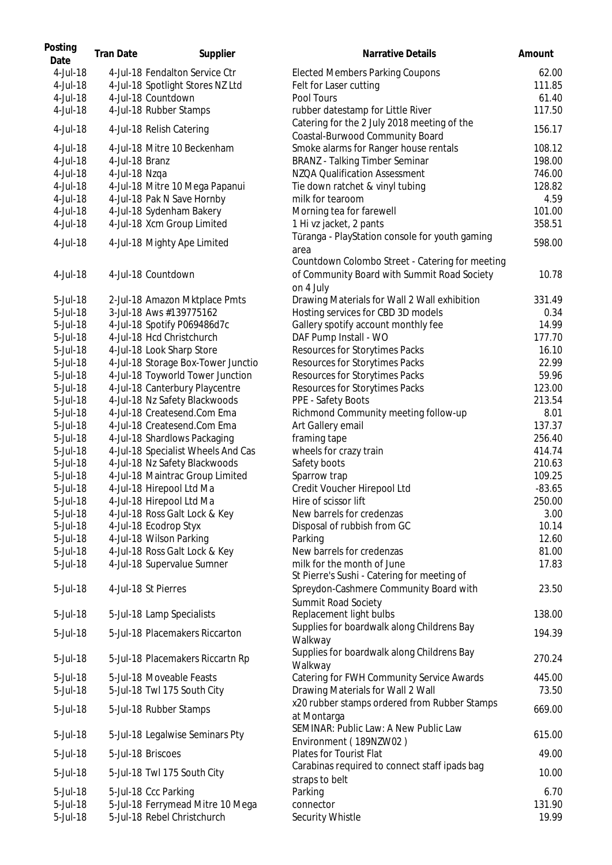| Posting<br>Date | <b>Tran Date</b> | Supplier                           | Narrative Details                                                                              | Amount   |
|-----------------|------------------|------------------------------------|------------------------------------------------------------------------------------------------|----------|
| 4-Jul-18        |                  | 4-Jul-18 Fendalton Service Ctr     | <b>Elected Members Parking Coupons</b>                                                         | 62.00    |
| 4-Jul-18        |                  | 4-Jul-18 Spotlight Stores NZ Ltd   | Felt for Laser cutting                                                                         | 111.85   |
| 4-Jul-18        |                  | 4-Jul-18 Countdown                 | Pool Tours                                                                                     | 61.40    |
| 4-Jul-18        |                  | 4-Jul-18 Rubber Stamps             | rubber datestamp for Little River<br>Catering for the 2 July 2018 meeting of the               | 117.50   |
| 4-Jul-18        |                  | 4-Jul-18 Relish Catering           | Coastal-Burwood Community Board                                                                | 156.17   |
| 4-Jul-18        |                  | 4-Jul-18 Mitre 10 Beckenham        | Smoke alarms for Ranger house rentals                                                          | 108.12   |
| 4-Jul-18        | 4-Jul-18 Branz   |                                    | <b>BRANZ</b> - Talking Timber Seminar                                                          | 198.00   |
| 4-Jul-18        | 4-Jul-18 Nzqa    |                                    | NZQA Qualification Assessment                                                                  | 746.00   |
| 4-Jul-18        |                  | 4-Jul-18 Mitre 10 Mega Papanui     | Tie down ratchet & vinyl tubing                                                                | 128.82   |
| 4-Jul-18        |                  | 4-Jul-18 Pak N Save Hornby         | milk for tearoom                                                                               | 4.59     |
| 4-Jul-18        |                  | 4-Jul-18 Sydenham Bakery           | Morning tea for farewell                                                                       | 101.00   |
| 4-Jul-18        |                  | 4-Jul-18 Xcm Group Limited         | 1 Hi vz jacket, 2 pants                                                                        | 358.51   |
| 4-Jul-18        |                  | 4-Jul-18 Mighty Ape Limited        | Tūranga - PlayStation console for youth gaming<br>area                                         | 598.00   |
| 4-Jul-18        |                  | 4-Jul-18 Countdown                 | Countdown Colombo Street - Catering for meeting<br>of Community Board with Summit Road Society | 10.78    |
| 5-Jul-18        |                  | 2-Jul-18 Amazon Mktplace Pmts      | on 4 July<br>Drawing Materials for Wall 2 Wall exhibition                                      | 331.49   |
| 5-Jul-18        |                  | 3-Jul-18 Aws #139775162            | Hosting services for CBD 3D models                                                             | 0.34     |
| 5-Jul-18        |                  | 4-Jul-18 Spotify P069486d7c        | Gallery spotify account monthly fee                                                            | 14.99    |
| 5-Jul-18        |                  | 4-Jul-18 Hcd Christchurch          | DAF Pump Install - WO                                                                          | 177.70   |
| 5-Jul-18        |                  | 4-Jul-18 Look Sharp Store          | Resources for Storytimes Packs                                                                 | 16.10    |
| 5-Jul-18        |                  | 4-Jul-18 Storage Box-Tower Junctio | Resources for Storytimes Packs                                                                 | 22.99    |
| 5-Jul-18        |                  | 4-Jul-18 Toyworld Tower Junction   | Resources for Storytimes Packs                                                                 | 59.96    |
| 5-Jul-18        |                  | 4-Jul-18 Canterbury Playcentre     | Resources for Storytimes Packs                                                                 | 123.00   |
| 5-Jul-18        |                  | 4-Jul-18 Nz Safety Blackwoods      | PPE - Safety Boots                                                                             | 213.54   |
| 5-Jul-18        |                  | 4-Jul-18 Createsend.Com Ema        | Richmond Community meeting follow-up                                                           | 8.01     |
| 5-Jul-18        |                  | 4-Jul-18 Createsend.Com Ema        | Art Gallery email                                                                              | 137.37   |
| 5-Jul-18        |                  | 4-Jul-18 Shardlows Packaging       | framing tape                                                                                   | 256.40   |
| 5-Jul-18        |                  | 4-Jul-18 Specialist Wheels And Cas | wheels for crazy train                                                                         | 414.74   |
| 5-Jul-18        |                  | 4-Jul-18 Nz Safety Blackwoods      | Safety boots                                                                                   | 210.63   |
| 5-Jul-18        |                  | 4-Jul-18 Maintrac Group Limited    | Sparrow trap                                                                                   | 109.25   |
| 5-Jul-18        |                  | 4-Jul-18 Hirepool Ltd Ma           | Credit Voucher Hirepool Ltd                                                                    | $-83.65$ |
| 5-Jul-18        |                  | 4-Jul-18 Hirepool Ltd Ma           | Hire of scissor lift                                                                           | 250.00   |
| 5-Jul-18        |                  | 4-Jul-18 Ross Galt Lock & Key      | New barrels for credenzas                                                                      | 3.00     |
| 5-Jul-18        |                  | 4-Jul-18 Ecodrop Styx              | Disposal of rubbish from GC                                                                    | 10.14    |
| 5-Jul-18        |                  | 4-Jul-18 Wilson Parking            | Parking                                                                                        | 12.60    |
| 5-Jul-18        |                  | 4-Jul-18 Ross Galt Lock & Key      | New barrels for credenzas                                                                      | 81.00    |
| 5-Jul-18        |                  | 4-Jul-18 Supervalue Sumner         | milk for the month of June<br>St Pierre's Sushi - Catering for meeting of                      | 17.83    |
| 5-Jul-18        |                  | 4-Jul-18 St Pierres                | Spreydon-Cashmere Community Board with<br>Summit Road Society                                  | 23.50    |
| 5-Jul-18        |                  | 5-Jul-18 Lamp Specialists          | Replacement light bulbs<br>Supplies for boardwalk along Childrens Bay                          | 138.00   |
| 5-Jul-18        |                  | 5-Jul-18 Placemakers Riccarton     | Walkway<br>Supplies for boardwalk along Childrens Bay                                          | 194.39   |
| 5-Jul-18        |                  | 5-Jul-18 Placemakers Riccartn Rp   | Walkway                                                                                        | 270.24   |
| 5-Jul-18        |                  | 5-Jul-18 Moveable Feasts           | Catering for FWH Community Service Awards                                                      | 445.00   |
| 5-Jul-18        |                  | 5-Jul-18 Twl 175 South City        | Drawing Materials for Wall 2 Wall                                                              | 73.50    |
| 5-Jul-18        |                  | 5-Jul-18 Rubber Stamps             | x20 rubber stamps ordered from Rubber Stamps<br>at Montarga                                    | 669.00   |
| 5-Jul-18        |                  | 5-Jul-18 Legalwise Seminars Pty    | SEMINAR: Public Law: A New Public Law<br>Environment (189NZW02)                                | 615.00   |
| 5-Jul-18        |                  | 5-Jul-18 Briscoes                  | Plates for Tourist Flat                                                                        | 49.00    |
| 5-Jul-18        |                  | 5-Jul-18 Twl 175 South City        | Carabinas required to connect staff ipads bag<br>straps to belt                                | 10.00    |
| 5-Jul-18        |                  | 5-Jul-18 Ccc Parking               | Parking                                                                                        | 6.70     |
| 5-Jul-18        |                  | 5-Jul-18 Ferrymead Mitre 10 Mega   | connector                                                                                      | 131.90   |
| 5-Jul-18        |                  | 5-Jul-18 Rebel Christchurch        | Security Whistle                                                                               | 19.99    |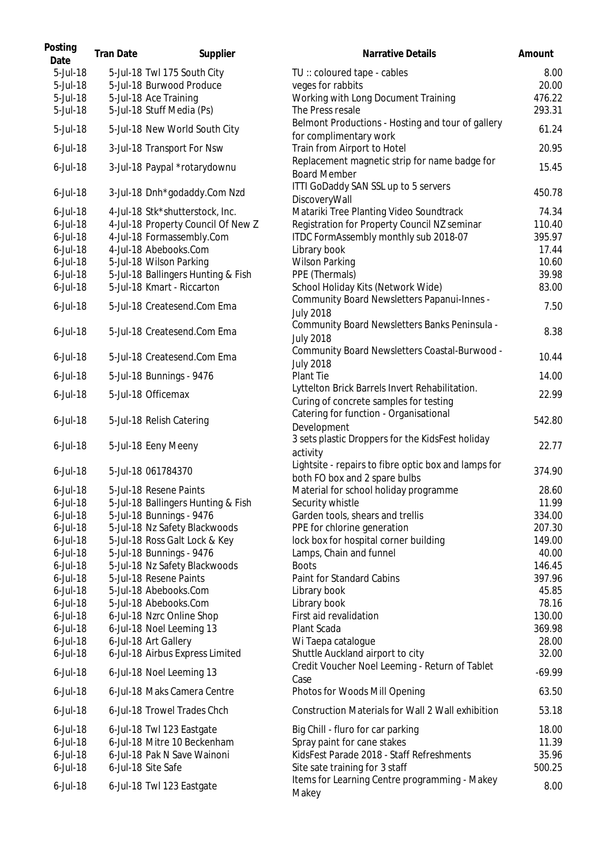| Posting<br>Date | <b>Tran Date</b> | Supplier                           | <b>Narrative Details</b>                                                                 | Amount   |
|-----------------|------------------|------------------------------------|------------------------------------------------------------------------------------------|----------|
| 5-Jul-18        |                  | 5-Jul-18 Twl 175 South City        | TU: coloured tape - cables                                                               | 8.00     |
| 5-Jul-18        |                  | 5-Jul-18 Burwood Produce           | veges for rabbits                                                                        | 20.00    |
| 5-Jul-18        |                  | 5-Jul-18 Ace Training              | Working with Long Document Training                                                      | 476.22   |
| 5-Jul-18        |                  | 5-Jul-18 Stuff Media (Ps)          | The Press resale                                                                         | 293.31   |
| 5-Jul-18        |                  | 5-Jul-18 New World South City      | Belmont Productions - Hosting and tour of gallery<br>for complimentary work              | 61.24    |
| $6$ -Jul-18     |                  | 3-Jul-18 Transport For Nsw         | Train from Airport to Hotel                                                              | 20.95    |
| $6$ -Jul-18     |                  | 3-Jul-18 Paypal *rotarydownu       | Replacement magnetic strip for name badge for<br><b>Board Member</b>                     | 15.45    |
| $6$ -Jul-18     |                  | 3-Jul-18 Dnh*godaddy.Com Nzd       | ITTI GoDaddy SAN SSL up to 5 servers<br>DiscoveryWall                                    | 450.78   |
| $6$ -Jul-18     |                  | 4-Jul-18 Stk*shutterstock, Inc.    | Matariki Tree Planting Video Soundtrack                                                  | 74.34    |
| $6$ -Jul-18     |                  | 4-Jul-18 Property Council Of New Z | Registration for Property Council NZ seminar                                             | 110.40   |
| $6$ -Jul-18     |                  | 4-Jul-18 Formassembly.Com          | ITDC FormAssembly monthly sub 2018-07                                                    | 395.97   |
| $6$ -Jul-18     |                  | 4-Jul-18 Abebooks.Com              | Library book                                                                             | 17.44    |
| $6$ -Jul-18     |                  | 5-Jul-18 Wilson Parking            | <b>Wilson Parking</b>                                                                    | 10.60    |
| $6$ -Jul-18     |                  | 5-Jul-18 Ballingers Hunting & Fish | PPE (Thermals)                                                                           | 39.98    |
| $6$ -Jul-18     |                  | 5-Jul-18 Kmart - Riccarton         | School Holiday Kits (Network Wide)                                                       | 83.00    |
| $6$ -Jul-18     |                  | 5-Jul-18 Createsend.Com Ema        | Community Board Newsletters Papanui-Innes -<br><b>July 2018</b>                          | 7.50     |
| $6$ -Jul-18     |                  | 5-Jul-18 Createsend.Com Ema        | Community Board Newsletters Banks Peninsula -<br><b>July 2018</b>                        | 8.38     |
| $6$ -Jul-18     |                  | 5-Jul-18 Createsend.Com Ema        | Community Board Newsletters Coastal-Burwood -<br><b>July 2018</b>                        | 10.44    |
| $6$ -Jul-18     |                  | 5-Jul-18 Bunnings - 9476           | Plant Tie                                                                                | 14.00    |
| $6$ -Jul-18     |                  | 5-Jul-18 Officemax                 | Lyttelton Brick Barrels Invert Rehabilitation.<br>Curing of concrete samples for testing | 22.99    |
| $6$ -Jul-18     |                  | 5-Jul-18 Relish Catering           | Catering for function - Organisational                                                   | 542.80   |
|                 |                  |                                    | Development                                                                              |          |
| $6$ -Jul-18     |                  | 5-Jul-18 Eeny Meeny                | 3 sets plastic Droppers for the KidsFest holiday<br>activity                             | 22.77    |
| $6$ -Jul-18     |                  | 5-Jul-18 061784370                 | Lightsite - repairs to fibre optic box and lamps for<br>both FO box and 2 spare bulbs    | 374.90   |
| $6$ -Jul-18     |                  | 5-Jul-18 Resene Paints             | Material for school holiday programme                                                    | 28.60    |
| $6$ -Jul-18     |                  | 5-Jul-18 Ballingers Hunting & Fish | Security whistle                                                                         | 11.99    |
| $6$ -Jul-18     |                  | 5-Jul-18 Bunnings - 9476           | Garden tools, shears and trellis                                                         | 334.00   |
| $6$ -Jul-18     |                  | 5-Jul-18 Nz Safety Blackwoods      | PPE for chlorine generation                                                              | 207.30   |
| $6$ -Jul-18     |                  | 5-Jul-18 Ross Galt Lock & Key      | lock box for hospital corner building                                                    | 149.00   |
| $6$ -Jul-18     |                  | 5-Jul-18 Bunnings - 9476           | Lamps, Chain and funnel                                                                  | 40.00    |
| $6$ -Jul-18     |                  | 5-Jul-18 Nz Safety Blackwoods      | <b>Boots</b>                                                                             | 146.45   |
| $6$ -Jul-18     |                  | 5-Jul-18 Resene Paints             | Paint for Standard Cabins                                                                | 397.96   |
| $6$ -Jul-18     |                  | 5-Jul-18 Abebooks.Com              | Library book                                                                             | 45.85    |
| $6$ -Jul-18     |                  | 5-Jul-18 Abebooks.Com              | Library book                                                                             | 78.16    |
| $6$ -Jul-18     |                  | 6-Jul-18 Nzrc Online Shop          | First aid revalidation                                                                   | 130.00   |
| $6$ -Jul-18     |                  | 6-Jul-18 Noel Leeming 13           | Plant Scada                                                                              | 369.98   |
| $6$ -Jul-18     |                  | 6-Jul-18 Art Gallery               | Wi Taepa catalogue                                                                       | 28.00    |
| $6$ -Jul-18     |                  | 6-Jul-18 Airbus Express Limited    | Shuttle Auckland airport to city                                                         | 32.00    |
| $6$ -Jul-18     |                  | 6-Jul-18 Noel Leeming 13           | Credit Voucher Noel Leeming - Return of Tablet<br>Case                                   | $-69.99$ |
| $6$ -Jul-18     |                  | 6-Jul-18 Maks Camera Centre        | Photos for Woods Mill Opening                                                            | 63.50    |
| $6$ -Jul-18     |                  | 6-Jul-18 Trowel Trades Chch        | Construction Materials for Wall 2 Wall exhibition                                        | 53.18    |
| $6$ -Jul-18     |                  | 6-Jul-18 Twl 123 Eastgate          | Big Chill - fluro for car parking                                                        | 18.00    |
| $6$ -Jul-18     |                  | 6-Jul-18 Mitre 10 Beckenham        | Spray paint for cane stakes                                                              | 11.39    |
| $6$ -Jul-18     |                  | 6-Jul-18 Pak N Save Wainoni        | KidsFest Parade 2018 - Staff Refreshments                                                | 35.96    |
| $6$ -Jul-18     |                  | 6-Jul-18 Site Safe                 | Site sate training for 3 staff                                                           | 500.25   |
| $6$ -Jul-18     |                  | 6-Jul-18 Twl 123 Eastgate          | Items for Learning Centre programming - Makey<br>Makey                                   | 8.00     |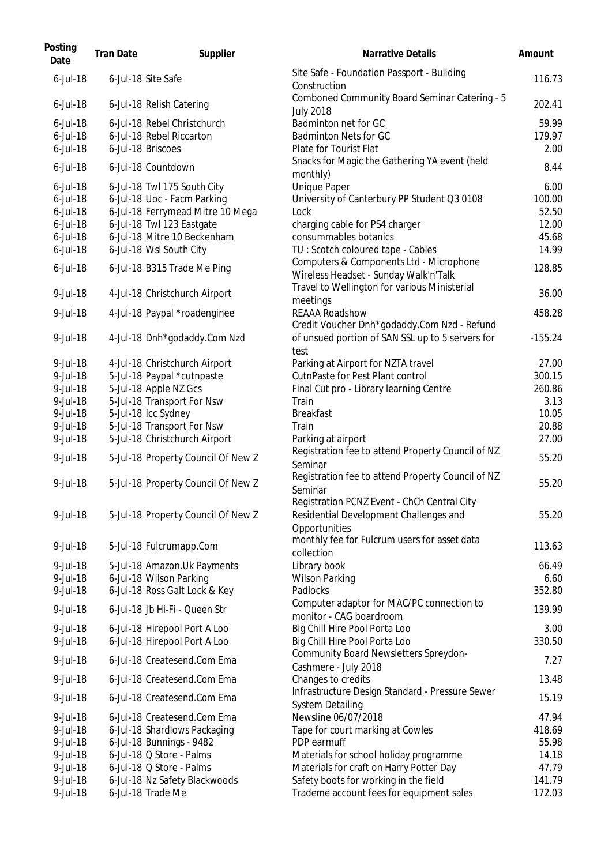| Posting<br>Date | <b>Tran Date</b> | Supplier                           | <b>Narrative Details</b>                                                                                    | Amount    |
|-----------------|------------------|------------------------------------|-------------------------------------------------------------------------------------------------------------|-----------|
| $6$ -Jul-18     |                  | 6-Jul-18 Site Safe                 | Site Safe - Foundation Passport - Building<br>Construction                                                  | 116.73    |
| $6$ -Jul-18     |                  | 6-Jul-18 Relish Catering           | Comboned Community Board Seminar Catering - 5<br><b>July 2018</b>                                           | 202.41    |
| $6$ -Jul-18     |                  | 6-Jul-18 Rebel Christchurch        | Badminton net for GC                                                                                        | 59.99     |
| $6$ -Jul-18     |                  | 6-Jul-18 Rebel Riccarton           | Badminton Nets for GC                                                                                       | 179.97    |
| $6$ -Jul-18     |                  | 6-Jul-18 Briscoes                  | Plate for Tourist Flat                                                                                      | 2.00      |
| $6$ -Jul-18     |                  | 6-Jul-18 Countdown                 | Snacks for Magic the Gathering YA event (held<br>monthly)                                                   | 8.44      |
| $6$ -Jul-18     |                  | 6-Jul-18 Twl 175 South City        | <b>Unique Paper</b>                                                                                         | 6.00      |
| $6$ -Jul-18     |                  | 6-Jul-18 Uoc - Facm Parking        | University of Canterbury PP Student Q3 0108                                                                 | 100.00    |
| $6$ -Jul-18     |                  | 6-Jul-18 Ferrymead Mitre 10 Mega   | Lock                                                                                                        | 52.50     |
| $6$ -Jul-18     |                  | 6-Jul-18 Twl 123 Eastgate          | charging cable for PS4 charger                                                                              | 12.00     |
| $6$ -Jul-18     |                  | 6-Jul-18 Mitre 10 Beckenham        | consummables botanics                                                                                       | 45.68     |
| $6$ -Jul-18     |                  | 6-Jul-18 Wsl South City            | TU: Scotch coloured tape - Cables<br>Computers & Components Ltd - Microphone                                | 14.99     |
| $6$ -Jul-18     |                  | 6-Jul-18 B315 Trade Me Ping        | Wireless Headset - Sunday Walk'n'Talk<br>Travel to Wellington for various Ministerial                       | 128.85    |
| 9-Jul-18        |                  | 4-Jul-18 Christchurch Airport      | meetings                                                                                                    | 36.00     |
| 9-Jul-18        |                  | 4-Jul-18 Paypal *roadenginee       | REAAA Roadshow                                                                                              | 458.28    |
|                 |                  |                                    | Credit Voucher Dnh*godaddy.Com Nzd - Refund                                                                 |           |
| 9-Jul-18        |                  | 4-Jul-18 Dnh*godaddy.Com Nzd       | of unsued portion of SAN SSL up to 5 servers for<br>test                                                    | $-155.24$ |
| 9-Jul-18        |                  | 4-Jul-18 Christchurch Airport      | Parking at Airport for NZTA travel                                                                          | 27.00     |
| 9-Jul-18        |                  | 5-Jul-18 Paypal *cutnpaste         | CutnPaste for Pest Plant control                                                                            | 300.15    |
| 9-Jul-18        |                  | 5-Jul-18 Apple NZ Gcs              | Final Cut pro - Library learning Centre                                                                     | 260.86    |
| 9-Jul-18        |                  | 5-Jul-18 Transport For Nsw         | Train                                                                                                       | 3.13      |
| 9-Jul-18        |                  | 5-Jul-18 Icc Sydney                | <b>Breakfast</b>                                                                                            | 10.05     |
| 9-Jul-18        |                  | 5-Jul-18 Transport For Nsw         | Train                                                                                                       | 20.88     |
| 9-Jul-18        |                  | 5-Jul-18 Christchurch Airport      | Parking at airport                                                                                          | 27.00     |
| 9-Jul-18        |                  | 5-Jul-18 Property Council Of New Z | Registration fee to attend Property Council of NZ<br>Seminar                                                | 55.20     |
| 9-Jul-18        |                  | 5-Jul-18 Property Council Of New Z | Registration fee to attend Property Council of NZ<br>Seminar<br>Registration PCNZ Event - ChCh Central City | 55.20     |
| 9-Jul-18        |                  | 5-Jul-18 Property Council Of New Z | Residential Development Challenges and<br>Opportunities                                                     | 55.20     |
| 9-Jul-18        |                  | 5-Jul-18 Fulcrumapp.Com            | monthly fee for Fulcrum users for asset data<br>collection                                                  | 113.63    |
| 9-Jul-18        |                  | 5-Jul-18 Amazon.Uk Payments        | Library book                                                                                                | 66.49     |
| 9-Jul-18        |                  | 6-Jul-18 Wilson Parking            | <b>Wilson Parking</b>                                                                                       | 6.60      |
| 9-Jul-18        |                  | 6-Jul-18 Ross Galt Lock & Key      | Padlocks                                                                                                    | 352.80    |
| 9-Jul-18        |                  | 6-Jul-18 Jb Hi-Fi - Queen Str      | Computer adaptor for MAC/PC connection to<br>monitor - CAG boardroom                                        | 139.99    |
| 9-Jul-18        |                  | 6-Jul-18 Hirepool Port A Loo       | Big Chill Hire Pool Porta Loo                                                                               | 3.00      |
| 9-Jul-18        |                  | 6-Jul-18 Hirepool Port A Loo       | Big Chill Hire Pool Porta Loo                                                                               | 330.50    |
| 9-Jul-18        |                  | 6-Jul-18 Createsend.Com Ema        | Community Board Newsletters Spreydon-<br>Cashmere - July 2018                                               | 7.27      |
| 9-Jul-18        |                  | 6-Jul-18 Createsend.Com Ema        | Changes to credits                                                                                          | 13.48     |
| 9-Jul-18        |                  | 6-Jul-18 Createsend.Com Ema        | Infrastructure Design Standard - Pressure Sewer<br><b>System Detailing</b>                                  | 15.19     |
| $9$ -Jul-18     |                  | 6-Jul-18 Createsend.Com Ema        | Newsline 06/07/2018                                                                                         | 47.94     |
| 9-Jul-18        |                  | 6-Jul-18 Shardlows Packaging       | Tape for court marking at Cowles                                                                            | 418.69    |
| 9-Jul-18        |                  | 6-Jul-18 Bunnings - 9482           | PDP earmuff                                                                                                 | 55.98     |
| 9-Jul-18        |                  | 6-Jul-18 Q Store - Palms           | Materials for school holiday programme                                                                      | 14.18     |
| 9-Jul-18        |                  | 6-Jul-18 Q Store - Palms           | Materials for craft on Harry Potter Day                                                                     | 47.79     |
| 9-Jul-18        |                  | 6-Jul-18 Nz Safety Blackwoods      | Safety boots for working in the field                                                                       | 141.79    |
| 9-Jul-18        |                  | 6-Jul-18 Trade Me                  | Trademe account fees for equipment sales                                                                    | 172.03    |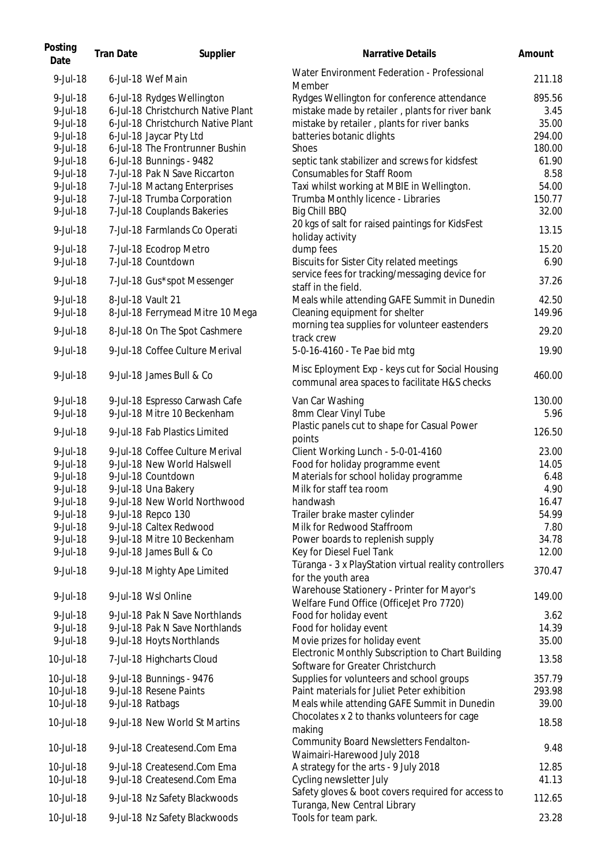| Posting<br>Date | <b>Tran Date</b> | Supplier                           | <b>Narrative Details</b>                                                                          | Amount |
|-----------------|------------------|------------------------------------|---------------------------------------------------------------------------------------------------|--------|
| 9-Jul-18        |                  | 6-Jul-18 Wef Main                  | Water Environment Federation - Professional<br>Member                                             | 211.18 |
| 9-Jul-18        |                  | 6-Jul-18 Rydges Wellington         | Rydges Wellington for conference attendance                                                       | 895.56 |
| 9-Jul-18        |                  | 6-Jul-18 Christchurch Native Plant | mistake made by retailer, plants for river bank                                                   | 3.45   |
| 9-Jul-18        |                  | 6-Jul-18 Christchurch Native Plant | mistake by retailer, plants for river banks                                                       | 35.00  |
| 9-Jul-18        |                  | 6-Jul-18 Jaycar Pty Ltd            | batteries botanic dlights                                                                         | 294.00 |
| 9-Jul-18        |                  | 6-Jul-18 The Frontrunner Bushin    | <b>Shoes</b>                                                                                      | 180.00 |
| 9-Jul-18        |                  | 6-Jul-18 Bunnings - 9482           | septic tank stabilizer and screws for kidsfest                                                    | 61.90  |
| 9-Jul-18        |                  | 7-Jul-18 Pak N Save Riccarton      | <b>Consumables for Staff Room</b>                                                                 | 8.58   |
| 9-Jul-18        |                  | 7-Jul-18 Mactang Enterprises       | Taxi whilst working at MBIE in Wellington.                                                        | 54.00  |
| 9-Jul-18        |                  | 7-Jul-18 Trumba Corporation        | Trumba Monthly licence - Libraries                                                                | 150.77 |
| 9-Jul-18        |                  | 7-Jul-18 Couplands Bakeries        | Big Chill BBQ                                                                                     | 32.00  |
| 9-Jul-18        |                  | 7-Jul-18 Farmlands Co Operati      | 20 kgs of salt for raised paintings for KidsFest<br>holiday activity                              | 13.15  |
| 9-Jul-18        |                  | 7-Jul-18 Ecodrop Metro             | dump fees                                                                                         | 15.20  |
| $9$ -Jul-18     |                  | 7-Jul-18 Countdown                 | <b>Biscuits for Sister City related meetings</b>                                                  | 6.90   |
| $9$ -Jul-18     |                  | 7-Jul-18 Gus*spot Messenger        | service fees for tracking/messaging device for<br>staff in the field.                             | 37.26  |
| 9-Jul-18        |                  | 8-Jul-18 Vault 21                  | Meals while attending GAFE Summit in Dunedin                                                      | 42.50  |
| 9-Jul-18        |                  | 8-Jul-18 Ferrymead Mitre 10 Mega   | Cleaning equipment for shelter                                                                    | 149.96 |
| 9-Jul-18        |                  | 8-Jul-18 On The Spot Cashmere      | morning tea supplies for volunteer eastenders<br>track crew                                       | 29.20  |
| 9-Jul-18        |                  | 9-Jul-18 Coffee Culture Merival    | 5-0-16-4160 - Te Pae bid mtg                                                                      | 19.90  |
| 9-Jul-18        |                  | 9-Jul-18 James Bull & Co           | Misc Eployment Exp - keys cut for Social Housing<br>communal area spaces to facilitate H&S checks | 460.00 |
| 9-Jul-18        |                  | 9-Jul-18 Espresso Carwash Cafe     | Van Car Washing                                                                                   | 130.00 |
| 9-Jul-18        |                  | 9-Jul-18 Mitre 10 Beckenham        | 8mm Clear Vinyl Tube                                                                              | 5.96   |
| 9-Jul-18        |                  | 9-Jul-18 Fab Plastics Limited      | Plastic panels cut to shape for Casual Power<br>points                                            | 126.50 |
| 9-Jul-18        |                  | 9-Jul-18 Coffee Culture Merival    | Client Working Lunch - 5-0-01-4160                                                                | 23.00  |
| 9-Jul-18        |                  | 9-Jul-18 New World Halswell        | Food for holiday programme event                                                                  | 14.05  |
| 9-Jul-18        |                  | 9-Jul-18 Countdown                 | Materials for school holiday programme                                                            | 6.48   |
| 9-Jul-18        |                  | 9-Jul-18 Una Bakery                | Milk for staff tea room                                                                           | 4.90   |
| 9-Jul-18        |                  | 9-Jul-18 New World Northwood       | handwash                                                                                          | 16.47  |
| 9-Jul-18        |                  | 9-Jul-18 Repco 130                 | Trailer brake master cylinder                                                                     | 54.99  |
| 9-Jul-18        |                  | 9-Jul-18 Caltex Redwood            | Milk for Redwood Staffroom                                                                        | 7.80   |
| 9-Jul-18        |                  | 9-Jul-18 Mitre 10 Beckenham        | Power boards to replenish supply                                                                  | 34.78  |
| 9-Jul-18        |                  | 9-Jul-18 James Bull & Co           | Key for Diesel Fuel Tank                                                                          | 12.00  |
|                 |                  |                                    | Tūranga - 3 x PlayStation virtual reality controllers                                             |        |
| 9-Jul-18        |                  | 9-Jul-18 Mighty Ape Limited        | for the youth area<br>Warehouse Stationery - Printer for Mayor's                                  | 370.47 |
| 9-Jul-18        |                  | 9-Jul-18 Wsl Online                | Welfare Fund Office (OfficeJet Pro 7720)                                                          | 149.00 |
| 9-Jul-18        |                  | 9-Jul-18 Pak N Save Northlands     | Food for holiday event                                                                            | 3.62   |
| 9-Jul-18        |                  | 9-Jul-18 Pak N Save Northlands     | Food for holiday event                                                                            | 14.39  |
| 9-Jul-18        |                  | 9-Jul-18 Hoyts Northlands          | Movie prizes for holiday event                                                                    | 35.00  |
| 10-Jul-18       |                  | 7-Jul-18 Highcharts Cloud          | Electronic Monthly Subscription to Chart Building<br>Software for Greater Christchurch            | 13.58  |
| 10-Jul-18       |                  | 9-Jul-18 Bunnings - 9476           | Supplies for volunteers and school groups                                                         | 357.79 |
| 10-Jul-18       |                  | 9-Jul-18 Resene Paints             | Paint materials for Juliet Peter exhibition                                                       | 293.98 |
| 10-Jul-18       |                  | 9-Jul-18 Ratbags                   | Meals while attending GAFE Summit in Dunedin                                                      | 39.00  |
|                 |                  |                                    | Chocolates x 2 to thanks volunteers for cage                                                      |        |
| 10-Jul-18       |                  | 9-Jul-18 New World St Martins      | making                                                                                            | 18.58  |
| 10-Jul-18       |                  | 9-Jul-18 Createsend.Com Ema        | Community Board Newsletters Fendalton-                                                            | 9.48   |
| 10-Jul-18       |                  | 9-Jul-18 Createsend.Com Ema        | Waimairi-Harewood July 2018<br>A strategy for the arts - 9 July 2018                              | 12.85  |
| 10-Jul-18       |                  | 9-Jul-18 Createsend.Com Ema        | Cycling newsletter July                                                                           | 41.13  |
|                 |                  |                                    | Safety gloves & boot covers required for access to                                                |        |
| 10-Jul-18       |                  | 9-Jul-18 Nz Safety Blackwoods      | Turanga, New Central Library                                                                      | 112.65 |
| 10-Jul-18       |                  | 9-Jul-18 Nz Safety Blackwoods      | Tools for team park.                                                                              | 23.28  |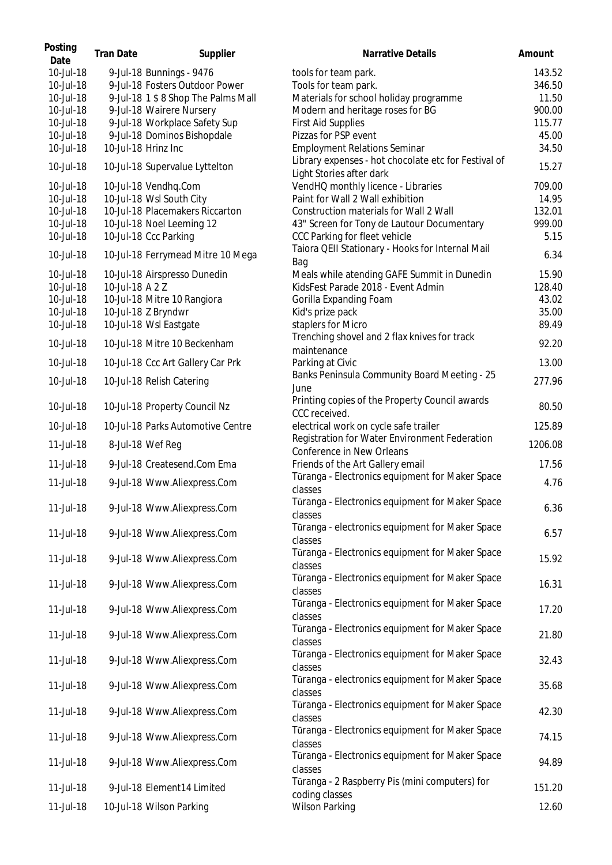| Posting<br>Date        | <b>Tran Date</b> | Supplier                                               | Narrative Details                                                                | Amount         |
|------------------------|------------------|--------------------------------------------------------|----------------------------------------------------------------------------------|----------------|
| 10-Jul-18              |                  | 9-Jul-18 Bunnings - 9476                               | tools for team park.                                                             | 143.52         |
| 10-Jul-18              |                  | 9-Jul-18 Fosters Outdoor Power                         | Tools for team park.                                                             | 346.50         |
| 10-Jul-18              |                  | 9-Jul-18 1 \$ 8 Shop The Palms Mall                    | Materials for school holiday programme                                           | 11.50          |
| 10-Jul-18              |                  | 9-Jul-18 Wairere Nursery                               | Modern and heritage roses for BG                                                 | 900.00         |
| 10-Jul-18              |                  | 9-Jul-18 Workplace Safety Sup                          | <b>First Aid Supplies</b>                                                        | 115.77         |
| 10-Jul-18              |                  | 9-Jul-18 Dominos Bishopdale                            | Pizzas for PSP event                                                             | 45.00          |
| 10-Jul-18              |                  | 10-Jul-18 Hrinz Inc                                    | <b>Employment Relations Seminar</b>                                              | 34.50          |
| 10-Jul-18              |                  | 10-Jul-18 Supervalue Lyttelton                         | Library expenses - hot chocolate etc for Festival of<br>Light Stories after dark | 15.27          |
| 10-Jul-18              |                  | 10-Jul-18 Vendhq.Com                                   | VendHQ monthly licence - Libraries                                               | 709.00         |
| 10-Jul-18              |                  | 10-Jul-18 Wsl South City                               | Paint for Wall 2 Wall exhibition                                                 | 14.95          |
| 10-Jul-18              |                  | 10-Jul-18 Placemakers Riccarton                        | Construction materials for Wall 2 Wall                                           | 132.01         |
| 10-Jul-18              |                  | 10-Jul-18 Noel Leeming 12                              | 43" Screen for Tony de Lautour Documentary                                       | 999.00         |
| 10-Jul-18              |                  | 10-Jul-18 Ccc Parking                                  | CCC Parking for fleet vehicle                                                    | 5.15           |
| 10-Jul-18              |                  | 10-Jul-18 Ferrymead Mitre 10 Mega                      | Taiora QEII Stationary - Hooks for Internal Mail<br>Bag                          | 6.34           |
| 10-Jul-18              |                  | 10-Jul-18 Airspresso Dunedin                           | Meals while atending GAFE Summit in Dunedin                                      | 15.90          |
| 10-Jul-18              | 10-Jul-18 A 2 Z  |                                                        | KidsFest Parade 2018 - Event Admin                                               | 128.40         |
| 10-Jul-18              |                  | 10-Jul-18 Mitre 10 Rangiora                            | Gorilla Expanding Foam                                                           | 43.02          |
| 10-Jul-18              |                  | 10-Jul-18 Z Bryndwr                                    | Kid's prize pack                                                                 | 35.00          |
| 10-Jul-18<br>10-Jul-18 |                  | 10-Jul-18 Wsl Eastgate<br>10-Jul-18 Mitre 10 Beckenham | staplers for Micro<br>Trenching shovel and 2 flax knives for track               | 89.49<br>92.20 |
| 10-Jul-18              |                  | 10-Jul-18 Ccc Art Gallery Car Prk                      | maintenance<br>Parking at Civic                                                  | 13.00          |
| 10-Jul-18              |                  | 10-Jul-18 Relish Catering                              | Banks Peninsula Community Board Meeting - 25<br>June                             | 277.96         |
| 10-Jul-18              |                  | 10-Jul-18 Property Council Nz                          | Printing copies of the Property Council awards<br>CCC received.                  | 80.50          |
| 10-Jul-18              |                  | 10-Jul-18 Parks Automotive Centre                      | electrical work on cycle safe trailer                                            | 125.89         |
| 11-Jul-18              |                  | 8-Jul-18 Wef Reg                                       | Registration for Water Environment Federation<br>Conference in New Orleans       | 1206.08        |
| 11-Jul-18              |                  | 9-Jul-18 Createsend.Com Ema                            | Friends of the Art Gallery email                                                 | 17.56          |
| 11-Jul-18              |                  | 9-Jul-18 Www.Aliexpress.Com                            | Tūranga - Electronics equipment for Maker Space<br>classes                       | 4.76           |
| 11-Jul-18              |                  | 9-Jul-18 Www.Aliexpress.Com                            | Türanga - Electronics equipment for Maker Space<br>classes                       | 6.36           |
| 11-Jul-18              |                  | 9-Jul-18 Www.Aliexpress.Com                            | Tūranga - electronics equipment for Maker Space<br>classes                       | 6.57           |
| 11-Jul-18              |                  | 9-Jul-18 Www.Aliexpress.Com                            | Tūranga - Electronics equipment for Maker Space<br>classes                       | 15.92          |
| 11-Jul-18              |                  | 9-Jul-18 Www.Aliexpress.Com                            | Tūranga - Electronics equipment for Maker Space<br>classes                       | 16.31          |
| 11-Jul-18              |                  | 9-Jul-18 Www.Aliexpress.Com                            | Tūranga - Electronics equipment for Maker Space<br>classes                       | 17.20          |
| 11-Jul-18              |                  | 9-Jul-18 Www.Aliexpress.Com                            | Tūranga - Electronics equipment for Maker Space<br>classes                       | 21.80          |
| 11-Jul-18              |                  | 9-Jul-18 Www.Aliexpress.Com                            | Tūranga - Electronics equipment for Maker Space<br>classes                       | 32.43          |
| 11-Jul-18              |                  | 9-Jul-18 Www.Aliexpress.Com                            | Tūranga - electronics equipment for Maker Space<br>classes                       | 35.68          |
| 11-Jul-18              |                  | 9-Jul-18 Www.Aliexpress.Com                            | Tūranga - Electronics equipment for Maker Space<br>classes                       | 42.30          |
| 11-Jul-18              |                  | 9-Jul-18 Www.Aliexpress.Com                            | Tūranga - Electronics equipment for Maker Space<br>classes                       | 74.15          |
| 11-Jul-18              |                  | 9-Jul-18 Www.Aliexpress.Com                            | Tūranga - Electronics equipment for Maker Space<br>classes                       | 94.89          |
| 11-Jul-18              |                  | 9-Jul-18 Element14 Limited                             | Tūranga - 2 Raspberry Pis (mini computers) for<br>coding classes                 | 151.20         |
| 11-Jul-18              |                  | 10-Jul-18 Wilson Parking                               | <b>Wilson Parking</b>                                                            | 12.60          |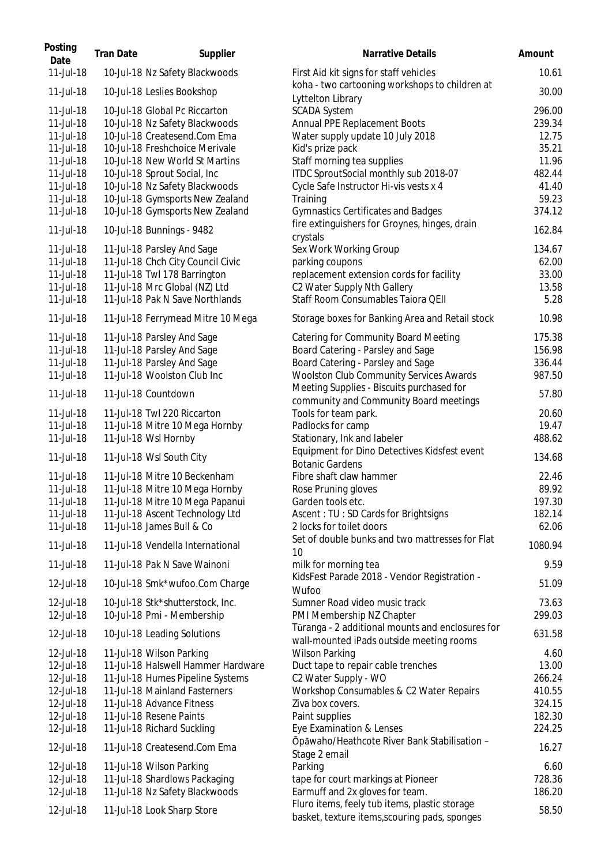| Posting<br>Date | <b>Tran Date</b> | Supplier                           | Narrative Details                                                                              | Amount  |
|-----------------|------------------|------------------------------------|------------------------------------------------------------------------------------------------|---------|
| 11-Jul-18       |                  | 10-Jul-18 Nz Safety Blackwoods     | First Aid kit signs for staff vehicles<br>koha - two cartooning workshops to children at       | 10.61   |
| 11-Jul-18       |                  | 10-Jul-18 Leslies Bookshop         | Lyttelton Library                                                                              | 30.00   |
| 11-Jul-18       |                  | 10-Jul-18 Global Pc Riccarton      | <b>SCADA System</b>                                                                            | 296.00  |
| 11-Jul-18       |                  | 10-Jul-18 Nz Safety Blackwoods     | Annual PPE Replacement Boots                                                                   | 239.34  |
| 11-Jul-18       |                  | 10-Jul-18 Createsend.Com Ema       | Water supply update 10 July 2018                                                               | 12.75   |
| 11-Jul-18       |                  | 10-Jul-18 Freshchoice Merivale     | Kid's prize pack                                                                               | 35.21   |
| 11-Jul-18       |                  | 10-Jul-18 New World St Martins     | Staff morning tea supplies                                                                     | 11.96   |
| 11-Jul-18       |                  | 10-Jul-18 Sprout Social, Inc       | ITDC SproutSocial monthly sub 2018-07                                                          | 482.44  |
| 11-Jul-18       |                  | 10-Jul-18 Nz Safety Blackwoods     | Cycle Safe Instructor Hi-vis vests x 4                                                         | 41.40   |
| 11-Jul-18       |                  | 10-Jul-18 Gymsports New Zealand    | Training                                                                                       | 59.23   |
| 11-Jul-18       |                  | 10-Jul-18 Gymsports New Zealand    | <b>Gymnastics Certificates and Badges</b>                                                      | 374.12  |
| 11-Jul-18       |                  | 10-Jul-18 Bunnings - 9482          | fire extinguishers for Groynes, hinges, drain<br>crystals                                      | 162.84  |
| 11-Jul-18       |                  | 11-Jul-18 Parsley And Sage         | Sex Work Working Group                                                                         | 134.67  |
| 11-Jul-18       |                  | 11-Jul-18 Chch City Council Civic  | parking coupons                                                                                | 62.00   |
| 11-Jul-18       |                  | 11-Jul-18 Twl 178 Barrington       | replacement extension cords for facility                                                       | 33.00   |
| 11-Jul-18       |                  | 11-Jul-18 Mrc Global (NZ) Ltd      | C2 Water Supply Nth Gallery                                                                    | 13.58   |
| 11-Jul-18       |                  | 11-Jul-18 Pak N Save Northlands    | Staff Room Consumables Taiora QEII                                                             | 5.28    |
| 11-Jul-18       |                  | 11-Jul-18 Ferrymead Mitre 10 Mega  | Storage boxes for Banking Area and Retail stock                                                | 10.98   |
| $11$ -Jul-18    |                  | 11-Jul-18 Parsley And Sage         | <b>Catering for Community Board Meeting</b>                                                    | 175.38  |
| 11-Jul-18       |                  | 11-Jul-18 Parsley And Sage         | Board Catering - Parsley and Sage                                                              | 156.98  |
| 11-Jul-18       |                  | 11-Jul-18 Parsley And Sage         | Board Catering - Parsley and Sage                                                              | 336.44  |
| 11-Jul-18       |                  | 11-Jul-18 Woolston Club Inc        | Woolston Club Community Services Awards<br>Meeting Supplies - Biscuits purchased for           | 987.50  |
| 11-Jul-18       |                  | 11-Jul-18 Countdown                | community and Community Board meetings                                                         | 57.80   |
| 11-Jul-18       |                  | 11-Jul-18 Twl 220 Riccarton        | Tools for team park.                                                                           | 20.60   |
| 11-Jul-18       |                  | 11-Jul-18 Mitre 10 Mega Hornby     | Padlocks for camp                                                                              | 19.47   |
| 11-Jul-18       |                  | 11-Jul-18 Wsl Hornby               | Stationary, Ink and labeler                                                                    | 488.62  |
| 11-Jul-18       |                  | 11-Jul-18 Wsl South City           | Equipment for Dino Detectives Kidsfest event<br><b>Botanic Gardens</b>                         | 134.68  |
| 11-Jul-18       |                  | 11-Jul-18 Mitre 10 Beckenham       | Fibre shaft claw hammer                                                                        | 22.46   |
| 11-Jul-18       |                  | 11-Jul-18 Mitre 10 Mega Hornby     | Rose Pruning gloves                                                                            | 89.92   |
| 11-Jul-18       |                  | 11-Jul-18 Mitre 10 Mega Papanui    | Garden tools etc.                                                                              | 197.30  |
| 11-Jul-18       |                  | 11-Jul-18 Ascent Technology Ltd    | Ascent: TU: SD Cards for Brightsigns                                                           | 182.14  |
| 11-Jul-18       |                  | 11-Jul-18 James Bull & Co          | 2 locks for toilet doors                                                                       | 62.06   |
| 11-Jul-18       |                  | 11-Jul-18 Vendella International   | Set of double bunks and two mattresses for Flat<br>10                                          | 1080.94 |
| 11-Jul-18       |                  | 11-Jul-18 Pak N Save Wainoni       | milk for morning tea                                                                           | 9.59    |
| 12-Jul-18       |                  | 10-Jul-18 Smk*wufoo.Com Charge     | KidsFest Parade 2018 - Vendor Registration -<br>Wufoo                                          | 51.09   |
| 12-Jul-18       |                  | 10-Jul-18 Stk*shutterstock, Inc.   | Sumner Road video music track                                                                  | 73.63   |
| 12-Jul-18       |                  | 10-Jul-18 Pmi - Membership         | PMI Membership NZ Chapter                                                                      | 299.03  |
| 12-Jul-18       |                  | 10-Jul-18 Leading Solutions        | Tūranga - 2 additional mounts and enclosures for<br>wall-mounted iPads outside meeting rooms   | 631.58  |
| 12-Jul-18       |                  | 11-Jul-18 Wilson Parking           | <b>Wilson Parking</b>                                                                          | 4.60    |
| 12-Jul-18       |                  | 11-Jul-18 Halswell Hammer Hardware | Duct tape to repair cable trenches                                                             | 13.00   |
| 12-Jul-18       |                  | 11-Jul-18 Humes Pipeline Systems   | C2 Water Supply - WO                                                                           | 266.24  |
| 12-Jul-18       |                  | 11-Jul-18 Mainland Fasterners      | Workshop Consumables & C2 Water Repairs                                                        | 410.55  |
| 12-Jul-18       |                  | 11-Jul-18 Advance Fitness          | Ziva box covers.                                                                               | 324.15  |
| 12-Jul-18       |                  | 11-Jul-18 Resene Paints            | Paint supplies                                                                                 | 182.30  |
| 12-Jul-18       |                  | 11-Jul-18 Richard Suckling         | Eye Examination & Lenses                                                                       | 224.25  |
| 12-Jul-18       |                  | 11-Jul-18 Createsend.Com Ema       | Ōpāwaho/Heathcote River Bank Stabilisation -<br>Stage 2 email                                  | 16.27   |
| 12-Jul-18       |                  | 11-Jul-18 Wilson Parking           | Parking                                                                                        | 6.60    |
| 12-Jul-18       |                  | 11-Jul-18 Shardlows Packaging      | tape for court markings at Pioneer                                                             | 728.36  |
| 12-Jul-18       |                  | 11-Jul-18 Nz Safety Blackwoods     | Earmuff and 2x gloves for team.                                                                | 186.20  |
| 12-Jul-18       |                  | 11-Jul-18 Look Sharp Store         | Fluro items, feely tub items, plastic storage<br>basket, texture items, scouring pads, sponges | 58.50   |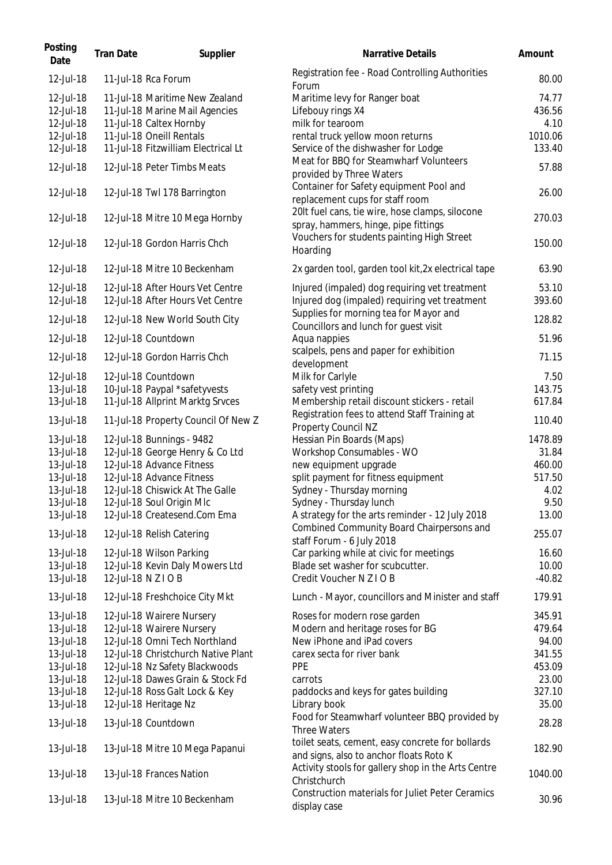| Posting<br>Date                                  | <b>Tran Date</b> | Supplier                                                                                                                | Narrative Details                                                                                                   | Amount                             |
|--------------------------------------------------|------------------|-------------------------------------------------------------------------------------------------------------------------|---------------------------------------------------------------------------------------------------------------------|------------------------------------|
| 12-Jul-18                                        |                  | 11-Jul-18 Rca Forum                                                                                                     | Registration fee - Road Controlling Authorities                                                                     | 80.00                              |
| 12-Jul-18<br>12-Jul-18<br>12-Jul-18<br>12-Jul-18 |                  | 11-Jul-18 Maritime New Zealand<br>11-Jul-18 Marine Mail Agencies<br>11-Jul-18 Caltex Hornby<br>11-Jul-18 Oneill Rentals | Forum<br>Maritime levy for Ranger boat<br>Lifebouy rings X4<br>milk for tearoom<br>rental truck yellow moon returns | 74.77<br>436.56<br>4.10<br>1010.06 |
| 12-Jul-18<br>12-Jul-18                           |                  | 11-Jul-18 Fitzwilliam Electrical Lt<br>12-Jul-18 Peter Timbs Meats                                                      | Service of the dishwasher for Lodge<br>Meat for BBQ for Steamwharf Volunteers                                       | 133.40<br>57.88                    |
| 12-Jul-18                                        |                  | 12-Jul-18 Twl 178 Barrington                                                                                            | provided by Three Waters<br>Container for Safety equipment Pool and<br>replacement cups for staff room              | 26.00                              |
| 12-Jul-18                                        |                  | 12-Jul-18 Mitre 10 Mega Hornby                                                                                          | 20It fuel cans, tie wire, hose clamps, silocone<br>spray, hammers, hinge, pipe fittings                             | 270.03                             |
| 12-Jul-18                                        |                  | 12-Jul-18 Gordon Harris Chch                                                                                            | Vouchers for students painting High Street<br>Hoarding                                                              | 150.00                             |
| 12-Jul-18                                        |                  | 12-Jul-18 Mitre 10 Beckenham                                                                                            | 2x garden tool, garden tool kit, 2x electrical tape                                                                 | 63.90                              |
| 12-Jul-18<br>12-Jul-18                           |                  | 12-Jul-18 After Hours Vet Centre<br>12-Jul-18 After Hours Vet Centre                                                    | Injured (impaled) dog requiring vet treatment<br>Injured dog (impaled) requiring vet treatment                      | 53.10<br>393.60                    |
| 12-Jul-18                                        |                  | 12-Jul-18 New World South City                                                                                          | Supplies for morning tea for Mayor and<br>Councillors and lunch for guest visit                                     | 128.82                             |
| 12-Jul-18                                        |                  | 12-Jul-18 Countdown                                                                                                     | Aqua nappies<br>scalpels, pens and paper for exhibition                                                             | 51.96                              |
| 12-Jul-18                                        |                  | 12-Jul-18 Gordon Harris Chch                                                                                            | development                                                                                                         | 71.15                              |
| 12-Jul-18<br>13-Jul-18                           |                  | 12-Jul-18 Countdown<br>10-Jul-18 Paypal *safetyvests                                                                    | Milk for Carlyle<br>safety vest printing                                                                            | 7.50<br>143.75                     |
| 13-Jul-18                                        |                  | 11-Jul-18 Allprint Marktg Srvces                                                                                        | Membership retail discount stickers - retail                                                                        | 617.84                             |
| 13-Jul-18                                        |                  | 11-Jul-18 Property Council Of New Z                                                                                     | Registration fees to attend Staff Training at<br>Property Council NZ                                                | 110.40                             |
| 13-Jul-18                                        |                  | 12-Jul-18 Bunnings - 9482                                                                                               | Hessian Pin Boards (Maps)                                                                                           | 1478.89                            |
| 13-Jul-18<br>13-Jul-18                           |                  | 12-Jul-18 George Henry & Co Ltd<br>12-Jul-18 Advance Fitness                                                            | Workshop Consumables - WO<br>new equipment upgrade                                                                  | 31.84<br>460.00                    |
| 13-Jul-18                                        |                  | 12-Jul-18 Advance Fitness                                                                                               | split payment for fitness equipment                                                                                 | 517.50                             |
| 13-Jul-18                                        |                  | 12-Jul-18 Chiswick At The Galle                                                                                         | Sydney - Thursday morning                                                                                           | 4.02                               |
| 13-Jul-18                                        |                  | 12-Jul-18 Soul Origin Mlc                                                                                               | Sydney - Thursday lunch                                                                                             | 9.50                               |
| 13-Jul-18                                        |                  | 12-Jul-18 Createsend.Com Ema                                                                                            | A strategy for the arts reminder - 12 July 2018<br>Combined Community Board Chairpersons and                        | 13.00                              |
| 13-Jul-18                                        |                  | 12-Jul-18 Relish Catering                                                                                               | staff Forum - 6 July 2018                                                                                           | 255.07                             |
| 13-Jul-18                                        |                  | 12-Jul-18 Wilson Parking                                                                                                | Car parking while at civic for meetings                                                                             | 16.60                              |
| 13-Jul-18<br>13-Jul-18                           |                  | 12-Jul-18 Kevin Daly Mowers Ltd<br>12-Jul-18 N Z I O B                                                                  | Blade set washer for scubcutter.<br>Credit Voucher N Z I O B                                                        | 10.00<br>$-40.82$                  |
| 13-Jul-18                                        |                  | 12-Jul-18 Freshchoice City Mkt                                                                                          | Lunch - Mayor, councillors and Minister and staff                                                                   | 179.91                             |
| 13-Jul-18                                        |                  | 12-Jul-18 Wairere Nursery                                                                                               | Roses for modern rose garden                                                                                        | 345.91                             |
| 13-Jul-18                                        |                  | 12-Jul-18 Wairere Nursery                                                                                               | Modern and heritage roses for BG                                                                                    | 479.64                             |
| 13-Jul-18                                        |                  | 12-Jul-18 Omni Tech Northland                                                                                           | New iPhone and iPad covers                                                                                          | 94.00                              |
| 13-Jul-18                                        |                  | 12-Jul-18 Christchurch Native Plant                                                                                     | carex secta for river bank                                                                                          | 341.55                             |
| 13-Jul-18                                        |                  | 12-Jul-18 Nz Safety Blackwoods                                                                                          | <b>PPE</b>                                                                                                          | 453.09                             |
| 13-Jul-18                                        |                  | 12-Jul-18 Dawes Grain & Stock Fd                                                                                        | carrots                                                                                                             | 23.00                              |
| 13-Jul-18<br>13-Jul-18                           |                  | 12-Jul-18 Ross Galt Lock & Key<br>12-Jul-18 Heritage Nz                                                                 | paddocks and keys for gates building<br>Library book                                                                | 327.10<br>35.00                    |
| 13-Jul-18                                        |                  | 13-Jul-18 Countdown                                                                                                     | Food for Steamwharf volunteer BBQ provided by<br><b>Three Waters</b>                                                | 28.28                              |
| 13-Jul-18                                        |                  | 13-Jul-18 Mitre 10 Mega Papanui                                                                                         | toilet seats, cement, easy concrete for bollards<br>and signs, also to anchor floats Roto K                         | 182.90                             |
| 13-Jul-18                                        |                  | 13-Jul-18 Frances Nation                                                                                                | Activity stools for gallery shop in the Arts Centre<br>Christchurch                                                 | 1040.00                            |
| 13-Jul-18                                        |                  | 13-Jul-18 Mitre 10 Beckenham                                                                                            | <b>Construction materials for Juliet Peter Ceramics</b><br>display case                                             | 30.96                              |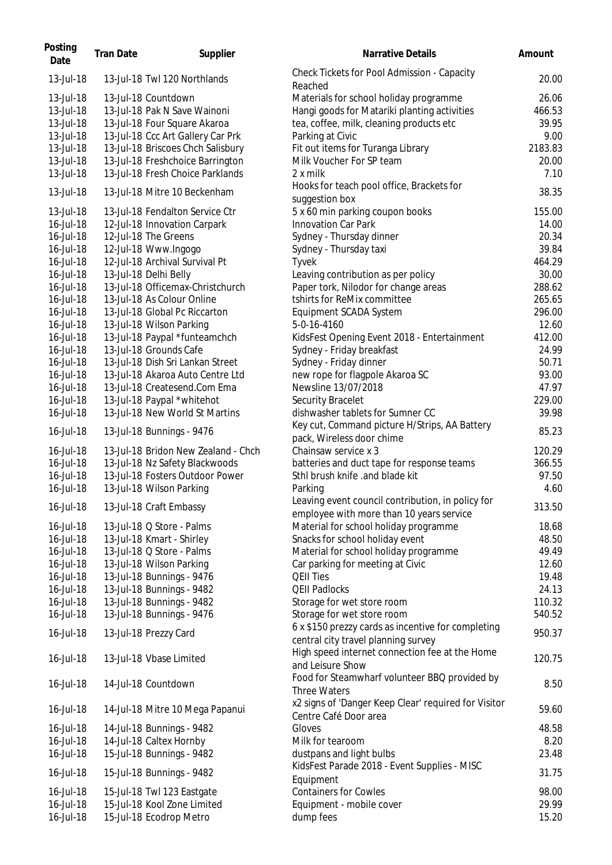| Posting<br>Date | <b>Tran Date</b> | Supplier                            | Narrative Details                                                          | Amount  |
|-----------------|------------------|-------------------------------------|----------------------------------------------------------------------------|---------|
| 13-Jul-18       |                  | 13-Jul-18 Twl 120 Northlands        | Check Tickets for Pool Admission - Capacity<br>Reached                     | 20.00   |
| 13-Jul-18       |                  | 13-Jul-18 Countdown                 | Materials for school holiday programme                                     | 26.06   |
| 13-Jul-18       |                  | 13-Jul-18 Pak N Save Wainoni        | Hangi goods for Matariki planting activities                               | 466.53  |
| 13-Jul-18       |                  | 13-Jul-18 Four Square Akaroa        | tea, coffee, milk, cleaning products etc                                   | 39.95   |
| 13-Jul-18       |                  | 13-Jul-18 Ccc Art Gallery Car Prk   | Parking at Civic                                                           | 9.00    |
| 13-Jul-18       |                  | 13-Jul-18 Briscoes Chch Salisbury   | Fit out items for Turanga Library                                          | 2183.83 |
| 13-Jul-18       |                  | 13-Jul-18 Freshchoice Barrington    | Milk Voucher For SP team                                                   | 20.00   |
| 13-Jul-18       |                  | 13-Jul-18 Fresh Choice Parklands    | 2 x milk                                                                   | 7.10    |
|                 |                  |                                     | Hooks for teach pool office, Brackets for                                  |         |
| 13-Jul-18       |                  | 13-Jul-18 Mitre 10 Beckenham        | suggestion box                                                             | 38.35   |
| 13-Jul-18       |                  | 13-Jul-18 Fendalton Service Ctr     | 5 x 60 min parking coupon books                                            | 155.00  |
| 16-Jul-18       |                  | 12-Jul-18 Innovation Carpark        | Innovation Car Park                                                        | 14.00   |
| 16-Jul-18       |                  | 12-Jul-18 The Greens                | Sydney - Thursday dinner                                                   | 20.34   |
| 16-Jul-18       |                  | 12-Jul-18 Www.Ingogo                | Sydney - Thursday taxi                                                     | 39.84   |
| 16-Jul-18       |                  | 12-Jul-18 Archival Survival Pt      | Tyvek                                                                      | 464.29  |
| 16-Jul-18       |                  | 13-Jul-18 Delhi Belly               | Leaving contribution as per policy                                         | 30.00   |
| 16-Jul-18       |                  | 13-Jul-18 Officemax-Christchurch    | Paper tork, Nilodor for change areas                                       | 288.62  |
| 16-Jul-18       |                  | 13-Jul-18 As Colour Online          | tshirts for ReMix committee                                                | 265.65  |
| 16-Jul-18       |                  | 13-Jul-18 Global Pc Riccarton       | Equipment SCADA System                                                     | 296.00  |
| 16-Jul-18       |                  | 13-Jul-18 Wilson Parking            | 5-0-16-4160                                                                | 12.60   |
| 16-Jul-18       |                  | 13-Jul-18 Paypal *funteamchch       | KidsFest Opening Event 2018 - Entertainment                                | 412.00  |
| 16-Jul-18       |                  | 13-Jul-18 Grounds Cafe              | Sydney - Friday breakfast                                                  | 24.99   |
| 16-Jul-18       |                  | 13-Jul-18 Dish Sri Lankan Street    | Sydney - Friday dinner                                                     | 50.71   |
| 16-Jul-18       |                  | 13-Jul-18 Akaroa Auto Centre Ltd    | new rope for flagpole Akaroa SC                                            | 93.00   |
| 16-Jul-18       |                  | 13-Jul-18 Createsend.Com Ema        | Newsline 13/07/2018                                                        | 47.97   |
| 16-Jul-18       |                  | 13-Jul-18 Paypal *whitehot          | Security Bracelet                                                          | 229.00  |
| 16-Jul-18       |                  | 13-Jul-18 New World St Martins      | dishwasher tablets for Sumner CC                                           | 39.98   |
| 16-Jul-18       |                  | 13-Jul-18 Bunnings - 9476           | Key cut, Command picture H/Strips, AA Battery<br>pack, Wireless door chime | 85.23   |
| 16-Jul-18       |                  | 13-Jul-18 Bridon New Zealand - Chch | Chainsaw service x 3                                                       | 120.29  |
| 16-Jul-18       |                  | 13-Jul-18 Nz Safety Blackwoods      | batteries and duct tape for response teams                                 | 366.55  |
| 16-Jul-18       |                  | 13-Jul-18 Fosters Outdoor Power     | Sthl brush knife .and blade kit                                            | 97.50   |
| 16-Jul-18       |                  | 13-Jul-18 Wilson Parking            | Parking                                                                    | 4.60    |
|                 |                  |                                     | Leaving event council contribution, in policy for                          |         |
| 16-Jul-18       |                  | 13-Jul-18 Craft Embassy             | employee with more than 10 years service                                   | 313.50  |
| 16-Jul-18       |                  | 13-Jul-18 Q Store - Palms           | Material for school holiday programme                                      | 18.68   |
| 16-Jul-18       |                  | 13-Jul-18 Kmart - Shirley           | Snacks for school holiday event                                            | 48.50   |
| 16-Jul-18       |                  | 13-Jul-18 Q Store - Palms           | Material for school holiday programme                                      | 49.49   |
| 16-Jul-18       |                  | 13-Jul-18 Wilson Parking            | Car parking for meeting at Civic                                           | 12.60   |
| 16-Jul-18       |                  | 13-Jul-18 Bunnings - 9476           | <b>QEII Ties</b>                                                           | 19.48   |
| 16-Jul-18       |                  | 13-Jul-18 Bunnings - 9482           | <b>QEII Padlocks</b>                                                       | 24.13   |
| 16-Jul-18       |                  | 13-Jul-18 Bunnings - 9482           | Storage for wet store room                                                 | 110.32  |
| 16-Jul-18       |                  | 13-Jul-18 Bunnings - 9476           | Storage for wet store room                                                 | 540.52  |
|                 |                  |                                     | 6 x \$150 prezzy cards as incentive for completing                         |         |
| 16-Jul-18       |                  | 13-Jul-18 Prezzy Card               | central city travel planning survey                                        | 950.37  |
|                 |                  |                                     | High speed internet connection fee at the Home                             |         |
| 16-Jul-18       |                  | 13-Jul-18 Vbase Limited             | and Leisure Show                                                           | 120.75  |
|                 |                  |                                     | Food for Steamwharf volunteer BBQ provided by                              |         |
| 16-Jul-18       |                  | 14-Jul-18 Countdown                 | <b>Three Waters</b>                                                        | 8.50    |
| 16-Jul-18       |                  | 14-Jul-18 Mitre 10 Mega Papanui     | x2 signs of 'Danger Keep Clear' required for Visitor                       | 59.60   |
|                 |                  |                                     | Centre Café Door area                                                      |         |
| 16-Jul-18       |                  | 14-Jul-18 Bunnings - 9482           | Gloves                                                                     | 48.58   |
| 16-Jul-18       |                  | 14-Jul-18 Caltex Hornby             | Milk for tearoom                                                           | 8.20    |
| 16-Jul-18       |                  | 15-Jul-18 Bunnings - 9482           | dustpans and light bulbs                                                   | 23.48   |
| 16-Jul-18       |                  | 15-Jul-18 Bunnings - 9482           | KidsFest Parade 2018 - Event Supplies - MISC<br>Equipment                  | 31.75   |
| 16-Jul-18       |                  | 15-Jul-18 Twl 123 Eastgate          | <b>Containers for Cowles</b>                                               | 98.00   |
| 16-Jul-18       |                  | 15-Jul-18 Kool Zone Limited         | Equipment - mobile cover                                                   | 29.99   |
|                 |                  |                                     |                                                                            | 15.20   |
| 16-Jul-18       |                  | 15-Jul-18 Ecodrop Metro             | dump fees                                                                  |         |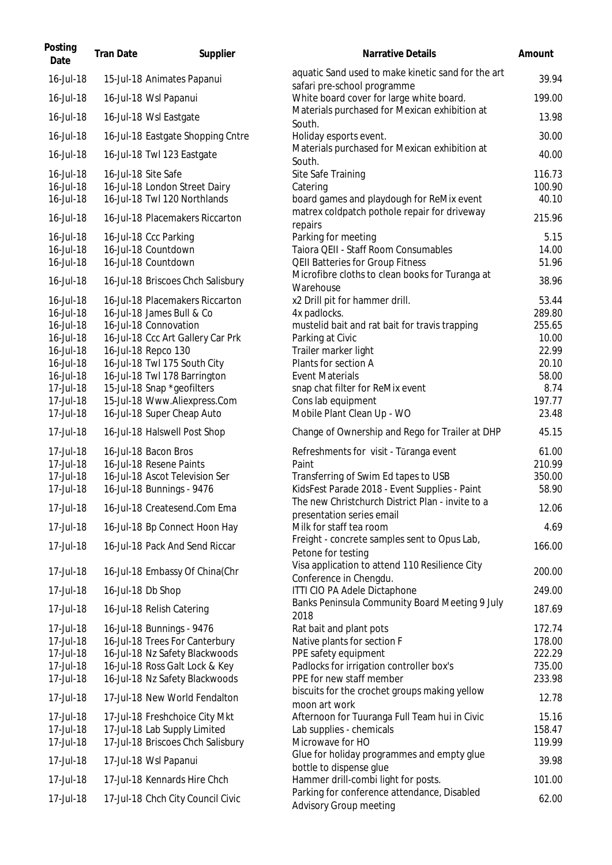| Posting<br>Date        | <b>Tran Date</b>    | Supplier                                                        | <b>Narrative Details</b>                                                                  | Amount           |
|------------------------|---------------------|-----------------------------------------------------------------|-------------------------------------------------------------------------------------------|------------------|
| 16-Jul-18              |                     | 15-Jul-18 Animates Papanui                                      | aquatic Sand used to make kinetic sand for the art<br>safari pre-school programme         | 39.94            |
| 16-Jul-18              |                     | 16-Jul-18 Wsl Papanui                                           | White board cover for large white board.                                                  | 199.00           |
| 16-Jul-18              |                     | 16-Jul-18 Wsl Eastgate                                          | Materials purchased for Mexican exhibition at<br>South.                                   | 13.98            |
| 16-Jul-18              |                     | 16-Jul-18 Eastgate Shopping Cntre                               | Holiday esports event.                                                                    | 30.00            |
| 16-Jul-18              |                     | 16-Jul-18 Twl 123 Eastgate                                      | Materials purchased for Mexican exhibition at<br>South.                                   | 40.00            |
| 16-Jul-18              | 16-Jul-18 Site Safe |                                                                 | Site Safe Training                                                                        | 116.73           |
| 16-Jul-18              |                     | 16-Jul-18 London Street Dairy                                   | Catering                                                                                  | 100.90           |
| 16-Jul-18<br>16-Jul-18 |                     | 16-Jul-18 Twl 120 Northlands<br>16-Jul-18 Placemakers Riccarton | board games and playdough for ReMix event<br>matrex coldpatch pothole repair for driveway | 40.10<br>215.96  |
|                        |                     |                                                                 | repairs                                                                                   |                  |
| 16-Jul-18<br>16-Jul-18 |                     | 16-Jul-18 Ccc Parking<br>16-Jul-18 Countdown                    | Parking for meeting<br>Taiora QEII - Staff Room Consumables                               | 5.15<br>14.00    |
| 16-Jul-18              |                     | 16-Jul-18 Countdown                                             | <b>QEII Batteries for Group Fitness</b>                                                   | 51.96            |
| 16-Jul-18              |                     | 16-Jul-18 Briscoes Chch Salisbury                               | Microfibre cloths to clean books for Turanga at                                           | 38.96            |
|                        |                     |                                                                 | Warehouse                                                                                 |                  |
| 16-Jul-18              |                     | 16-Jul-18 Placemakers Riccarton                                 | x2 Drill pit for hammer drill.                                                            | 53.44            |
| 16-Jul-18<br>16-Jul-18 |                     | 16-Jul-18 James Bull & Co<br>16-Jul-18 Connovation              | 4x padlocks.<br>mustelid bait and rat bait for travis trapping                            | 289.80<br>255.65 |
| 16-Jul-18              |                     | 16-Jul-18 Ccc Art Gallery Car Prk                               | Parking at Civic                                                                          | 10.00            |
| 16-Jul-18              |                     | 16-Jul-18 Repco 130                                             | Trailer marker light                                                                      | 22.99            |
| 16-Jul-18              |                     | 16-Jul-18 Twl 175 South City                                    | Plants for section A                                                                      | 20.10            |
| 16-Jul-18              |                     | 16-Jul-18 Twl 178 Barrington                                    | <b>Event Materials</b>                                                                    | 58.00            |
| 17-Jul-18              |                     | 15-Jul-18 Snap *geofilters                                      | snap chat filter for ReMix event                                                          | 8.74             |
| 17-Jul-18              |                     | 15-Jul-18 Www.Aliexpress.Com                                    | Cons lab equipment                                                                        | 197.77           |
| 17-Jul-18              |                     | 16-Jul-18 Super Cheap Auto                                      | Mobile Plant Clean Up - WO                                                                | 23.48            |
| 17-Jul-18              |                     | 16-Jul-18 Halswell Post Shop                                    | Change of Ownership and Rego for Trailer at DHP                                           | 45.15            |
| 17-Jul-18              |                     | 16-Jul-18 Bacon Bros                                            | Refreshments for visit - Tūranga event                                                    | 61.00            |
| 17-Jul-18              |                     | 16-Jul-18 Resene Paints                                         | Paint                                                                                     | 210.99           |
| 17-Jul-18<br>17-Jul-18 |                     | 16-Jul-18 Ascot Television Ser                                  | Transferring of Swim Ed tapes to USB<br>KidsFest Parade 2018 - Event Supplies - Paint     | 350.00<br>58.90  |
|                        |                     | 16-Jul-18 Bunnings - 9476                                       | The new Christchurch District Plan - invite to a                                          |                  |
| 17-Jul-18              |                     | 16-Jul-18 Createsend.Com Ema                                    | presentation series email                                                                 | 12.06            |
| 17-Jul-18              |                     | 16-Jul-18 Bp Connect Hoon Hay                                   | Milk for staff tea room<br>Freight - concrete samples sent to Opus Lab,                   | 4.69             |
| 17-Jul-18              |                     | 16-Jul-18 Pack And Send Riccar                                  | Petone for testing                                                                        | 166.00           |
| 17-Jul-18              |                     | 16-Jul-18 Embassy Of China(Chr                                  | Visa application to attend 110 Resilience City<br>Conference in Chengdu.                  | 200.00           |
| 17-Jul-18              | 16-Jul-18 Db Shop   |                                                                 | ITTI CIO PA Adele Dictaphone                                                              | 249.00           |
| 17-Jul-18              |                     | 16-Jul-18 Relish Catering                                       | Banks Peninsula Community Board Meeting 9 July<br>2018                                    | 187.69           |
| 17-Jul-18              |                     | 16-Jul-18 Bunnings - 9476                                       | Rat bait and plant pots                                                                   | 172.74           |
| 17-Jul-18              |                     | 16-Jul-18 Trees For Canterbury                                  | Native plants for section F                                                               | 178.00           |
| 17-Jul-18              |                     | 16-Jul-18 Nz Safety Blackwoods                                  | PPE safety equipment                                                                      | 222.29           |
| 17-Jul-18              |                     | 16-Jul-18 Ross Galt Lock & Key                                  | Padlocks for irrigation controller box's                                                  | 735.00           |
| 17-Jul-18              |                     | 16-Jul-18 Nz Safety Blackwoods                                  | PPE for new staff member                                                                  | 233.98           |
| 17-Jul-18              |                     | 17-Jul-18 New World Fendalton                                   | biscuits for the crochet groups making yellow<br>moon art work                            | 12.78            |
| 17-Jul-18              |                     | 17-Jul-18 Freshchoice City Mkt                                  | Afternoon for Tuuranga Full Team hui in Civic                                             | 15.16            |
| 17-Jul-18              |                     | 17-Jul-18 Lab Supply Limited                                    | Lab supplies - chemicals                                                                  | 158.47           |
| 17-Jul-18              |                     | 17-Jul-18 Briscoes Chch Salisbury                               | Microwave for HO                                                                          | 119.99           |
|                        |                     |                                                                 |                                                                                           |                  |
| 17-Jul-18              |                     | 17-Jul-18 Wsl Papanui                                           | Glue for holiday programmes and empty glue                                                | 39.98            |
| 17-Jul-18              |                     | 17-Jul-18 Kennards Hire Chch                                    | bottle to dispense glue<br>Hammer drill-combi light for posts.                            | 101.00           |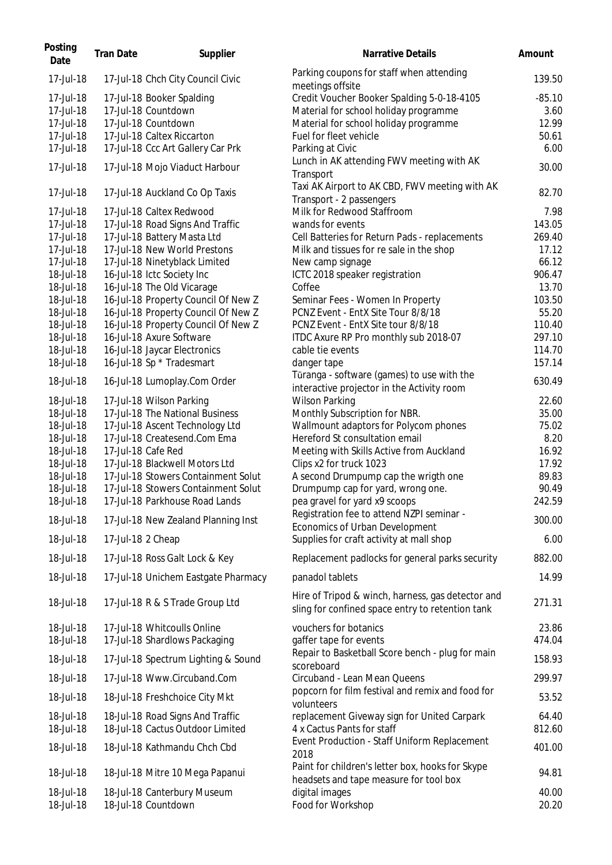| Posting<br>Date | <b>Tran Date</b>  | Supplier                            | Narrative Details                                                                                     | Amount   |
|-----------------|-------------------|-------------------------------------|-------------------------------------------------------------------------------------------------------|----------|
| 17-Jul-18       |                   | 17-Jul-18 Chch City Council Civic   | Parking coupons for staff when attending<br>meetings offsite                                          | 139.50   |
| 17-Jul-18       |                   | 17-Jul-18 Booker Spalding           | Credit Voucher Booker Spalding 5-0-18-4105                                                            | $-85.10$ |
| 17-Jul-18       |                   | 17-Jul-18 Countdown                 | Material for school holiday programme                                                                 | 3.60     |
| 17-Jul-18       |                   | 17-Jul-18 Countdown                 | Material for school holiday programme                                                                 | 12.99    |
| 17-Jul-18       |                   | 17-Jul-18 Caltex Riccarton          | Fuel for fleet vehicle                                                                                | 50.61    |
| 17-Jul-18       |                   | 17-Jul-18 Ccc Art Gallery Car Prk   | Parking at Civic                                                                                      | 6.00     |
|                 |                   |                                     | Lunch in AK attending FWV meeting with AK                                                             |          |
| 17-Jul-18       |                   | 17-Jul-18 Mojo Viaduct Harbour      | Transport                                                                                             | 30.00    |
|                 |                   |                                     | Taxi AK Airport to AK CBD, FWV meeting with AK                                                        |          |
| 17-Jul-18       |                   | 17-Jul-18 Auckland Co Op Taxis      | Transport - 2 passengers                                                                              | 82.70    |
| 17-Jul-18       |                   | 17-Jul-18 Caltex Redwood            | Milk for Redwood Staffroom                                                                            | 7.98     |
| 17-Jul-18       |                   | 17-Jul-18 Road Signs And Traffic    | wands for events                                                                                      | 143.05   |
| 17-Jul-18       |                   | 17-Jul-18 Battery Masta Ltd         | Cell Batteries for Return Pads - replacements                                                         | 269.40   |
| 17-Jul-18       |                   | 17-Jul-18 New World Prestons        | Milk and tissues for re sale in the shop                                                              | 17.12    |
| 17-Jul-18       |                   | 17-Jul-18 Ninetyblack Limited       | New camp signage                                                                                      | 66.12    |
| 18-Jul-18       |                   | 16-Jul-18 Ictc Society Inc          | ICTC 2018 speaker registration                                                                        | 906.47   |
| 18-Jul-18       |                   | 16-Jul-18 The Old Vicarage          | Coffee                                                                                                | 13.70    |
| 18-Jul-18       |                   | 16-Jul-18 Property Council Of New Z | Seminar Fees - Women In Property                                                                      | 103.50   |
| 18-Jul-18       |                   | 16-Jul-18 Property Council Of New Z | PCNZ Event - EntX Site Tour 8/8/18                                                                    | 55.20    |
| 18-Jul-18       |                   | 16-Jul-18 Property Council Of New Z | PCNZ Event - EntX Site tour 8/8/18                                                                    | 110.40   |
| 18-Jul-18       |                   | 16-Jul-18 Axure Software            | ITDC Axure RP Pro monthly sub 2018-07                                                                 | 297.10   |
| 18-Jul-18       |                   | 16-Jul-18 Jaycar Electronics        | cable tie events                                                                                      | 114.70   |
| 18-Jul-18       |                   | 16-Jul-18 Sp * Tradesmart           | danger tape                                                                                           | 157.14   |
|                 |                   |                                     | Tūranga - software (games) to use with the                                                            |          |
| 18-Jul-18       |                   | 16-Jul-18 Lumoplay.Com Order        | interactive projector in the Activity room                                                            | 630.49   |
| 18-Jul-18       |                   | 17-Jul-18 Wilson Parking            | <b>Wilson Parking</b>                                                                                 | 22.60    |
| 18-Jul-18       |                   | 17-Jul-18 The National Business     | Monthly Subscription for NBR.                                                                         | 35.00    |
| 18-Jul-18       |                   | 17-Jul-18 Ascent Technology Ltd     | Wallmount adaptors for Polycom phones                                                                 | 75.02    |
| 18-Jul-18       |                   | 17-Jul-18 Createsend.Com Ema        | Hereford St consultation email                                                                        | 8.20     |
| 18-Jul-18       |                   | 17-Jul-18 Cafe Red                  | Meeting with Skills Active from Auckland                                                              | 16.92    |
| 18-Jul-18       |                   | 17-Jul-18 Blackwell Motors Ltd      | Clips x2 for truck 1023                                                                               | 17.92    |
| 18-Jul-18       |                   | 17-Jul-18 Stowers Containment Solut | A second Drumpump cap the wrigth one                                                                  | 89.83    |
| 18-Jul-18       |                   | 17-Jul-18 Stowers Containment Solut | Drumpump cap for yard, wrong one.                                                                     | 90.49    |
| 18-Jul-18       |                   | 17-Jul-18 Parkhouse Road Lands      | pea gravel for yard x9 scoops                                                                         | 242.59   |
|                 |                   |                                     | Registration fee to attend NZPI seminar -                                                             |          |
| 18-Jul-18       |                   | 17-Jul-18 New Zealand Planning Inst | Economics of Urban Development                                                                        | 300.00   |
| 18-Jul-18       | 17-Jul-18 2 Cheap |                                     | Supplies for craft activity at mall shop                                                              | 6.00     |
|                 |                   |                                     |                                                                                                       |          |
| 18-Jul-18       |                   | 17-Jul-18 Ross Galt Lock & Key      | Replacement padlocks for general parks security                                                       | 882.00   |
| 18-Jul-18       |                   | 17-Jul-18 Unichem Eastgate Pharmacy | panadol tablets                                                                                       | 14.99    |
| 18-Jul-18       |                   | 17-Jul-18 R & S Trade Group Ltd     | Hire of Tripod & winch, harness, gas detector and<br>sling for confined space entry to retention tank | 271.31   |
| 18-Jul-18       |                   | 17-Jul-18 Whitcoulls Online         | vouchers for botanics                                                                                 | 23.86    |
| 18-Jul-18       |                   | 17-Jul-18 Shardlows Packaging       | gaffer tape for events                                                                                | 474.04   |
| 18-Jul-18       |                   | 17-Jul-18 Spectrum Lighting & Sound | Repair to Basketball Score bench - plug for main                                                      | 158.93   |
| 18-Jul-18       |                   | 17-Jul-18 Www.Circuband.Com         | scoreboard<br>Circuband - Lean Mean Queens                                                            | 299.97   |
| 18-Jul-18       |                   | 18-Jul-18 Freshchoice City Mkt      | popcorn for film festival and remix and food for                                                      | 53.52    |
|                 |                   |                                     | volunteers                                                                                            |          |
| 18-Jul-18       |                   | 18-Jul-18 Road Signs And Traffic    | replacement Giveway sign for United Carpark                                                           | 64.40    |
| 18-Jul-18       |                   | 18-Jul-18 Cactus Outdoor Limited    | 4 x Cactus Pants for staff                                                                            | 812.60   |
| 18-Jul-18       |                   | 18-Jul-18 Kathmandu Chch Cbd        | Event Production - Staff Uniform Replacement<br>2018                                                  | 401.00   |
| 18-Jul-18       |                   | 18-Jul-18 Mitre 10 Mega Papanui     | Paint for children's letter box, hooks for Skype                                                      | 94.81    |
|                 |                   |                                     | headsets and tape measure for tool box                                                                |          |
| 18-Jul-18       |                   | 18-Jul-18 Canterbury Museum         | digital images                                                                                        | 40.00    |
| 18-Jul-18       |                   | 18-Jul-18 Countdown                 | Food for Workshop                                                                                     | 20.20    |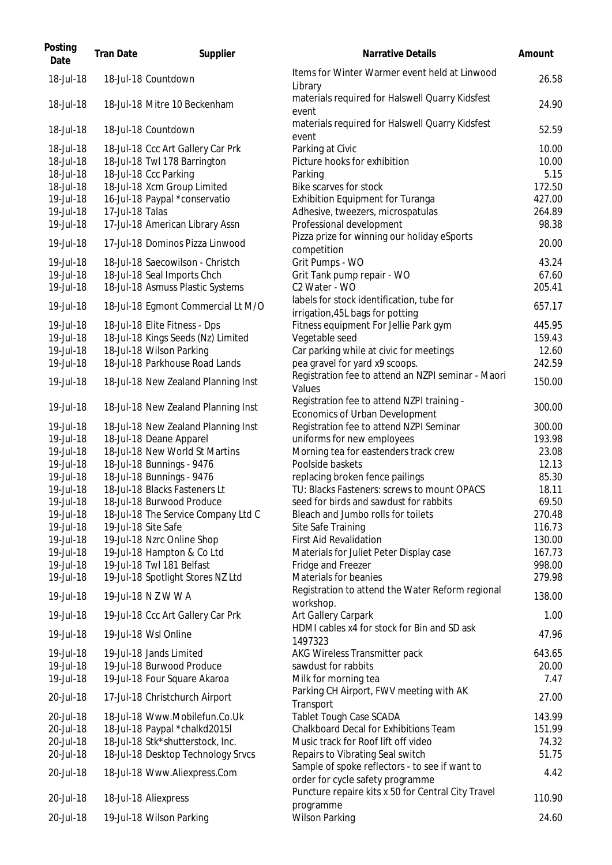| Posting<br>Date        | <b>Tran Date</b> | Supplier                                         | Narrative Details                                                                  | Amount          |
|------------------------|------------------|--------------------------------------------------|------------------------------------------------------------------------------------|-----------------|
| 18-Jul-18              |                  | 18-Jul-18 Countdown                              | Items for Winter Warmer event held at Linwood<br>Library                           | 26.58           |
| 18-Jul-18              |                  | 18-Jul-18 Mitre 10 Beckenham                     | materials required for Halswell Quarry Kidsfest<br>event                           | 24.90           |
| 18-Jul-18              |                  | 18-Jul-18 Countdown                              | materials required for Halswell Quarry Kidsfest<br>event                           | 52.59           |
| 18-Jul-18              |                  | 18-Jul-18 Ccc Art Gallery Car Prk                | Parking at Civic                                                                   | 10.00           |
| 18-Jul-18              |                  | 18-Jul-18 Twl 178 Barrington                     | Picture hooks for exhibition                                                       | 10.00           |
| 18-Jul-18              |                  | 18-Jul-18 Ccc Parking                            | Parking                                                                            | 5.15            |
| 18-Jul-18              |                  | 18-Jul-18 Xcm Group Limited                      | Bike scarves for stock                                                             | 172.50          |
| 19-Jul-18              |                  | 16-Jul-18 Paypal *conservatio                    | <b>Exhibition Equipment for Turanga</b>                                            | 427.00          |
| 19-Jul-18              | 17-Jul-18 Talas  |                                                  | Adhesive, tweezers, microspatulas                                                  | 264.89          |
| 19-Jul-18              |                  | 17-Jul-18 American Library Assn                  | Professional development                                                           | 98.38           |
| 19-Jul-18              |                  | 17-Jul-18 Dominos Pizza Linwood                  | Pizza prize for winning our holiday eSports<br>competition                         | 20.00           |
| 19-Jul-18              |                  | 18-Jul-18 Saecowilson - Christch                 | Grit Pumps - WO                                                                    | 43.24           |
| 19-Jul-18              |                  | 18-Jul-18 Seal Imports Chch                      | Grit Tank pump repair - WO                                                         | 67.60           |
| 19-Jul-18              |                  | 18-Jul-18 Asmuss Plastic Systems                 | C2 Water - WO                                                                      | 205.41          |
| 19-Jul-18              |                  | 18-Jul-18 Egmont Commercial Lt M/O               | labels for stock identification, tube for                                          | 657.17          |
|                        |                  |                                                  | irrigation, 45L bags for potting                                                   |                 |
| 19-Jul-18              |                  | 18-Jul-18 Elite Fitness - Dps                    | Fitness equipment For Jellie Park gym                                              | 445.95          |
| 19-Jul-18              |                  | 18-Jul-18 Kings Seeds (Nz) Limited               | Vegetable seed                                                                     | 159.43          |
| 19-Jul-18              |                  | 18-Jul-18 Wilson Parking                         | Car parking while at civic for meetings                                            | 12.60           |
| 19-Jul-18              |                  | 18-Jul-18 Parkhouse Road Lands                   | pea gravel for yard x9 scoops.                                                     | 242.59          |
| 19-Jul-18              |                  | 18-Jul-18 New Zealand Planning Inst              | Registration fee to attend an NZPI seminar - Maori<br>Values                       | 150.00          |
| 19-Jul-18              |                  | 18-Jul-18 New Zealand Planning Inst              | Registration fee to attend NZPI training -<br>Economics of Urban Development       | 300.00          |
| 19-Jul-18              |                  | 18-Jul-18 New Zealand Planning Inst              | Registration fee to attend NZPI Seminar                                            | 300.00          |
| 19-Jul-18              |                  | 18-Jul-18 Deane Apparel                          | uniforms for new employees                                                         | 193.98          |
| 19-Jul-18              |                  | 18-Jul-18 New World St Martins                   | Morning tea for eastenders track crew                                              | 23.08           |
| 19-Jul-18              |                  | 18-Jul-18 Bunnings - 9476                        | Poolside baskets                                                                   | 12.13           |
| 19-Jul-18              |                  | 18-Jul-18 Bunnings - 9476                        | replacing broken fence pailings                                                    | 85.30           |
| 19-Jul-18              |                  | 18-Jul-18 Blacks Fasteners Lt                    | TU: Blacks Fasteners: screws to mount OPACS                                        | 18.11           |
| 19-Jul-18              |                  | 18-Jul-18 Burwood Produce                        | seed for birds and sawdust for rabbits                                             | 69.50           |
| 19-Jul-18              |                  | 18-Jul-18 The Service Company Ltd C              | Bleach and Jumbo rolls for toilets                                                 | 270.48          |
| 19-Jul-18              |                  | 19-Jul-18 Site Safe                              | Site Safe Training                                                                 | 116.73          |
| 19-Jul-18              |                  | 19-Jul-18 Nzrc Online Shop                       | <b>First Aid Revalidation</b>                                                      | 130.00          |
| 19-Jul-18              |                  | 19-Jul-18 Hampton & Co Ltd                       | Materials for Juliet Peter Display case                                            | 167.73          |
| 19-Jul-18              |                  | 19-Jul-18 Twl 181 Belfast                        | Fridge and Freezer                                                                 | 998.00          |
| 19-Jul-18              |                  | 19-Jul-18 Spotlight Stores NZ Ltd                | Materials for beanies                                                              | 279.98          |
| 19-Jul-18              |                  | 19-Jul-18 N Z W W A                              | Registration to attend the Water Reform regional<br>workshop.                      | 138.00          |
| 19-Jul-18              |                  | 19-Jul-18 Ccc Art Gallery Car Prk                | Art Gallery Carpark                                                                | 1.00            |
| 19-Jul-18              |                  | 19-Jul-18 Wsl Online                             | HDMI cables x4 for stock for Bin and SD ask<br>1497323                             | 47.96           |
| 19-Jul-18              |                  | 19-Jul-18 Jands Limited                          | AKG Wireless Transmitter pack                                                      | 643.65          |
| 19-Jul-18              |                  | 19-Jul-18 Burwood Produce                        | sawdust for rabbits                                                                | 20.00           |
| 19-Jul-18              |                  | 19-Jul-18 Four Square Akaroa                     | Milk for morning tea                                                               | 7.47            |
| 20-Jul-18              |                  | 17-Jul-18 Christchurch Airport                   | Parking CH Airport, FWV meeting with AK<br>Transport                               | 27.00           |
| 20-Jul-18              |                  | 18-Jul-18 Www.Mobilefun.Co.Uk                    | Tablet Tough Case SCADA                                                            | 143.99          |
| 20-Jul-18              |                  | 18-Jul-18 Paypal *chalkd2015l                    | Chalkboard Decal for Exhibitions Team                                              | 151.99          |
| 20-Jul-18              |                  | 18-Jul-18 Stk*shutterstock, Inc.                 | Music track for Roof lift off video                                                | 74.32           |
| 20-Jul-18              |                  | 18-Jul-18 Desktop Technology Srvcs               | Repairs to Vibrating Seal switch                                                   | 51.75           |
| 20-Jul-18              |                  | 18-Jul-18 Www.Aliexpress.Com                     | Sample of spoke reflectors - to see if want to<br>order for cycle safety programme | 4.42            |
|                        |                  |                                                  | Puncture repaire kits x 50 for Central City Travel                                 |                 |
| 20-Jul-18<br>20-Jul-18 |                  | 18-Jul-18 Aliexpress<br>19-Jul-18 Wilson Parking | programme<br><b>Wilson Parking</b>                                                 | 110.90<br>24.60 |
|                        |                  |                                                  |                                                                                    |                 |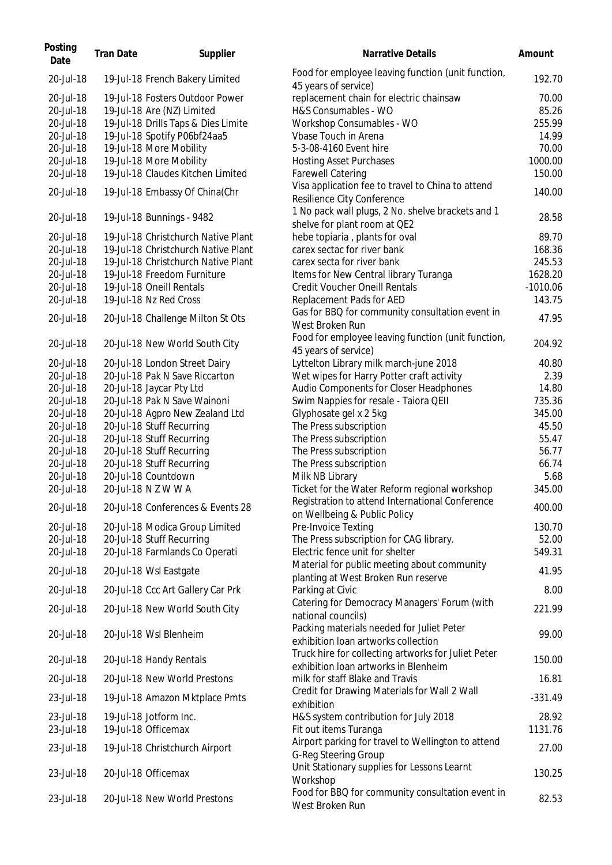| Posting<br>Date | <b>Tran Date</b> | Supplier                            | <b>Narrative Details</b>                                                                    | Amount     |
|-----------------|------------------|-------------------------------------|---------------------------------------------------------------------------------------------|------------|
| 20-Jul-18       |                  | 19-Jul-18 French Bakery Limited     | Food for employee leaving function (unit function,<br>45 years of service)                  | 192.70     |
| 20-Jul-18       |                  | 19-Jul-18 Fosters Outdoor Power     | replacement chain for electric chainsaw                                                     | 70.00      |
| 20-Jul-18       |                  | 19-Jul-18 Are (NZ) Limited          | H&S Consumables - WO                                                                        | 85.26      |
| 20-Jul-18       |                  | 19-Jul-18 Drills Taps & Dies Limite | Workshop Consumables - WO                                                                   | 255.99     |
| 20-Jul-18       |                  | 19-Jul-18 Spotify P06bf24aa5        | Vbase Touch in Arena                                                                        | 14.99      |
| 20-Jul-18       |                  | 19-Jul-18 More Mobility             | 5-3-08-4160 Event hire                                                                      | 70.00      |
|                 |                  |                                     |                                                                                             |            |
| 20-Jul-18       |                  | 19-Jul-18 More Mobility             | <b>Hosting Asset Purchases</b>                                                              | 1000.00    |
| 20-Jul-18       |                  | 19-Jul-18 Claudes Kitchen Limited   | <b>Farewell Catering</b>                                                                    | 150.00     |
| 20-Jul-18       |                  | 19-Jul-18 Embassy Of China(Chr      | Visa application fee to travel to China to attend<br>Resilience City Conference             | 140.00     |
| 20-Jul-18       |                  | 19-Jul-18 Bunnings - 9482           | 1 No pack wall plugs, 2 No. shelve brackets and 1<br>shelve for plant room at QE2           | 28.58      |
| 20-Jul-18       |                  | 19-Jul-18 Christchurch Native Plant | hebe topiaria, plants for oval                                                              | 89.70      |
| 20-Jul-18       |                  | 19-Jul-18 Christchurch Native Plant | carex sectac for river bank                                                                 | 168.36     |
| 20-Jul-18       |                  | 19-Jul-18 Christchurch Native Plant | carex secta for river bank                                                                  | 245.53     |
| 20-Jul-18       |                  | 19-Jul-18 Freedom Furniture         | Items for New Central library Turanga                                                       | 1628.20    |
| 20-Jul-18       |                  | 19-Jul-18 Oneill Rentals            | <b>Credit Voucher Oneill Rentals</b>                                                        | $-1010.06$ |
| 20-Jul-18       |                  | 19-Jul-18 Nz Red Cross              | Replacement Pads for AED                                                                    | 143.75     |
|                 |                  |                                     | Gas for BBQ for community consultation event in                                             |            |
| 20-Jul-18       |                  | 20-Jul-18 Challenge Milton St Ots   | West Broken Run                                                                             | 47.95      |
| 20-Jul-18       |                  | 20-Jul-18 New World South City      | Food for employee leaving function (unit function,<br>45 years of service)                  | 204.92     |
| 20-Jul-18       |                  | 20-Jul-18 London Street Dairy       | Lyttelton Library milk march-june 2018                                                      | 40.80      |
| 20-Jul-18       |                  | 20-Jul-18 Pak N Save Riccarton      | Wet wipes for Harry Potter craft activity                                                   | 2.39       |
| 20-Jul-18       |                  | 20-Jul-18 Jaycar Pty Ltd            | Audio Components for Closer Headphones                                                      | 14.80      |
| 20-Jul-18       |                  | 20-Jul-18 Pak N Save Wainoni        | Swim Nappies for resale - Taiora QEII                                                       | 735.36     |
| 20-Jul-18       |                  | 20-Jul-18 Agpro New Zealand Ltd     | Glyphosate gel x 2 5kg                                                                      | 345.00     |
| 20-Jul-18       |                  | 20-Jul-18 Stuff Recurring           | The Press subscription                                                                      | 45.50      |
| 20-Jul-18       |                  | 20-Jul-18 Stuff Recurring           | The Press subscription                                                                      | 55.47      |
| 20-Jul-18       |                  | 20-Jul-18 Stuff Recurring           | The Press subscription                                                                      | 56.77      |
| 20-Jul-18       |                  | 20-Jul-18 Stuff Recurring           | The Press subscription                                                                      | 66.74      |
|                 |                  |                                     |                                                                                             |            |
| 20-Jul-18       |                  | 20-Jul-18 Countdown                 | Milk NB Library                                                                             | 5.68       |
| 20-Jul-18       |                  | 20-Jul-18 N Z W W A                 | Ticket for the Water Reform regional workshop                                               | 345.00     |
| 20-Jul-18       |                  | 20-Jul-18 Conferences & Events 28   | Registration to attend International Conference<br>on Wellbeing & Public Policy             | 400.00     |
| 20-Jul-18       |                  | 20-Jul-18 Modica Group Limited      | Pre-Invoice Texting                                                                         | 130.70     |
| 20-Jul-18       |                  | 20-Jul-18 Stuff Recurring           | The Press subscription for CAG library.                                                     | 52.00      |
| 20-Jul-18       |                  | 20-Jul-18 Farmlands Co Operati      | Electric fence unit for shelter                                                             | 549.31     |
| 20-Jul-18       |                  | 20-Jul-18 Wsl Eastgate              | Material for public meeting about community<br>planting at West Broken Run reserve          | 41.95      |
| 20-Jul-18       |                  | 20-Jul-18 Ccc Art Gallery Car Prk   | Parking at Civic                                                                            | 8.00       |
|                 |                  |                                     | Catering for Democracy Managers' Forum (with                                                |            |
| 20-Jul-18       |                  | 20-Jul-18 New World South City      | national councils)<br>Packing materials needed for Juliet Peter                             | 221.99     |
| 20-Jul-18       |                  | 20-Jul-18 Wsl Blenheim              | exhibition loan artworks collection                                                         | 99.00      |
| 20-Jul-18       |                  | 20-Jul-18 Handy Rentals             | Truck hire for collecting artworks for Juliet Peter<br>exhibition Ioan artworks in Blenheim | 150.00     |
| 20-Jul-18       |                  | 20-Jul-18 New World Prestons        | milk for staff Blake and Travis                                                             | 16.81      |
| 23-Jul-18       |                  | 19-Jul-18 Amazon Mktplace Pmts      | Credit for Drawing Materials for Wall 2 Wall<br>exhibition                                  | $-331.49$  |
| 23-Jul-18       |                  | 19-Jul-18 Jotform Inc.              | H&S system contribution for July 2018                                                       | 28.92      |
| 23-Jul-18       |                  | 19-Jul-18 Officemax                 | Fit out items Turanga                                                                       | 1131.76    |
|                 |                  |                                     | Airport parking for travel to Wellington to attend                                          |            |
| 23-Jul-18       |                  | 19-Jul-18 Christchurch Airport      | G-Reg Steering Group                                                                        | 27.00      |
|                 |                  |                                     |                                                                                             |            |
| 23-Jul-18       |                  | 20-Jul-18 Officemax                 | Unit Stationary supplies for Lessons Learnt                                                 | 130.25     |
| 23-Jul-18       |                  | 20-Jul-18 New World Prestons        | Workshop<br>Food for BBQ for community consultation event in                                | 82.53      |
|                 |                  |                                     | West Broken Run                                                                             |            |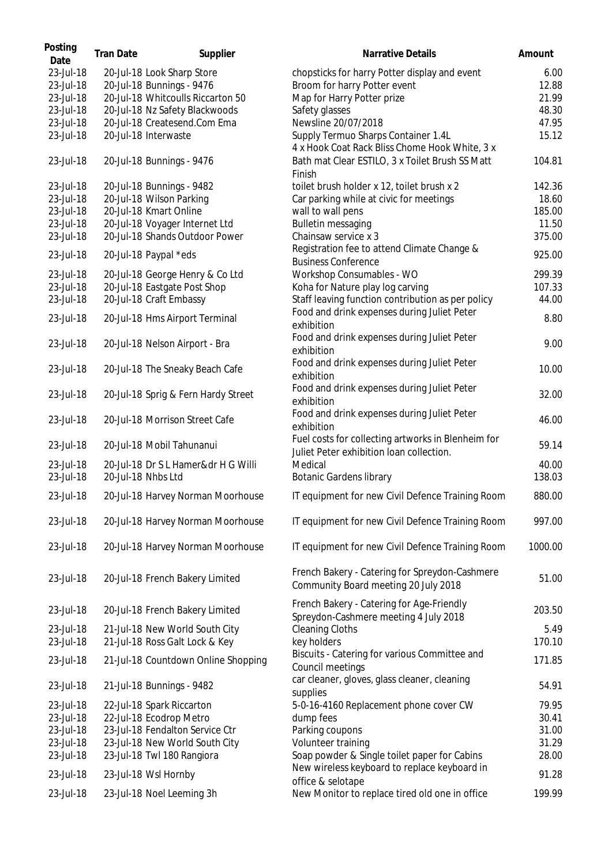| Posting<br>Date | <b>Tran Date</b>   | Supplier                            | <b>Narrative Details</b>                                                                       | Amount  |
|-----------------|--------------------|-------------------------------------|------------------------------------------------------------------------------------------------|---------|
| 23-Jul-18       |                    | 20-Jul-18 Look Sharp Store          | chopsticks for harry Potter display and event                                                  | 6.00    |
| 23-Jul-18       |                    | 20-Jul-18 Bunnings - 9476           | Broom for harry Potter event                                                                   | 12.88   |
| 23-Jul-18       |                    | 20-Jul-18 Whitcoulls Riccarton 50   | Map for Harry Potter prize                                                                     | 21.99   |
| 23-Jul-18       |                    | 20-Jul-18 Nz Safety Blackwoods      | Safety glasses                                                                                 | 48.30   |
| 23-Jul-18       |                    | 20-Jul-18 Createsend.Com Ema        | Newsline 20/07/2018                                                                            | 47.95   |
| 23-Jul-18       |                    | 20-Jul-18 Interwaste                | Supply Termuo Sharps Container 1.4L                                                            | 15.12   |
|                 |                    |                                     | 4 x Hook Coat Rack Bliss Chome Hook White, 3 x                                                 |         |
| 23-Jul-18       |                    | 20-Jul-18 Bunnings - 9476           | Bath mat Clear ESTILO, 3 x Toilet Brush SS Matt<br>Finish                                      | 104.81  |
| 23-Jul-18       |                    | 20-Jul-18 Bunnings - 9482           | toilet brush holder x 12, toilet brush x 2                                                     | 142.36  |
| 23-Jul-18       |                    | 20-Jul-18 Wilson Parking            | Car parking while at civic for meetings                                                        | 18.60   |
| 23-Jul-18       |                    | 20-Jul-18 Kmart Online              | wall to wall pens                                                                              | 185.00  |
| 23-Jul-18       |                    | 20-Jul-18 Voyager Internet Ltd      | <b>Bulletin messaging</b>                                                                      | 11.50   |
|                 |                    | 20-Jul-18 Shands Outdoor Power      |                                                                                                |         |
| 23-Jul-18       |                    |                                     | Chainsaw service x 3                                                                           | 375.00  |
| 23-Jul-18       |                    | 20-Jul-18 Paypal *eds               | Registration fee to attend Climate Change &<br><b>Business Conference</b>                      | 925.00  |
| 23-Jul-18       |                    | 20-Jul-18 George Henry & Co Ltd     | Workshop Consumables - WO                                                                      | 299.39  |
| 23-Jul-18       |                    | 20-Jul-18 Eastgate Post Shop        | Koha for Nature play log carving                                                               | 107.33  |
| 23-Jul-18       |                    | 20-Jul-18 Craft Embassy             | Staff leaving function contribution as per policy                                              | 44.00   |
| 23-Jul-18       |                    | 20-Jul-18 Hms Airport Terminal      | Food and drink expenses during Juliet Peter<br>exhibition                                      | 8.80    |
| 23-Jul-18       |                    | 20-Jul-18 Nelson Airport - Bra      | Food and drink expenses during Juliet Peter<br>exhibition                                      | 9.00    |
| 23-Jul-18       |                    | 20-Jul-18 The Sneaky Beach Cafe     | Food and drink expenses during Juliet Peter<br>exhibition                                      | 10.00   |
| 23-Jul-18       |                    | 20-Jul-18 Sprig & Fern Hardy Street | Food and drink expenses during Juliet Peter<br>exhibition                                      | 32.00   |
| 23-Jul-18       |                    | 20-Jul-18 Morrison Street Cafe      | Food and drink expenses during Juliet Peter<br>exhibition                                      | 46.00   |
| 23-Jul-18       |                    | 20-Jul-18 Mobil Tahunanui           | Fuel costs for collecting artworks in Blenheim for<br>Juliet Peter exhibition loan collection. | 59.14   |
| 23-Jul-18       |                    | 20-Jul-18 Dr S L Hamer&dr H G Willi | Medical                                                                                        | 40.00   |
| 23-Jul-18       | 20-Jul-18 Nhbs Ltd |                                     | <b>Botanic Gardens library</b>                                                                 | 138.03  |
| 23-Jul-18       |                    | 20-Jul-18 Harvey Norman Moorhouse   | IT equipment for new Civil Defence Training Room                                               | 880.00  |
| 23-Jul-18       |                    | 20-Jul-18 Harvey Norman Moorhouse   | IT equipment for new Civil Defence Training Room                                               | 997.00  |
| 23-Jul-18       |                    | 20-Jul-18 Harvey Norman Moorhouse   | IT equipment for new Civil Defence Training Room                                               | 1000.00 |
| 23-Jul-18       |                    | 20-Jul-18 French Bakery Limited     | French Bakery - Catering for Spreydon-Cashmere<br>Community Board meeting 20 July 2018         | 51.00   |
| 23-Jul-18       |                    | 20-Jul-18 French Bakery Limited     | French Bakery - Catering for Age-Friendly<br>Spreydon-Cashmere meeting 4 July 2018             | 203.50  |
| 23-Jul-18       |                    | 21-Jul-18 New World South City      | <b>Cleaning Cloths</b>                                                                         | 5.49    |
| 23-Jul-18       |                    | 21-Jul-18 Ross Galt Lock & Key      | key holders                                                                                    | 170.10  |
| 23-Jul-18       |                    | 21-Jul-18 Countdown Online Shopping | Biscuits - Catering for various Committee and<br>Council meetings                              | 171.85  |
| 23-Jul-18       |                    | 21-Jul-18 Bunnings - 9482           | car cleaner, gloves, glass cleaner, cleaning<br>supplies                                       | 54.91   |
| 23-Jul-18       |                    | 22-Jul-18 Spark Riccarton           | 5-0-16-4160 Replacement phone cover CW                                                         | 79.95   |
| 23-Jul-18       |                    | 22-Jul-18 Ecodrop Metro             | dump fees                                                                                      | 30.41   |
| 23-Jul-18       |                    | 23-Jul-18 Fendalton Service Ctr     | Parking coupons                                                                                | 31.00   |
| 23-Jul-18       |                    | 23-Jul-18 New World South City      | Volunteer training                                                                             | 31.29   |
| 23-Jul-18       |                    | 23-Jul-18 Twl 180 Rangiora          | Soap powder & Single toilet paper for Cabins                                                   | 28.00   |
|                 |                    |                                     | New wireless keyboard to replace keyboard in                                                   |         |
| 23-Jul-18       |                    | 23-Jul-18 Wsl Hornby                | office & selotape                                                                              | 91.28   |
| 23-Jul-18       |                    | 23-Jul-18 Noel Leeming 3h           | New Monitor to replace tired old one in office                                                 | 199.99  |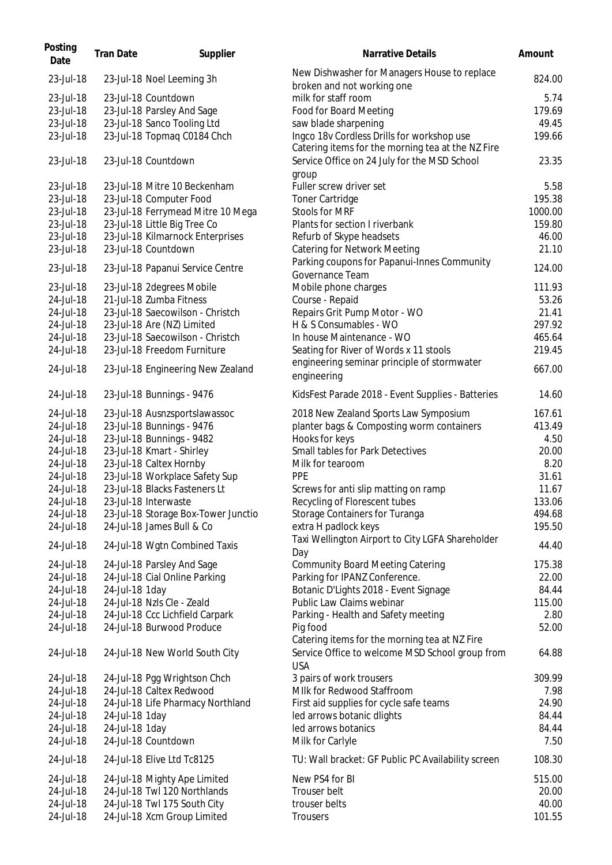| Posting<br>Date | <b>Tran Date</b> | Supplier                            | <b>Narrative Details</b>                                                   | Amount  |
|-----------------|------------------|-------------------------------------|----------------------------------------------------------------------------|---------|
| 23-Jul-18       |                  | 23-Jul-18 Noel Leeming 3h           | New Dishwasher for Managers House to replace<br>broken and not working one | 824.00  |
| 23-Jul-18       |                  | 23-Jul-18 Countdown                 | milk for staff room                                                        | 5.74    |
| 23-Jul-18       |                  | 23-Jul-18 Parsley And Sage          | Food for Board Meeting                                                     | 179.69  |
| 23-Jul-18       |                  | 23-Jul-18 Sanco Tooling Ltd         | saw blade sharpening                                                       | 49.45   |
| 23-Jul-18       |                  | 23-Jul-18 Topmaq C0184 Chch         | Ingco 18v Cordless Drills for workshop use                                 | 199.66  |
|                 |                  |                                     | Catering items for the morning tea at the NZ Fire                          |         |
| 23-Jul-18       |                  | 23-Jul-18 Countdown                 | Service Office on 24 July for the MSD School<br>group                      | 23.35   |
| 23-Jul-18       |                  | 23-Jul-18 Mitre 10 Beckenham        | Fuller screw driver set                                                    | 5.58    |
| 23-Jul-18       |                  | 23-Jul-18 Computer Food             | <b>Toner Cartridge</b>                                                     | 195.38  |
| 23-Jul-18       |                  | 23-Jul-18 Ferrymead Mitre 10 Mega   | Stools for MRF                                                             | 1000.00 |
| 23-Jul-18       |                  | 23-Jul-18 Little Big Tree Co        | Plants for section I riverbank                                             | 159.80  |
| 23-Jul-18       |                  | 23-Jul-18 Kilmarnock Enterprises    | Refurb of Skype headsets                                                   | 46.00   |
| 23-Jul-18       |                  | 23-Jul-18 Countdown                 | <b>Catering for Network Meeting</b>                                        | 21.10   |
| 23-Jul-18       |                  | 23-Jul-18 Papanui Service Centre    | Parking coupons for Papanui-Innes Community                                | 124.00  |
|                 |                  |                                     | Governance Team                                                            |         |
| 23-Jul-18       |                  | 23-Jul-18 2degrees Mobile           | Mobile phone charges                                                       | 111.93  |
| 24-Jul-18       |                  | 21-Jul-18 Zumba Fitness             | Course - Repaid                                                            | 53.26   |
| 24-Jul-18       |                  | 23-Jul-18 Saecowilson - Christch    | Repairs Grit Pump Motor - WO                                               | 21.41   |
| 24-Jul-18       |                  | 23-Jul-18 Are (NZ) Limited          | H & S Consumables - WO                                                     | 297.92  |
| 24-Jul-18       |                  | 23-Jul-18 Saecowilson - Christch    | In house Maintenance - WO                                                  | 465.64  |
| 24-Jul-18       |                  | 23-Jul-18 Freedom Furniture         | Seating for River of Words x 11 stools                                     | 219.45  |
| 24-Jul-18       |                  | 23-Jul-18 Engineering New Zealand   | engineering seminar principle of stormwater<br>engineering                 | 667.00  |
| 24-Jul-18       |                  | 23-Jul-18 Bunnings - 9476           | KidsFest Parade 2018 - Event Supplies - Batteries                          | 14.60   |
| 24-Jul-18       |                  | 23-Jul-18 Ausnzsportslawassoc       | 2018 New Zealand Sports Law Symposium                                      | 167.61  |
| 24-Jul-18       |                  | 23-Jul-18 Bunnings - 9476           | planter bags & Composting worm containers                                  | 413.49  |
| 24-Jul-18       |                  | 23-Jul-18 Bunnings - 9482           | Hooks for keys                                                             | 4.50    |
| 24-Jul-18       |                  |                                     | Small tables for Park Detectives                                           | 20.00   |
|                 |                  | 23-Jul-18 Kmart - Shirley           |                                                                            |         |
| 24-Jul-18       |                  | 23-Jul-18 Caltex Hornby             | Milk for tearoom                                                           | 8.20    |
| 24-Jul-18       |                  | 23-Jul-18 Workplace Safety Sup      | PPE                                                                        | 31.61   |
| 24-Jul-18       |                  | 23-Jul-18 Blacks Fasteners Lt       | Screws for anti slip matting on ramp                                       | 11.67   |
| 24-Jul-18       |                  | 23-Jul-18 Interwaste                | Recycling of Florescent tubes                                              | 133.06  |
| 24-Jul-18       |                  | 23-Jul-18 Storage Box-Tower Junctio | Storage Containers for Turanga                                             | 494.68  |
| 24-Jul-18       |                  | 24-Jul-18 James Bull & Co           | extra H padlock keys                                                       | 195.50  |
| 24-Jul-18       |                  | 24-Jul-18 Wgtn Combined Taxis       | Taxi Wellington Airport to City LGFA Shareholder<br>Day                    | 44.40   |
| 24-Jul-18       |                  | 24-Jul-18 Parsley And Sage          | <b>Community Board Meeting Catering</b>                                    | 175.38  |
| 24-Jul-18       |                  | 24-Jul-18 Cial Online Parking       | Parking for IPANZ Conference.                                              | 22.00   |
| 24-Jul-18       | 24-Jul-18 1day   |                                     | Botanic D'Lights 2018 - Event Signage                                      | 84.44   |
| 24-Jul-18       |                  | 24-Jul-18 Nzls Cle - Zeald          | Public Law Claims webinar                                                  | 115.00  |
|                 |                  |                                     |                                                                            |         |
| 24-Jul-18       |                  | 24-Jul-18 Ccc Lichfield Carpark     | Parking - Health and Safety meeting                                        | 2.80    |
| 24-Jul-18       |                  | 24-Jul-18 Burwood Produce           | Pig food<br>Catering items for the morning tea at NZ Fire                  | 52.00   |
| 24-Jul-18       |                  | 24-Jul-18 New World South City      | Service Office to welcome MSD School group from<br><b>USA</b>              | 64.88   |
| 24-Jul-18       |                  | 24-Jul-18 Pgg Wrightson Chch        | 3 pairs of work trousers                                                   | 309.99  |
| 24-Jul-18       |                  | 24-Jul-18 Caltex Redwood            | MIIk for Redwood Staffroom                                                 | 7.98    |
| 24-Jul-18       |                  | 24-Jul-18 Life Pharmacy Northland   | First aid supplies for cycle safe teams                                    | 24.90   |
| 24-Jul-18       | 24-Jul-18 1day   |                                     | led arrows botanic dlights                                                 | 84.44   |
| 24-Jul-18       | 24-Jul-18 1day   |                                     | led arrows botanics                                                        | 84.44   |
| 24-Jul-18       |                  | 24-Jul-18 Countdown                 | Milk for Carlyle                                                           | 7.50    |
| 24-Jul-18       |                  | 24-Jul-18 Elive Ltd Tc8125          | TU: Wall bracket: GF Public PC Availability screen                         | 108.30  |
| 24-Jul-18       |                  | 24-Jul-18 Mighty Ape Limited        | New PS4 for BI                                                             | 515.00  |
| 24-Jul-18       |                  | 24-Jul-18 Twl 120 Northlands        | Trouser belt                                                               | 20.00   |
| 24-Jul-18       |                  | 24-Jul-18 Twl 175 South City        | trouser belts                                                              | 40.00   |
| 24-Jul-18       |                  | 24-Jul-18 Xcm Group Limited         | Trousers                                                                   | 101.55  |
|                 |                  |                                     |                                                                            |         |